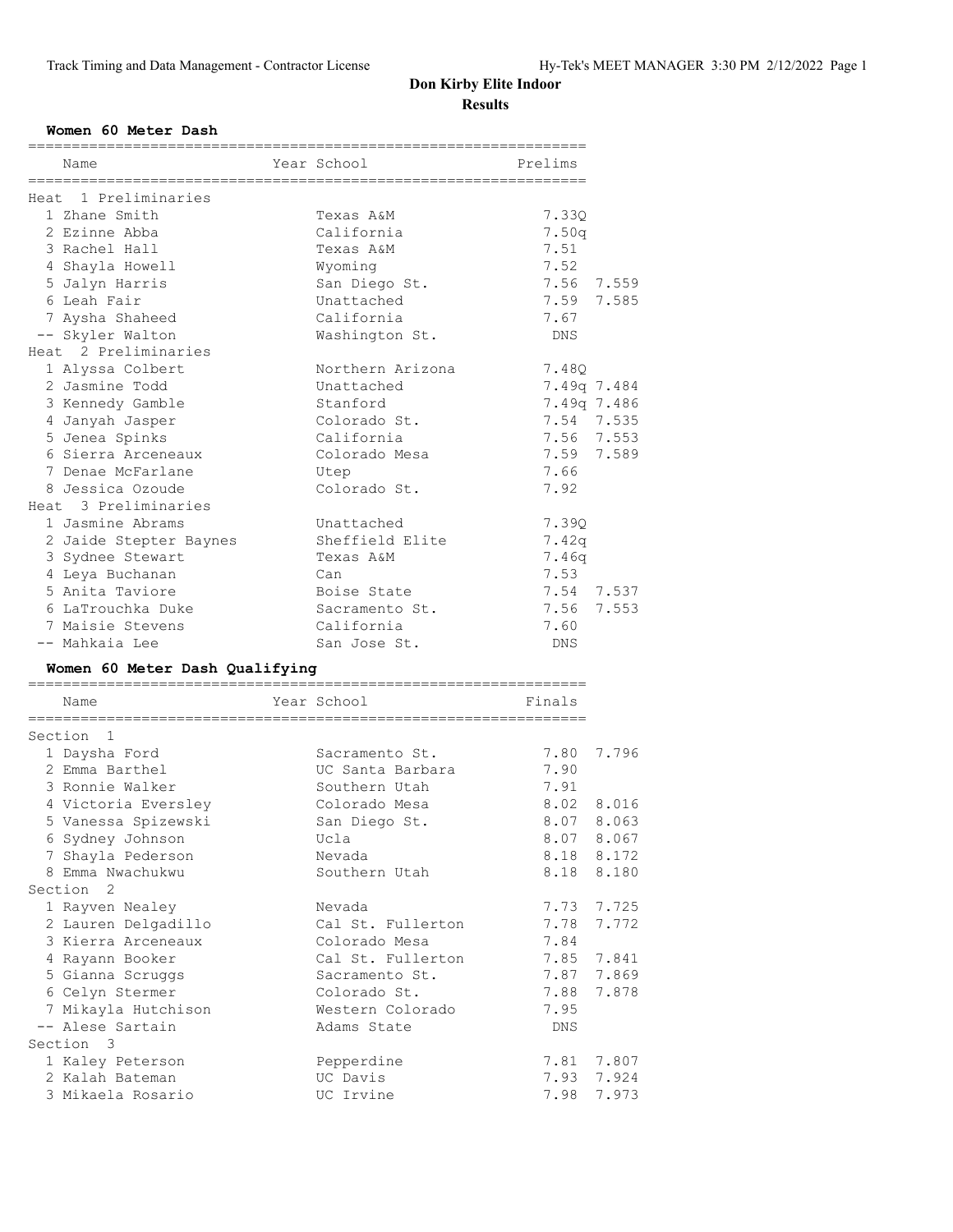================================================================

#### **Women 60 Meter Dash**

| Name                                 | Year School           | Prelims      |                |
|--------------------------------------|-----------------------|--------------|----------------|
| Heat 1 Preliminaries                 |                       |              |                |
| 1 Zhane Smith                        | Texas A&M             | 7.33Q        |                |
| 2 Ezinne Abba                        | California            | 7.50q        |                |
| 3 Rachel Hall                        | Texas A&M             | 7.51         |                |
| 4 Shayla Howell                      | Wyoming               | 7.52         |                |
| 5 Jalyn Harris                       | San Diego St.         | 7.56         | 7.559          |
| 6 Leah Fair                          | Unattached            | 7.59         | 7.585          |
| 7 Aysha Shaheed                      | California            | 7.67         |                |
| -- Skyler Walton                     | Washington St.        | <b>DNS</b>   |                |
| Heat 2 Preliminaries                 |                       |              |                |
| 1 Alyssa Colbert                     | Northern Arizona      | 7.48Q        |                |
| 2 Jasmine Todd                       | Unattached            | 7.49q 7.484  |                |
| 3 Kennedy Gamble                     | Stanford              | 7.49q 7.486  |                |
| 4 Janyah Jasper                      | Colorado St.          | 7.54 7.535   |                |
| 5 Jenea Spinks                       | California            | 7.56         | 7.553          |
| 6 Sierra Arceneaux                   | Colorado Mesa         | 7.59         | 7.589          |
| 7 Denae McFarlane                    | Utep                  | 7.66         |                |
| 8 Jessica Ozoude                     | Colorado St.          | 7.92         |                |
| Heat 3 Preliminaries                 |                       |              |                |
| 1 Jasmine Abrams                     | Unattached            | 7.390        |                |
| 2 Jaide Stepter Baynes               | Sheffield Elite       | 7.42q        |                |
| 3 Sydnee Stewart                     | Texas A&M             | 7.46q        |                |
| 4 Leya Buchanan                      | Can                   | 7.53         |                |
| 5 Anita Taviore                      | Boise State           | 7.54 7.537   |                |
| 6 LaTrouchka Duke                    | Sacramento St.        | 7.56         | 7.553          |
| 7 Maisie Stevens                     | California            | 7.60         |                |
|                                      |                       |              |                |
|                                      |                       |              |                |
| -- Mahkaia Lee                       | San Jose St.          | DNS          |                |
| Women 60 Meter Dash Qualifying       |                       |              |                |
| Name                                 | Year School           | Finals       |                |
| Section 1                            |                       |              |                |
| 1 Daysha Ford                        | Sacramento St.        | 7.80         | 7.796          |
| 2 Emma Barthel                       | UC Santa Barbara      | 7.90         |                |
| 3 Ronnie Walker                      | Southern Utah         | 7.91         |                |
| 4 Victoria Eversley                  | Colorado Mesa         | 8.02         | 8.016          |
| 5 Vanessa Spizewski                  | San Diego St.         | 8.07         | 8.063          |
| 6 Sydney Johnson                     | Ucla                  | 8.07         | 8.067          |
| 7 Shayla Pederson                    | Nevada                | 8.18         | 8.172          |
| 8 Emma Nwachukwu                     | Southern Utah         | 8.18         | 8.180          |
| Section<br>2                         |                       |              |                |
| 1 Rayven Nealey                      | Nevada                | 7.73         | 7.725          |
| 2 Lauren Delgadillo                  | Cal St. Fullerton     | 7.78         | 7.772          |
| 3 Kierra Arceneaux                   | Colorado Mesa         | 7.84         |                |
| 4 Rayann Booker                      | Cal St. Fullerton     | 7.85         | 7.841          |
| 5 Gianna Scruggs                     | Sacramento St.        | 7.87         | 7.869          |
| 6 Celyn Stermer                      | Colorado St.          | 7.88         | 7.878          |
| 7 Mikayla Hutchison                  | Western Colorado      | 7.95         |                |
| -- Alese Sartain                     | Adams State           | DNS          |                |
| Section 3                            |                       |              |                |
| 1 Kaley Peterson                     | Pepperdine            | 7.81         | 7.807          |
| 2 Kalah Bateman<br>3 Mikaela Rosario | UC Davis<br>UC Irvine | 7.93<br>7.98 | 7.924<br>7.973 |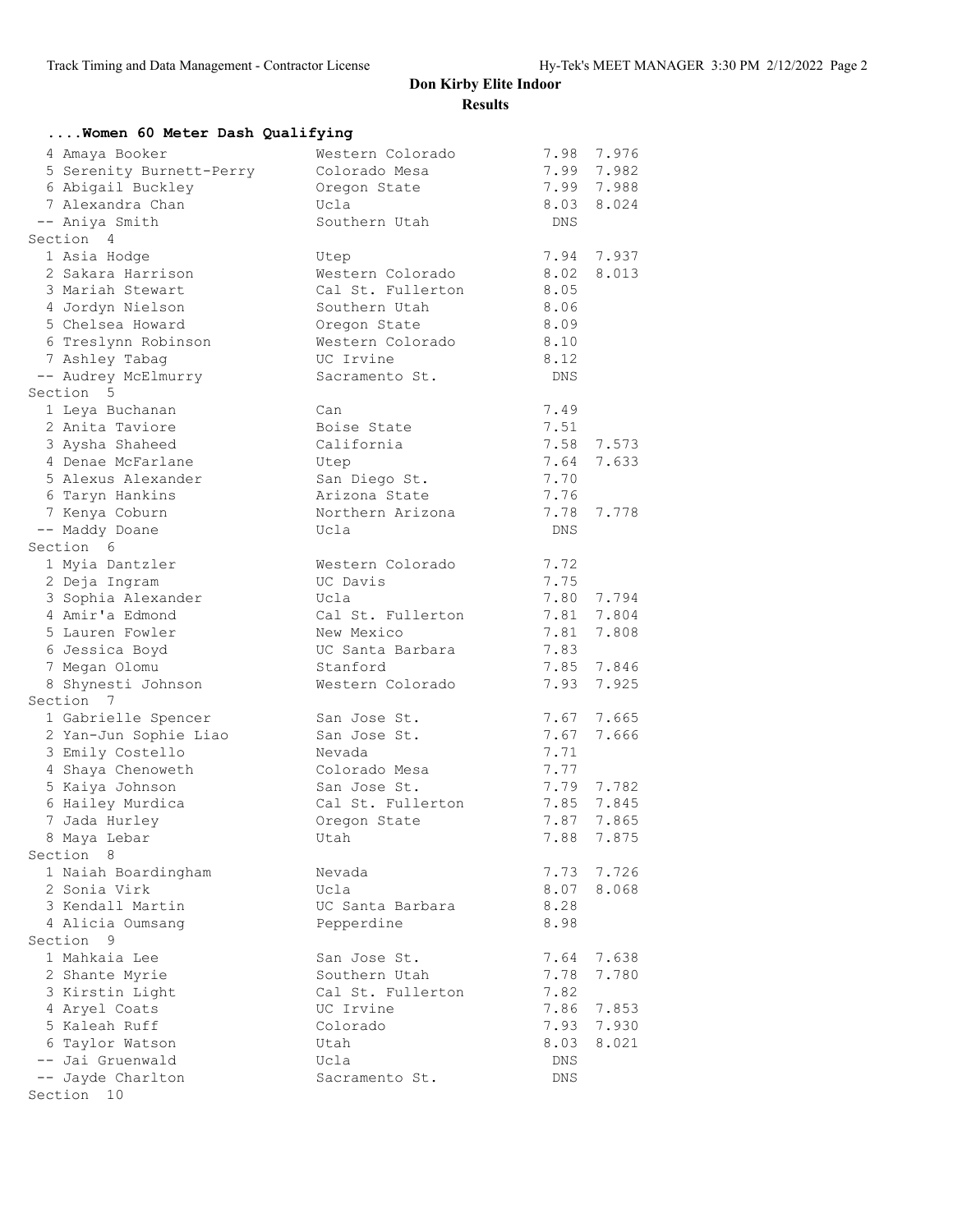| Women 60 Meter Dash Qualifying        |                                 |              |            |
|---------------------------------------|---------------------------------|--------------|------------|
| 4 Amaya Booker                        | Western Colorado                | 7.98         | 7.976      |
| 5 Serenity Burnett-Perry              | Colorado Mesa                   | 7.99         | 7.982      |
| 6 Abigail Buckley                     | Oregon State                    | 7.99         | 7.988      |
| 7 Alexandra Chan                      | Ucla                            | 8.03         | 8.024      |
| -- Aniya Smith                        | Southern Utah                   | DNS          |            |
| Section 4                             |                                 |              |            |
| 1 Asia Hodge                          | Utep                            | 7.94         | 7.937      |
| 2 Sakara Harrison                     | Western Colorado                | 8.02         | 8.013      |
| 3 Mariah Stewart                      | Cal St. Fullerton               | 8.05         |            |
| 4 Jordyn Nielson                      | Southern Utah                   | 8.06         |            |
| 5 Chelsea Howard                      | Oregon State                    | 8.09         |            |
| 6 Treslynn Robinson                   | Western Colorado                | 8.10         |            |
| 7 Ashley Tabag                        | UC Irvine                       | 8.12         |            |
| -- Audrey McElmurry                   | Sacramento St.                  | DNS          |            |
| Section 5                             |                                 |              |            |
| 1 Leya Buchanan                       | Can                             | 7.49         |            |
| 2 Anita Taviore                       | Boise State                     | 7.51         |            |
| 3 Aysha Shaheed                       | California                      | 7.58         | 7.573      |
| 4 Denae McFarlane                     | Utep                            | 7.64         | 7.633      |
| 5 Alexus Alexander                    | San Diego St.                   | 7.70         |            |
| 6 Taryn Hankins                       | Arizona State                   | 7.76         |            |
| 7 Kenya Coburn                        | Northern Arizona                | 7.78         | 7.778      |
| -- Maddy Doane                        | Ucla                            | <b>DNS</b>   |            |
| Section 6                             |                                 |              |            |
| 1 Myia Dantzler                       | Western Colorado<br>UC Davis    | 7.72         |            |
| 2 Deja Ingram                         | Ucla                            | 7.75         | 7.80 7.794 |
| 3 Sophia Alexander<br>4 Amir'a Edmond |                                 |              |            |
| 5 Lauren Fowler                       | Cal St. Fullerton<br>New Mexico | 7.81<br>7.81 | 7.804      |
| 6 Jessica Boyd                        | UC Santa Barbara                | 7.83         | 7.808      |
| 7 Megan Olomu                         | Stanford                        | 7.85         | 7.846      |
| 8 Shynesti Johnson                    | Western Colorado                | 7.93         | 7.925      |
| Section 7                             |                                 |              |            |
| 1 Gabrielle Spencer                   | San Jose St.                    | 7.67         | 7.665      |
| 2 Yan-Jun Sophie Liao                 | San Jose St.                    | 7.67         | 7.666      |
| 3 Emily Costello                      | Nevada                          | 7.71         |            |
| 4 Shaya Chenoweth                     | Colorado Mesa                   | 7.77         |            |
| 5 Kaiya Johnson                       | San Jose St.                    | 7.79         | 7.782      |
| 6 Hailey Murdica                      | Cal St. Fullerton               | 7.85         | 7.845      |
| 7 Jada Hurley                         | Oregon State                    |              | 7.87 7.865 |
| 8 Maya Lebar                          | Utah                            | 7.88         | 7.875      |
| Section 8                             |                                 |              |            |
| 1 Naiah Boardingham                   | Nevada                          | 7.73         | 7.726      |
| 2 Sonia Virk                          | Ucla                            | 8.07         | 8.068      |
| 3 Kendall Martin                      | UC Santa Barbara                | 8.28         |            |
| 4 Alicia Oumsang                      | Pepperdine                      | 8.98         |            |
| Section 9                             |                                 |              |            |
| 1 Mahkaia Lee                         | San Jose St.                    | 7.64         | 7.638      |
| 2 Shante Myrie                        | Southern Utah                   | 7.78         | 7.780      |
| 3 Kirstin Light                       | Cal St. Fullerton               | 7.82         |            |
| 4 Aryel Coats                         | UC Irvine                       | 7.86         | 7.853      |
| 5 Kaleah Ruff                         | Colorado                        | 7.93         | 7.930      |
| 6 Taylor Watson                       | Utah                            | 8.03         | 8.021      |
| -- Jai Gruenwald                      | Ucla                            | DNS          |            |
| -- Jayde Charlton                     | Sacramento St.                  | DNS          |            |
| Section 10                            |                                 |              |            |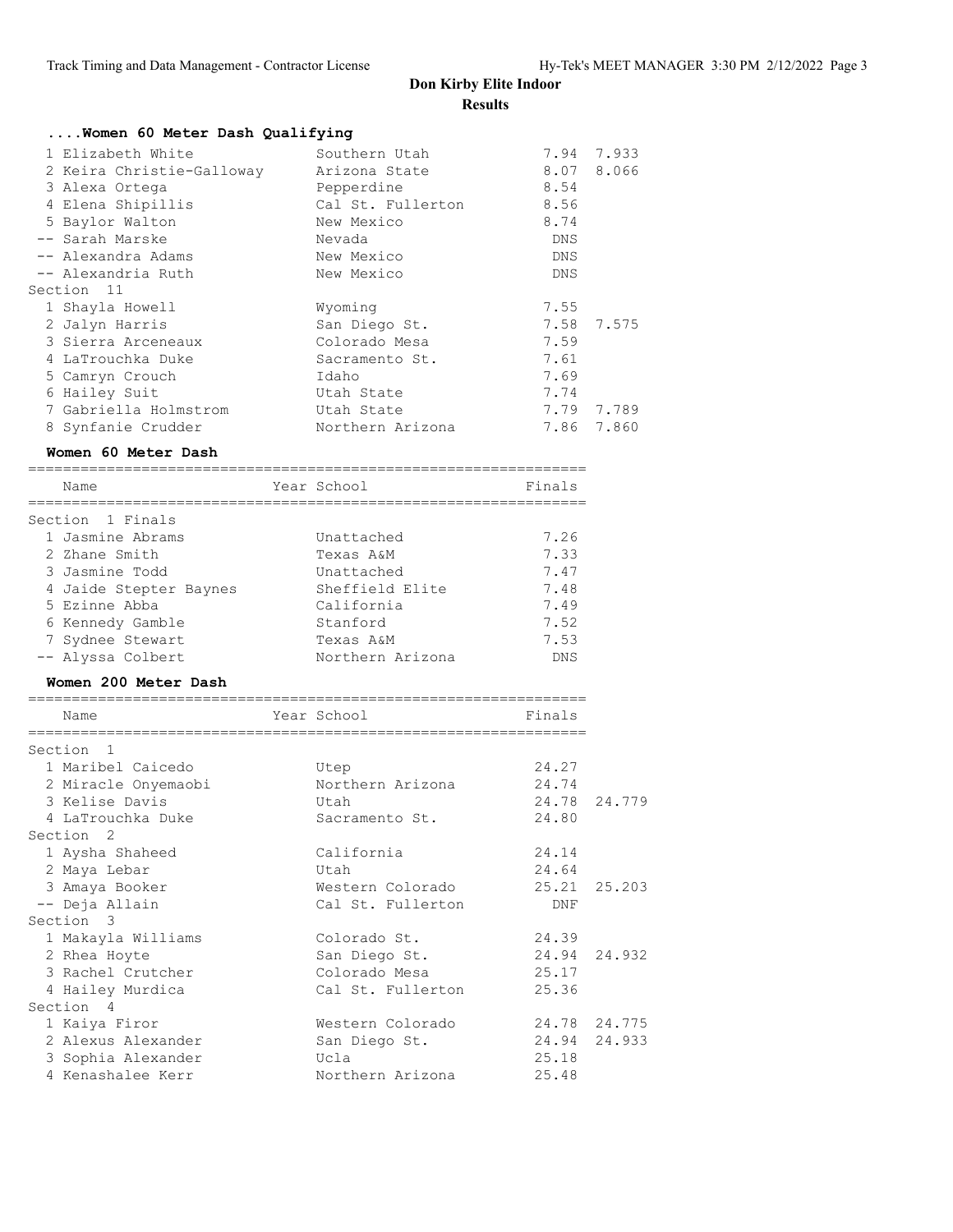# **Don Kirby Elite Indoor**

|                                                                                                                                                                         | <b>Results</b>                                                                                                        |                                                             |                     |
|-------------------------------------------------------------------------------------------------------------------------------------------------------------------------|-----------------------------------------------------------------------------------------------------------------------|-------------------------------------------------------------|---------------------|
| Women 60 Meter Dash Qualifying                                                                                                                                          |                                                                                                                       |                                                             |                     |
| 1 Elizabeth White<br>2 Keira Christie-Galloway<br>3 Alexa Ortega<br>4 Elena Shipillis<br>5 Baylor Walton<br>-- Sarah Marske<br>-- Alexandra Adams<br>-- Alexandria Ruth | Southern Utah<br>Arizona State<br>Pepperdine<br>Cal St. Fullerton<br>New Mexico<br>Nevada<br>New Mexico<br>New Mexico | 8.07<br>8.54<br>8.56<br>8.74<br>DNS<br>DNS<br>DNS           | 7.94 7.933<br>8.066 |
| Section 11<br>1 Shayla Howell                                                                                                                                           |                                                                                                                       | 7.55                                                        |                     |
| 2 Jalyn Harris<br>3 Sierra Arceneaux<br>4 LaTrouchka Duke<br>5 Camryn Crouch<br>6 Hailey Suit<br>7 Gabriella Holmstrom                                                  | Wyoming<br>San Diego St.<br>Colorado Mesa<br>Sacramento St.<br>Idaho<br>Utah State<br>Utah State                      | 7.58<br>7.59<br>7.61<br>7.69<br>7.74                        | 7.575<br>7.79 7.789 |
| 8 Synfanie Crudder                                                                                                                                                      | Northern Arizona                                                                                                      | 7.86                                                        | 7.860               |
| Women 60 Meter Dash                                                                                                                                                     |                                                                                                                       |                                                             |                     |
| -----------------------------<br>Name                                                                                                                                   | Year School                                                                                                           | Finals                                                      |                     |
| Section 1 Finals                                                                                                                                                        |                                                                                                                       |                                                             |                     |
| 1 Jasmine Abrams<br>2 Zhane Smith<br>3 Jasmine Todd<br>4 Jaide Stepter Baynes<br>5 Ezinne Abba<br>6 Kennedy Gamble<br>7 Sydnee Stewart<br>-- Alyssa Colbert             | Unattached<br>Texas A&M<br>Unattached<br>Sheffield Elite<br>California<br>Stanford<br>Texas A&M<br>Northern Arizona   | 7.26<br>7.33<br>7.47<br>7.48<br>7.49<br>7.52<br>7.53<br>DNS |                     |
| Women 200 Meter Dash                                                                                                                                                    |                                                                                                                       |                                                             |                     |
| Name                                                                                                                                                                    | Year School                                                                                                           | Finals                                                      |                     |
| Section 1                                                                                                                                                               |                                                                                                                       |                                                             |                     |
| 1 Maribel Caicedo<br>2 Miracle Onyemaobi<br>3 Kelise Davis<br>4 LaTrouchka Duke                                                                                         | Utep<br>Northern Arizona<br>Utah<br>Sacramento St.                                                                    | 24.27<br>24.74<br>24.78<br>24.80                            | 24.779              |
| Section 2<br>1 Aysha Shaheed                                                                                                                                            | California<br>Utah                                                                                                    | 24.14                                                       |                     |
| 2 Maya Lebar<br>3 Amaya Booker<br>-- Deja Allain                                                                                                                        | Western Colorado<br>Cal St. Fullerton                                                                                 | 24.64<br>25.21<br>DNF                                       | 25.203              |
| Section 3<br>1 Makayla Williams<br>2 Rhea Hoyte<br>3 Rachel Crutcher<br>4 Hailey Murdica                                                                                | Colorado St.<br>San Diego St.<br>Colorado Mesa<br>Cal St. Fullerton                                                   | 24.39<br>24.94<br>25.17<br>25.36                            | 24.932              |
| Section 4                                                                                                                                                               |                                                                                                                       |                                                             |                     |

 1 Kaiya Firor Western Colorado 24.78 24.775 2 Alexus Alexander San Diego St. 24.94 24.933

 3 Sophia Alexander Ucla 25.18 4 Kenashalee Kerr Northern Arizona 25.48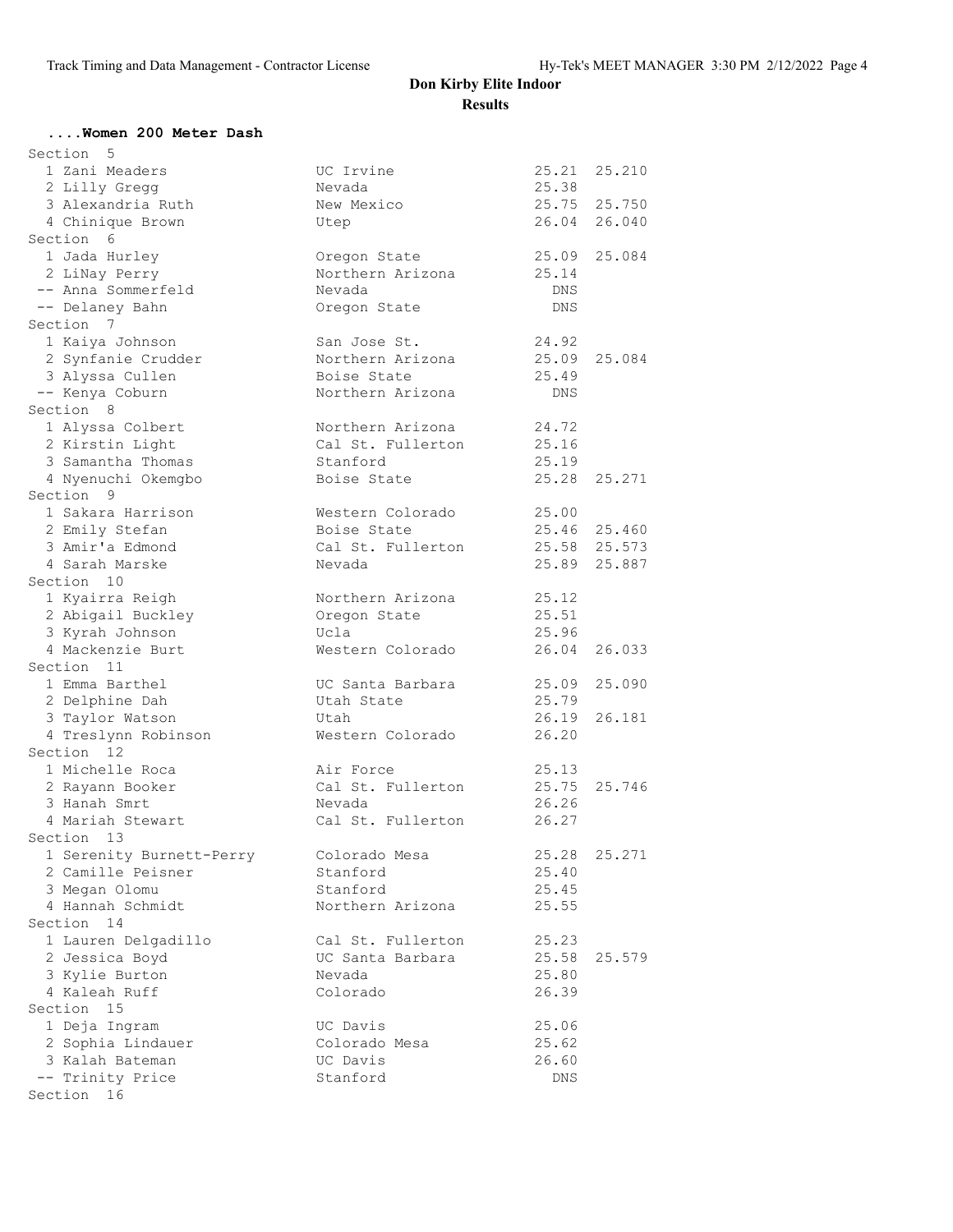#### **....Women 200 Meter Dash**

| Section<br>5             |                   |       |              |
|--------------------------|-------------------|-------|--------------|
| 1 Zani Meaders           | UC Irvine         | 25.21 | 25.210       |
| 2 Lilly Gregg            | Nevada            | 25.38 |              |
| 3 Alexandria Ruth        | New Mexico        |       | 25.75 25.750 |
| 4 Chinique Brown         | Utep              | 26.04 | 26.040       |
| Section 6                |                   |       |              |
| 1 Jada Hurley            | Oregon State      | 25.09 | 25.084       |
| 2 LiNay Perry            | Northern Arizona  | 25.14 |              |
| -- Anna Sommerfeld       | Nevada            | DNS   |              |
| -- Delaney Bahn          | Oregon State      | DNS   |              |
| Section 7                |                   |       |              |
| 1 Kaiya Johnson          | San Jose St.      | 24.92 |              |
| 2 Synfanie Crudder       | Northern Arizona  | 25.09 | 25.084       |
| 3 Alyssa Cullen          | Boise State       | 25.49 |              |
| -- Kenya Coburn          | Northern Arizona  | DNS   |              |
| Section 8                |                   |       |              |
| 1 Alyssa Colbert         | Northern Arizona  | 24.72 |              |
| 2 Kirstin Light          | Cal St. Fullerton | 25.16 |              |
| 3 Samantha Thomas        | Stanford          | 25.19 |              |
| 4 Nyenuchi Okemgbo       | Boise State       |       | 25.28 25.271 |
| Section 9                |                   |       |              |
| 1 Sakara Harrison        | Western Colorado  | 25.00 |              |
| 2 Emily Stefan           | Boise State       |       | 25.46 25.460 |
| 3 Amir'a Edmond          | Cal St. Fullerton |       | 25.58 25.573 |
| 4 Sarah Marske           | Nevada            | 25.89 | 25.887       |
| Section 10               |                   |       |              |
| 1 Kyairra Reigh          | Northern Arizona  | 25.12 |              |
| 2 Abigail Buckley        | Oregon State      | 25.51 |              |
| 3 Kyrah Johnson          | Ucla              | 25.96 |              |
| 4 Mackenzie Burt         | Western Colorado  | 26.04 | 26.033       |
| Section 11               |                   |       |              |
| 1 Emma Barthel           | UC Santa Barbara  | 25.09 | 25.090       |
| 2 Delphine Dah           | Utah State        | 25.79 |              |
| 3 Taylor Watson          | Utah              | 26.19 | 26.181       |
| 4 Treslynn Robinson      | Western Colorado  | 26.20 |              |
| Section 12               |                   |       |              |
| 1 Michelle Roca          | Air Force         | 25.13 |              |
| 2 Rayann Booker          | Cal St. Fullerton | 25.75 | 25.746       |
| 3 Hanah Smrt             | Nevada            | 26.26 |              |
| 4 Mariah Stewart         | Cal St. Fullerton | 26.27 |              |
| Section<br>13            |                   |       |              |
| 1 Serenity Burnett-Perry | Colorado Mesa     | 25.28 | 25.271       |
| 2 Camille Peisner        | Stanford          | 25.40 |              |
| 3 Megan Olomu            | Stanford          | 25.45 |              |
| 4 Hannah Schmidt         | Northern Arizona  | 25.55 |              |
| Section 14               |                   |       |              |
| 1 Lauren Delgadillo      | Cal St. Fullerton | 25.23 |              |
| 2 Jessica Boyd           | UC Santa Barbara  | 25.58 | 25.579       |
| 3 Kylie Burton           | Nevada            | 25.80 |              |
| 4 Kaleah Ruff            | Colorado          | 26.39 |              |
| Section 15               |                   |       |              |
| 1 Deja Ingram            | UC Davis          | 25.06 |              |
| 2 Sophia Lindauer        | Colorado Mesa     | 25.62 |              |
| 3 Kalah Bateman          | UC Davis          | 26.60 |              |
| -- Trinity Price         | Stanford          | DNS   |              |
| Section 16               |                   |       |              |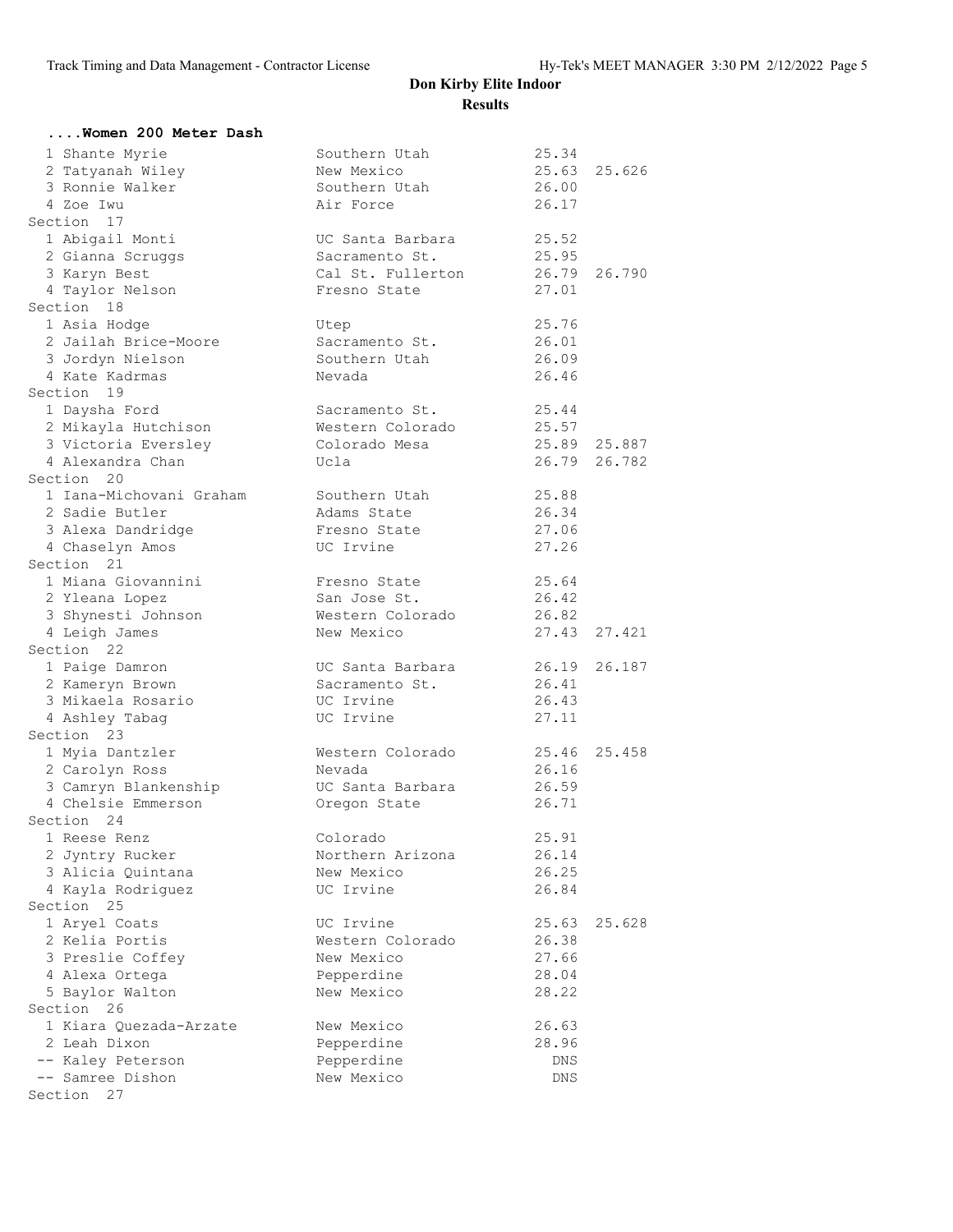| Women 200 Meter Dash                |                                     |                |              |
|-------------------------------------|-------------------------------------|----------------|--------------|
| 1 Shante Myrie                      | Southern Utah                       | 25.34          |              |
| 2 Tatyanah Wiley                    | New Mexico                          | 25.63          | 25.626       |
| 3 Ronnie Walker                     | Southern Utah                       | 26.00          |              |
| 4 Zoe Iwu                           | Air Force                           | 26.17          |              |
| Section 17                          |                                     |                |              |
| 1 Abigail Monti                     | UC Santa Barbara                    | 25.52          |              |
| 2 Gianna Scruggs                    | Sacramento St.<br>Cal St. Fullerton | 25.95          | 26.790       |
| 3 Karyn Best<br>4 Taylor Nelson     | Fresno State                        | 26.79<br>27.01 |              |
| Section 18                          |                                     |                |              |
| 1 Asia Hodge                        | Utep                                | 25.76          |              |
| 2 Jailah Brice-Moore                | Sacramento St.                      | 26.01          |              |
| 3 Jordyn Nielson                    | Southern Utah                       | 26.09          |              |
| 4 Kate Kadrmas                      | Nevada                              | 26.46          |              |
| Section 19                          |                                     |                |              |
| 1 Daysha Ford                       | Sacramento St.                      | 25.44          |              |
| 2 Mikayla Hutchison                 | Western Colorado                    | 25.57          |              |
| 3 Victoria Eversley                 | Colorado Mesa                       | 25.89 25.887   |              |
| 4 Alexandra Chan                    | Ucla                                | 26.79          | 26.782       |
| Section 20                          |                                     |                |              |
| 1 Iana-Michovani Graham             | Southern Utah                       | 25.88          |              |
| 2 Sadie Butler                      | Adams State                         | 26.34          |              |
| 3 Alexa Dandridge                   | Fresno State                        | 27.06          |              |
| 4 Chaselyn Amos                     | UC Irvine                           | 27.26          |              |
| Section 21                          |                                     |                |              |
| 1 Miana Giovannini                  | Fresno State                        | 25.64          |              |
| 2 Yleana Lopez                      | San Jose St.                        | 26.42<br>26.82 |              |
| 3 Shynesti Johnson<br>4 Leigh James | Western Colorado<br>New Mexico      |                | 27.43 27.421 |
| Section 22                          |                                     |                |              |
| 1 Paige Damron                      | UC Santa Barbara                    | 26.19          | 26.187       |
| 2 Kameryn Brown                     | Sacramento St.                      | 26.41          |              |
| 3 Mikaela Rosario                   | UC Irvine                           | 26.43          |              |
| 4 Ashley Tabag                      | UC Irvine                           | 27.11          |              |
| Section 23                          |                                     |                |              |
| 1 Myia Dantzler                     | Western Colorado                    | 25.46          | 25.458       |
| 2 Carolyn Ross                      | Nevada                              | 26.16          |              |
| 3 Camryn Blankenship                | UC Santa Barbara                    | 26.59          |              |
| 4 Chelsie Emmerson                  | Oregon State                        | 26.71          |              |
| Section 24                          |                                     |                |              |
| 1 Reese Renz                        | Colorado                            | 25.91          |              |
| 2 Jyntry Rucker                     | Northern Arizona                    | 26.14          |              |
| 3 Alicia Quintana                   | New Mexico                          | 26.25          |              |
| 4 Kayla Rodriquez                   | UC Irvine                           | 26.84          |              |
| Section 25                          |                                     |                |              |
| 1 Aryel Coats                       | UC Irvine                           | 25.63          | 25.628       |
| 2 Kelia Portis                      | Western Colorado                    | 26.38          |              |
| 3 Preslie Coffey                    | New Mexico                          | 27.66          |              |
| 4 Alexa Ortega                      | Pepperdine<br>New Mexico            | 28.04<br>28.22 |              |
| 5 Baylor Walton<br>Section 26       |                                     |                |              |
| 1 Kiara Quezada-Arzate              | New Mexico                          | 26.63          |              |
| 2 Leah Dixon                        | Pepperdine                          | 28.96          |              |
| -- Kaley Peterson                   | Pepperdine                          | DNS            |              |
| -- Samree Dishon                    | New Mexico                          | DNS            |              |
| Section 27                          |                                     |                |              |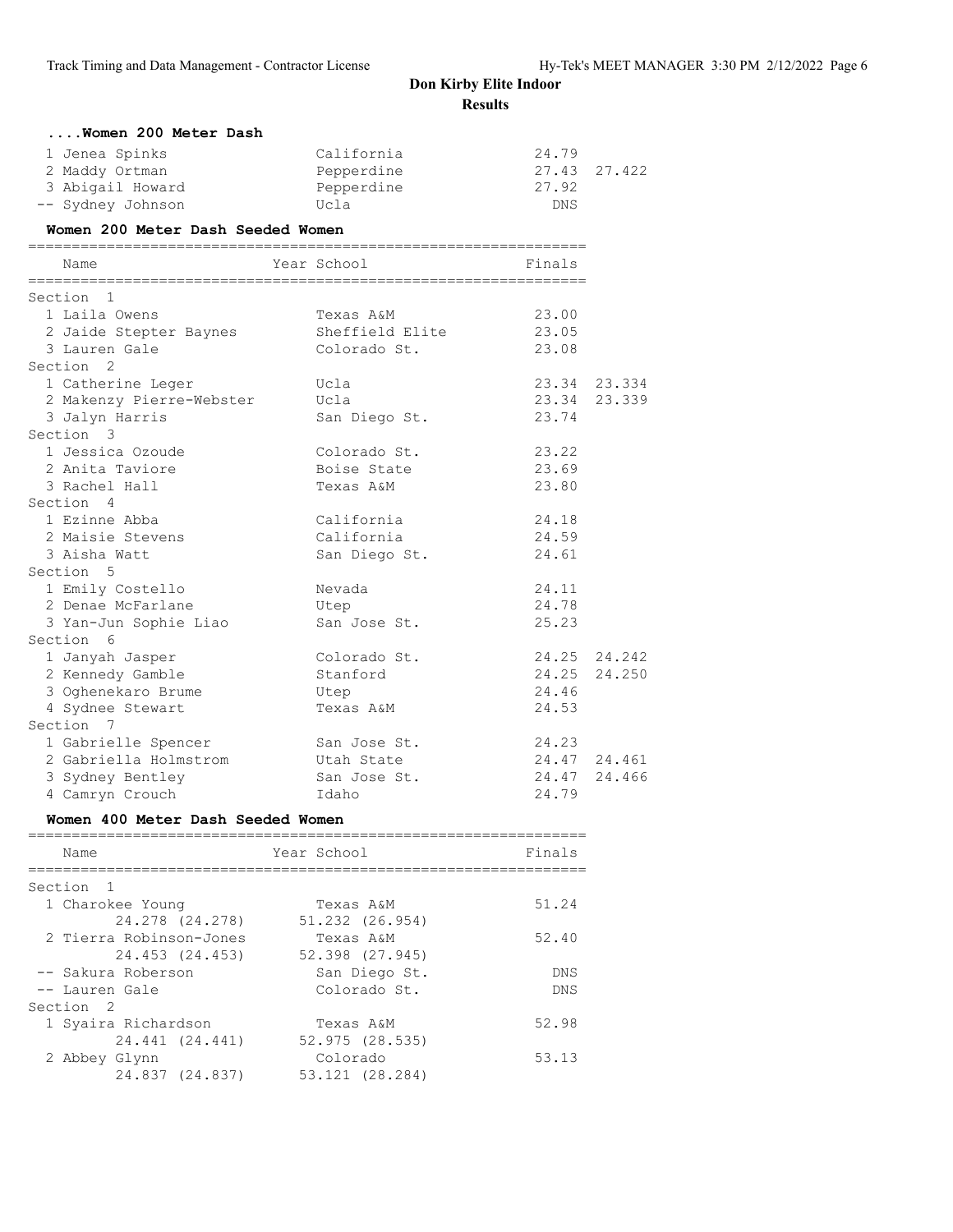| Women 200 Meter Dash                                                                |                                                     |                                  |                        |
|-------------------------------------------------------------------------------------|-----------------------------------------------------|----------------------------------|------------------------|
| 1 Jenea Spinks<br>2 Maddy Ortman<br>3 Abigail Howard<br>-- Sydney Johnson           | California<br>Pepperdine<br>Pepperdine<br>Ucla      | 24.79<br>27.92<br><b>DNS</b>     | 27.43 27.422           |
| Women 200 Meter Dash Seeded Women                                                   |                                                     |                                  |                        |
| Name                                                                                | Year School                                         | Finals                           |                        |
| Section 1                                                                           |                                                     |                                  |                        |
| 1 Laila Owens<br>2 Jaide Stepter Baynes<br>3 Lauren Gale                            | Texas A&M<br>Sheffield Elite<br>Colorado St.        | 23.00<br>23.05<br>23.08          |                        |
| Section 2                                                                           |                                                     |                                  |                        |
| 1 Catherine Leger<br>2 Makenzy Pierre-Webster                                       | Ucla<br>Ucla                                        | 23.34<br>23.74                   | 23.34 23.334<br>23.339 |
| 3 Jalyn Harris<br>Section 3                                                         | San Diego St.                                       |                                  |                        |
| 1 Jessica Ozoude<br>2 Anita Taviore<br>3 Rachel Hall                                | Colorado St.<br>Boise State<br>Texas A&M            | 23.22<br>23.69<br>23.80          |                        |
| Section 4                                                                           |                                                     |                                  |                        |
| 1 Ezinne Abba<br>2 Maisie Stevens<br>3 Aisha Watt                                   | California<br>California<br>San Diego St.           | 24.18<br>24.59<br>24.61          |                        |
| Section 5                                                                           |                                                     |                                  |                        |
| 1 Emily Costello<br>2 Denae McFarlane<br>3 Yan-Jun Sophie Liao                      | Nevada<br>Utep<br>San Jose St.                      | 24.11<br>24.78<br>25.23          |                        |
| Section 6                                                                           |                                                     |                                  |                        |
| 1 Janyah Jasper<br>2 Kennedy Gamble<br>3 Oghenekaro Brume<br>4 Sydnee Stewart       | Colorado St.<br>Stanford<br>Utep<br>Texas A&M       | 24.25<br>24.25<br>24.46<br>24.53 | 24.242<br>24.250       |
| Section 7                                                                           |                                                     |                                  |                        |
| 1 Gabrielle Spencer<br>2 Gabriella Holmstrom<br>3 Sydney Bentley<br>4 Camryn Crouch | San Jose St.<br>Utah State<br>San Jose St.<br>Idaho | 24.23<br>24.47<br>24.79          | 24.47 24.461<br>24.466 |
|                                                                                     |                                                     |                                  |                        |

#### **Women 400 Meter Dash Seeded Women**

| Name                      | Year School     | Finals     |
|---------------------------|-----------------|------------|
|                           |                 |            |
| Section<br>$\overline{1}$ |                 |            |
| 1 Charokee Young          | Texas A&M       | 51.24      |
| 24.278 (24.278)           | 51.232 (26.954) |            |
| 2 Tierra Robinson-Jones   | Texas A&M       | 52.40      |
| 24.453 (24.453)           | 52.398 (27.945) |            |
| -- Sakura Roberson        | San Diego St.   | <b>DNS</b> |
| -- Lauren Gale            | Colorado St.    | <b>DNS</b> |
| Section <sub>2</sub>      |                 |            |
| 1 Syaira Richardson       | Texas A&M       | 52.98      |
| 24.441 (24.441)           | 52.975(28.535)  |            |
| 2 Abbey Glynn             | Colorado        | 53.13      |
| 24.837 (24.837)           | 53.121 (28.284) |            |
|                           |                 |            |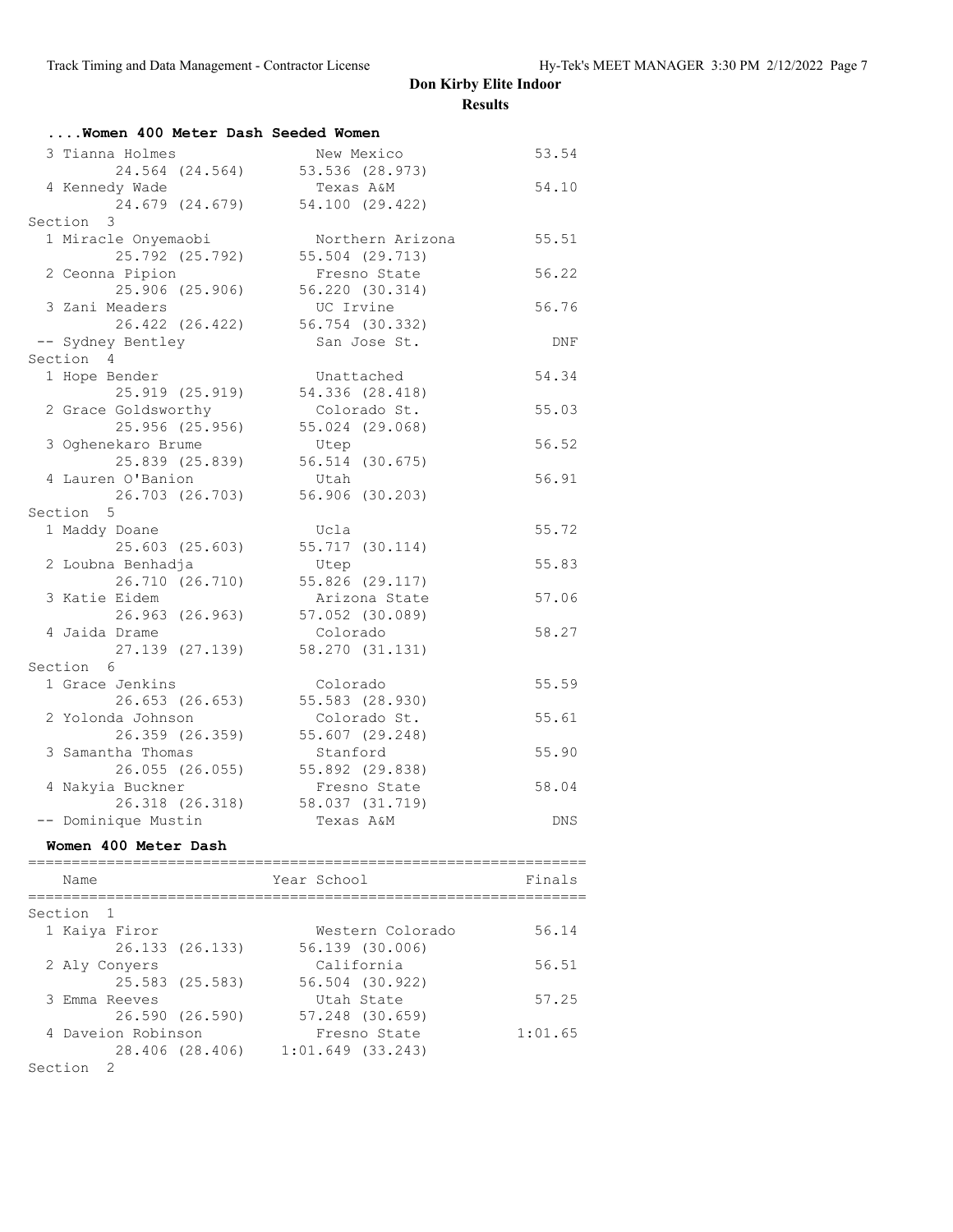| Women 400 Meter Dash Seeded Women |                  |       |
|-----------------------------------|------------------|-------|
| 3 Tianna Holmes                   | New Mexico       | 53.54 |
| 24.564 (24.564)                   | 53.536 (28.973)  |       |
| 4 Kennedy Wade                    | Texas A&M        | 54.10 |
| 24.679 (24.679)                   | 54.100 (29.422)  |       |
| Section 3                         |                  |       |
| 1 Miracle Onyemaobi               | Northern Arizona | 55.51 |
| 25.792 (25.792)                   | 55.504 (29.713)  |       |
| 2 Ceonna Pipion                   | Fresno State     | 56.22 |
| 25.906 (25.906)                   | 56.220 (30.314)  |       |
| 3 Zani Meaders                    | UC Irvine        | 56.76 |
| 26.422 (26.422)                   | 56.754 (30.332)  |       |
| -- Sydney Bentley                 | San Jose St.     | DNF   |
| Section 4                         |                  |       |
| 1 Hope Bender                     | Unattached       | 54.34 |
| 25.919 (25.919)                   | 54.336 (28.418)  |       |
| 2 Grace Goldsworthy               | Colorado St.     | 55.03 |
| 25.956 (25.956)                   | 55.024 (29.068)  |       |
| 3 Oghenekaro Brume                | Utep             | 56.52 |
| 25.839 (25.839)                   | 56.514 (30.675)  |       |
| 4 Lauren O'Banion                 | Utah             | 56.91 |
| 26.703 (26.703)                   | 56.906 (30.203)  |       |
| Section 5                         |                  |       |
| 1 Maddy Doane                     | Ucla             | 55.72 |
| 25.603 (25.603)                   | 55.717 (30.114)  |       |
| 2 Loubna Benhadja                 | Utep             | 55.83 |
| 26.710 (26.710)                   | 55.826 (29.117)  |       |
| 3 Katie Eidem                     | Arizona State    | 57.06 |
| 26.963 (26.963)                   | 57.052 (30.089)  |       |
| 4 Jaida Drame                     | Colorado         | 58.27 |
| 27.139 (27.139)                   | 58.270 (31.131)  |       |
| Section 6                         |                  |       |
| 1 Grace Jenkins                   | Colorado         | 55.59 |
| 26.653 (26.653)                   | 55.583 (28.930)  |       |
| 2 Yolonda Johnson                 | Colorado St.     | 55.61 |
| 26.359 (26.359)                   | 55.607 (29.248)  |       |
| 3 Samantha Thomas                 | Stanford         | 55.90 |
| 26.055 (26.055)                   | 55.892 (29.838)  |       |
| 4 Nakyia Buckner                  | Fresno State     | 58.04 |
| 26.318 (26.318)                   | 58.037 (31.719)  |       |
| -- Dominique Mustin               | Texas A&M        | DNS.  |
|                                   |                  |       |

#### **Women 400 Meter Dash**

| Name                      | Year School           | Finals  |
|---------------------------|-----------------------|---------|
| Section<br>$\overline{1}$ |                       |         |
| 1 Kaiya Firor             | Western Colorado      | 56.14   |
| 26.133 (26.133)           | 56.139 (30.006)       |         |
| 2 Aly Convers             | California            | 56.51   |
| 25.583 (25.583)           | 56.504 (30.922)       |         |
| 3 Emma Reeves             | Utah State            | 57.25   |
| 26.590 (26.590)           | 57.248 (30.659)       |         |
| 4 Daveion Robinson        | Fresno State          | 1:01.65 |
| 28.406 (28.406)           | $1:01.649$ $(33.243)$ |         |
| Section                   |                       |         |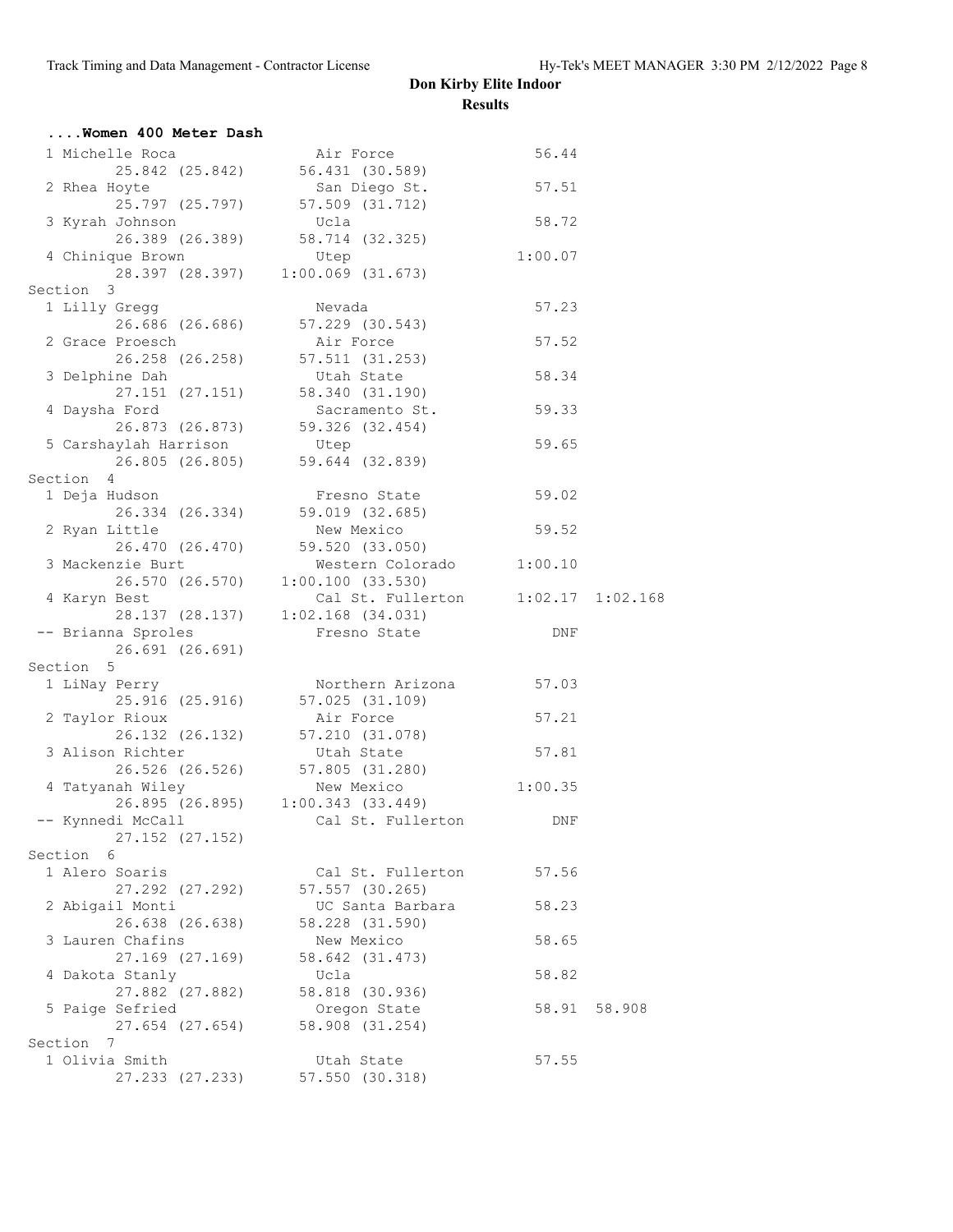| Women 400 Meter Dash         |                                   |            |                                 |                                    |              |
|------------------------------|-----------------------------------|------------|---------------------------------|------------------------------------|--------------|
| 1 Michelle Roca              |                                   |            | Air Force                       | 56.44                              |              |
|                              | 25.842 (25.842) 56.431 (30.589)   |            |                                 |                                    |              |
| 2 Rhea Hoyte                 |                                   |            | San Diego St.                   | 57.51                              |              |
| 25.797 (25.797)              |                                   |            | 57.509 (31.712)                 |                                    |              |
| 3 Kyrah Johnson              |                                   | Ucla       |                                 | 58.72                              |              |
|                              |                                   |            | 26.389 (26.389) 58.714 (32.325) |                                    |              |
| 4 Chinique Brown             |                                   | Utep       |                                 | 1:00.07                            |              |
|                              | 28.397 (28.397) 1:00.069 (31.673) |            |                                 |                                    |              |
| Section 3                    |                                   |            |                                 |                                    |              |
| 1 Lilly Gregg                |                                   | Nevada     |                                 | 57.23                              |              |
|                              |                                   |            | 26.686 (26.686) 57.229 (30.543) |                                    |              |
| 2 Grace Proesch              |                                   | Air Force  |                                 | 57.52                              |              |
|                              |                                   |            | 26.258 (26.258) 57.511 (31.253) |                                    |              |
| 3 Delphine Dah               |                                   | Utah State |                                 | 58.34                              |              |
|                              | 27.151 (27.151) 58.340 (31.190)   |            |                                 |                                    |              |
| 4 Daysha Ford                |                                   |            | Sacramento St.                  | 59.33                              |              |
|                              | 26.873 (26.873) 59.326 (32.454)   |            |                                 |                                    |              |
| 5 Carshaylah Harrison        |                                   | Utep       |                                 | 59.65                              |              |
|                              | 26.805 (26.805) 59.644 (32.839)   |            |                                 |                                    |              |
| Section 4                    |                                   |            |                                 |                                    |              |
| 1 Deja Hudson                | 26.334 (26.334) 59.019 (32.685)   |            | Fresno State                    | 59.02                              |              |
| 2 Ryan Little                |                                   |            | New Mexico                      | 59.52                              |              |
|                              |                                   |            | 26.470 (26.470) 59.520 (33.050) |                                    |              |
| 3 Mackenzie Burt             |                                   |            | Western Colorado 1:00.10        |                                    |              |
|                              |                                   |            |                                 |                                    |              |
| 4 Karyn Best                 | 26.570 (26.570) 1:00.100 (33.530) |            |                                 | Cal St. Fullerton 1:02.17 1:02.168 |              |
|                              | 28.137 (28.137)                   |            | $1:02.168$ $(34.031)$           |                                    |              |
| -- Brianna Sproles           |                                   |            | Fresno State                    | DNF                                |              |
| 26.691 (26.691)              |                                   |            |                                 |                                    |              |
| Section 5                    |                                   |            |                                 |                                    |              |
| 1 LiNay Perry                |                                   |            |                                 | Northern Arizona 57.03             |              |
|                              | 25.916 (25.916) 57.025 (31.109)   |            |                                 |                                    |              |
| 2 Taylor Rioux               |                                   |            | Air Force                       | 57.21                              |              |
|                              |                                   |            | 26.132 (26.132) 57.210 (31.078) |                                    |              |
| 3 Alison Richter             |                                   | Utah State |                                 | 57.81                              |              |
|                              |                                   |            | 26.526 (26.526) 57.805 (31.280) |                                    |              |
| 4 Tatyanah Wiley             |                                   | New Mexico |                                 | 1:00.35                            |              |
|                              | 26.895 (26.895) 1:00.343 (33.449) |            |                                 |                                    |              |
| -- Kynnedi McCall            |                                   |            | Cal St. Fullerton               | DNF                                |              |
| 27.152 (27.152)              |                                   |            |                                 |                                    |              |
| Section 6                    |                                   |            |                                 |                                    |              |
| 1 Alero Soaris               |                                   |            | Cal St. Fullerton               | 57.56                              |              |
| 27.292 (27.292)              |                                   |            | 57.557 (30.265)                 |                                    |              |
| 2 Abigail Monti              |                                   |            | UC Santa Barbara                | 58.23                              |              |
| 26.638 (26.638)              |                                   |            | 58.228 (31.590)                 |                                    |              |
| 3 Lauren Chafins             |                                   |            | New Mexico                      | 58.65                              |              |
| 27.169 (27.169)              |                                   |            | 58.642 (31.473)                 |                                    |              |
| 4 Dakota Stanly              |                                   | Ucla       |                                 | 58.82                              |              |
| 27.882 (27.882)              |                                   |            | 58.818 (30.936)                 |                                    |              |
| 5 Paige Sefried              |                                   |            | Oregon State                    |                                    | 58.91 58.908 |
| 27.654 (27.654)<br>Section 7 |                                   |            | 58.908 (31.254)                 |                                    |              |
| 1 Olivia Smith               |                                   |            | Utah State                      | 57.55                              |              |
| 27.233 (27.233)              |                                   |            | 57.550 (30.318)                 |                                    |              |
|                              |                                   |            |                                 |                                    |              |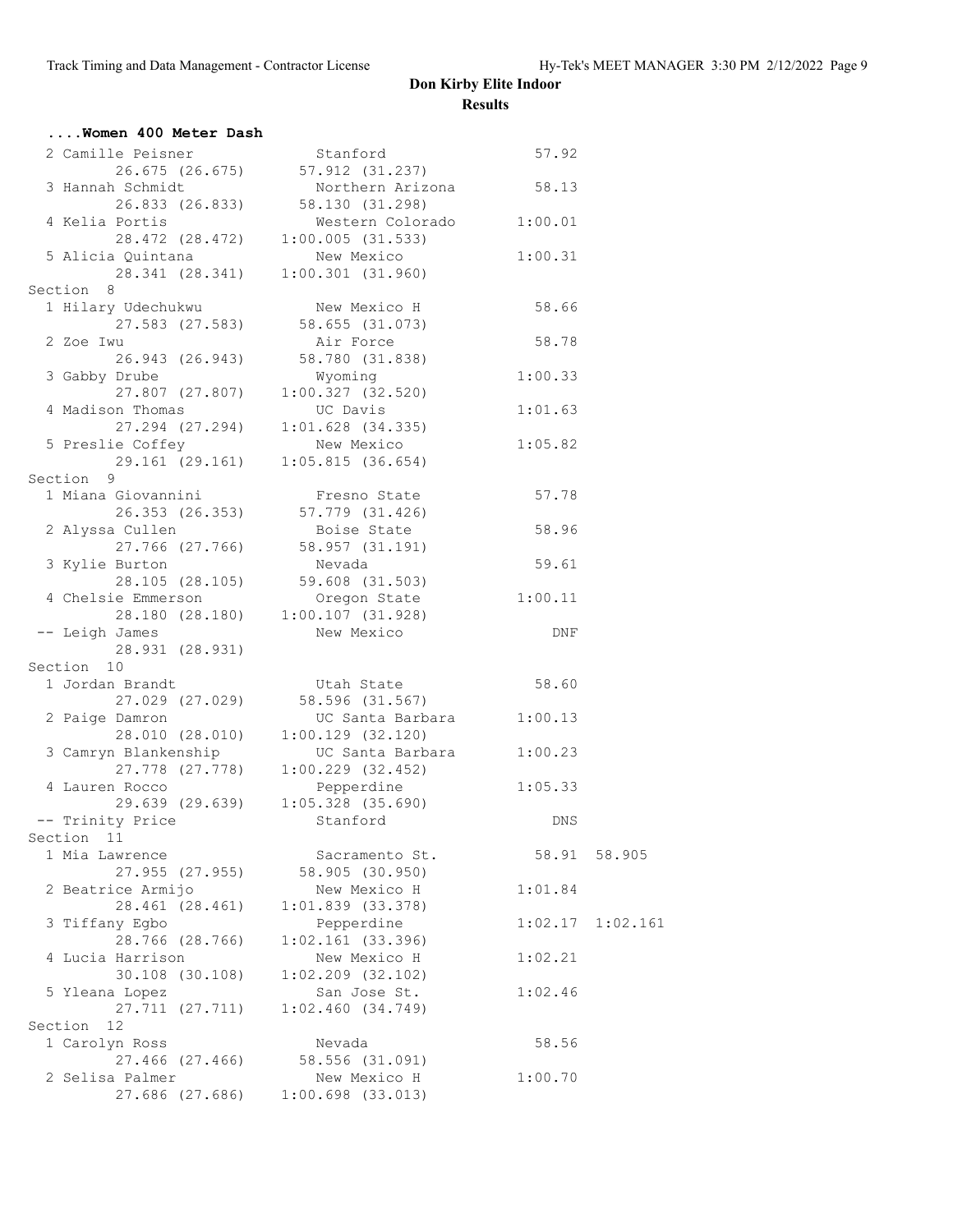| Women 400 Meter Dash                                                                  |                                       |         |              |
|---------------------------------------------------------------------------------------|---------------------------------------|---------|--------------|
| 2 Camille Peisner<br>26.675 (26.675) 57.912 (31.237)<br>3 Hannah Schmidt Namthews 3.1 |                                       |         |              |
|                                                                                       |                                       |         |              |
| 3 Hannah Schmidt                                                                      | Northern Arizona 58.13                |         |              |
|                                                                                       | 26.833 (26.833) 58.130 (31.298)       |         |              |
| 4 Kelia Portis                                                                        | Western Colorado 1:00.01              |         |              |
|                                                                                       | 28.472 (28.472) 1:00.005 (31.533)     |         |              |
|                                                                                       |                                       | 1:00.31 |              |
|                                                                                       |                                       |         |              |
| Section 8                                                                             |                                       |         |              |
| 1 Hilary Udechukwu       New Mexico H       58.66                                     |                                       |         |              |
|                                                                                       | $27.583$ (27.583) 58.655 (31.073)     |         |              |
| 2 Zoe Iwu                                                                             | Air Force                             | 58.78   |              |
| 26.943 (26.943) 58.780 (31.838)                                                       |                                       |         |              |
| 3 Gabby Drube                                                                         | Wyoming                               | 1:00.33 |              |
|                                                                                       | $27.807$ (27.807) $1:00.327$ (32.520) |         |              |
| 4 Madison Thomas                                                                      | UC Davis                              | 1:01.63 |              |
|                                                                                       | 27.294 (27.294) 1:01.628 (34.335)     |         |              |
| 5 Preslie Coffey Mew Mexico 1:05.82                                                   |                                       |         |              |
|                                                                                       | 29.161 (29.161) 1:05.815 (36.654)     |         |              |
| Section 9                                                                             |                                       |         |              |
| 1 Miana Giovannini                                                                    | Fresno State 57.78                    |         |              |
|                                                                                       | 26.353 (26.353) 57.779 (31.426)       |         |              |
| 2 Alyssa Cullen                                                                       | Boise State                           | 58.96   |              |
|                                                                                       | 27.766 (27.766) 58.957 (31.191)       |         |              |
|                                                                                       |                                       |         |              |
|                                                                                       |                                       |         |              |
|                                                                                       |                                       |         |              |
|                                                                                       | 28.180 (28.180) 1:00.107 (31.928)     |         |              |
| -- Leigh James                                                                        | New Mexico                            | DNF     |              |
| 28.931 (28.931)                                                                       |                                       |         |              |
| Section 10                                                                            |                                       |         |              |
|                                                                                       |                                       | 58.60   |              |
|                                                                                       |                                       |         |              |
| 2 Paige Damron<br>28.010 (28.010) UC Santa Barbara 1:00.13                            |                                       |         |              |
|                                                                                       |                                       |         |              |
| 3 Camryn Blankenship UC Santa Barbara 1:00.23                                         |                                       |         |              |
|                                                                                       | 27.778 (27.778) 1:00.229 (32.452)     |         |              |
| 4 Lauren Rocco                                                                        | Pepperdine                            | 1:05.33 |              |
|                                                                                       | 29.639 (29.639) $1:05.328$ (35.690)   |         |              |
| -- Trinity Price Stanford                                                             |                                       | DNS     |              |
| Section 11                                                                            |                                       |         |              |
| 1 Mia Lawrence                                                                        | Sacramento St.                        |         | 58.91 58.905 |
| 27.955 (27.955)                                                                       | 58.905 (30.950)                       |         |              |
| 2 Beatrice Armijo                                                                     | New Mexico H                          | 1:01.84 |              |
| 28.461 (28.461)                                                                       | $1:01.839$ $(33.378)$                 |         |              |
| 3 Tiffany Egbo                                                                        | Pepperdine                            | 1:02.17 | 1:02.161     |
| 28.766 (28.766)                                                                       | $1:02.161$ (33.396)                   |         |              |
| 4 Lucia Harrison                                                                      | New Mexico H                          | 1:02.21 |              |
| 30.108 (30.108)                                                                       | $1:02.209$ (32.102)                   |         |              |
| 5 Yleana Lopez                                                                        | San Jose St.                          | 1:02.46 |              |
| 27.711 (27.711)                                                                       | 1:02.460(34.749)                      |         |              |
| Section 12                                                                            |                                       |         |              |
| 1 Carolyn Ross                                                                        | Nevada                                | 58.56   |              |
| 27.466 (27.466)                                                                       | 58.556 (31.091)                       |         |              |
| 2 Selisa Palmer                                                                       | New Mexico H                          | 1:00.70 |              |
| 27.686 (27.686)                                                                       | $1:00.698$ (33.013)                   |         |              |
|                                                                                       |                                       |         |              |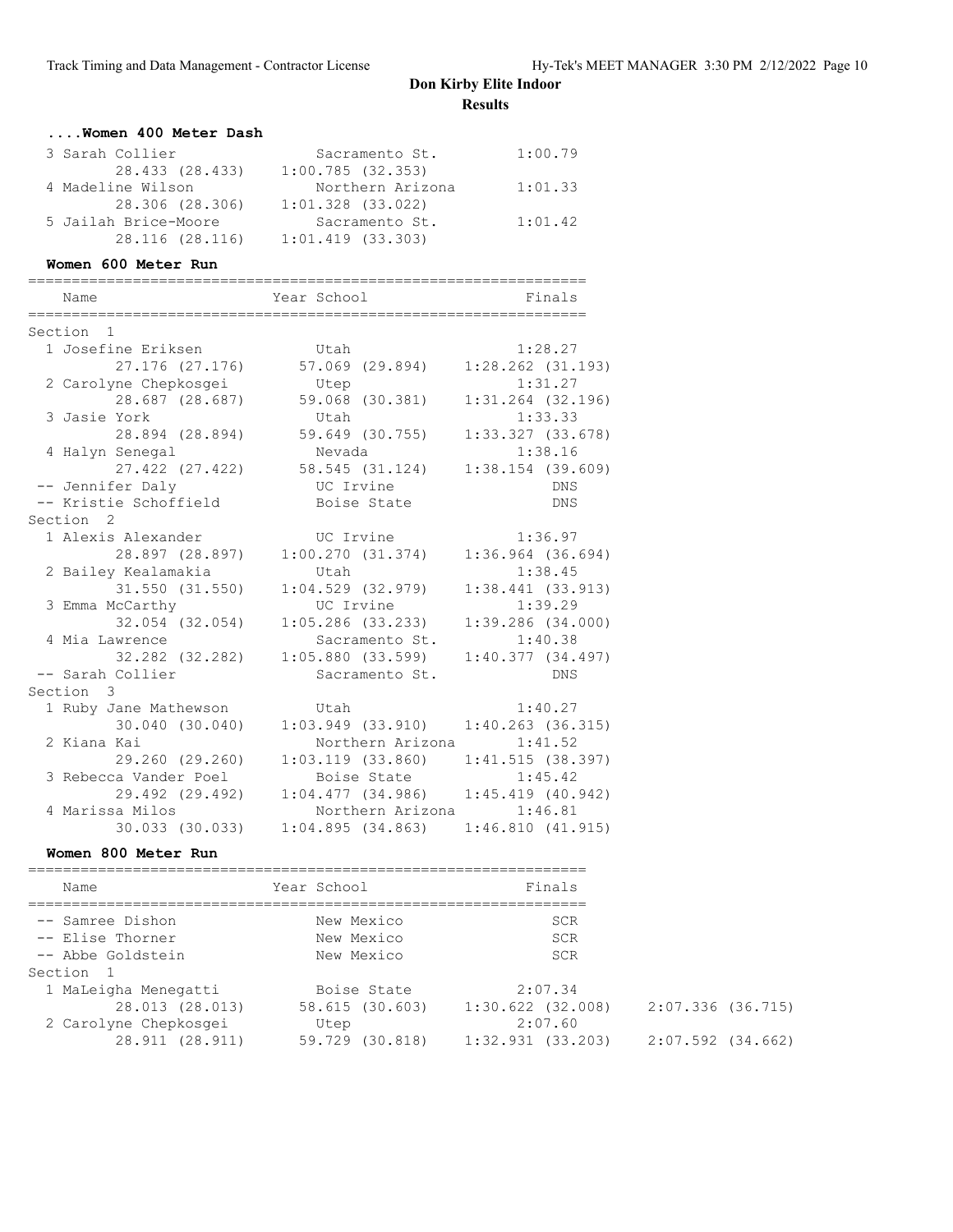| Women 400 Meter Dash |                       |         |
|----------------------|-----------------------|---------|
| 3 Sarah Collier      | Sacramento St.        | 1:00.79 |
| 28.433 (28.433)      | 1:00.785(32.353)      |         |
| 4 Madeline Wilson    | Northern Arizona      | 1:01.33 |
| 28.306 (28.306)      | $1:01.328$ $(33.022)$ |         |
| 5 Jailah Brice-Moore | Sacramento St.        | 1:01.42 |
| 28.116 (28.116)      | $1:01.419$ $(33.303)$ |         |
|                      |                       |         |

#### **Women 600 Meter Run**

| ===========<br>Name   | Year School           | ;======================<br>Finals |
|-----------------------|-----------------------|-----------------------------------|
|                       |                       |                                   |
| Section 1             |                       |                                   |
| 1 Josefine Eriksen    | Utah                  | 1:28.27                           |
| 27.176 (27.176)       | 57.069 (29.894)       | $1:28.262$ $(31.193)$             |
| 2 Carolyne Chepkosgei | Utep                  | 1:31.27                           |
| 28.687 (28.687)       | 59.068 (30.381)       | $1:31.264$ $(32.196)$             |
| 3 Jasie York          | Utah                  | 1:33.33                           |
| 28.894 (28.894)       | 59.649 (30.755)       | 1:33.327(33.678)                  |
| 4 Halyn Senegal       | Nevada                | 1:38.16                           |
| 27.422 (27.422)       | 58.545 (31.124)       | $1:38.154$ (39.609)               |
| -- Jennifer Daly      | UC Irvine             | <b>DNS</b>                        |
| -- Kristie Schoffield | Boise State           | <b>DNS</b>                        |
| Section <sub>2</sub>  |                       |                                   |
| 1 Alexis Alexander    | UC Irvine             | 1:36.97                           |
| 28.897 (28.897)       | 1:00.270(31.374)      | $1:36.964$ $(36.694)$             |
| 2 Bailey Kealamakia   | Utah                  | 1:38.45                           |
| 31.550 (31.550)       | $1:04.529$ (32.979)   | 1:38.441(33.913)                  |
| 3 Emma McCarthy       | UC Irvine             | 1:39.29                           |
| 32.054 (32.054)       | $1:05.286$ (33.233)   | 1:39.286(34.000)                  |
| 4 Mia Lawrence        | Sacramento St.        | 1:40.38                           |
| 32.282 (32.282)       | $1:05.880$ (33.599)   | 1:40.377(34.497)                  |
| -- Sarah Collier      | Sacramento St.        | <b>DNS</b>                        |
| Section 3             |                       |                                   |
| 1 Ruby Jane Mathewson | Utah                  | 1:40.27                           |
| 30.040 (30.040)       | $1:03.949$ $(33.910)$ | $1:40.263$ (36.315)               |
| 2 Kiana Kai           | Northern Arizona      | 1:41.52                           |
| 29.260 (29.260)       | $1:03.119$ $(33.860)$ | 1:41.515(38.397)                  |
| 3 Rebecca Vander Poel | Boise State           | 1:45.42                           |
| 29.492 (29.492)       | 1:04.477(34.986)      | $1:45.419$ (40.942)               |
| 4 Marissa Milos       | Northern Arizona      | 1:46.81                           |
| 30.033 (30.033)       | 1:04.895(34.863)      | 1:46.810(41.915)                  |

#### **Women 800 Meter Run**

| Name                  | Year School     | Finals                |                   |
|-----------------------|-----------------|-----------------------|-------------------|
| -- Samree Dishon      | New Mexico      | <b>SCR</b>            |                   |
| -- Elise Thorner      | New Mexico      | SCR                   |                   |
| -- Abbe Goldstein     | New Mexico      | <b>SCR</b>            |                   |
| Section 1             |                 |                       |                   |
| 1 MaLeigha Menegatti  | Boise State     | 2:07.34               |                   |
| 28.013 (28.013)       | 58.615 (30.603) | $1:30.622$ $(32.008)$ | 2:07.336 (36.715) |
| 2 Carolyne Chepkosgei | Utep            | 2:07.60               |                   |
| 28.911 (28.911)       | 59.729 (30.818) | 1:32.931(33.203)      | 2:07.592 (34.662) |
|                       |                 |                       |                   |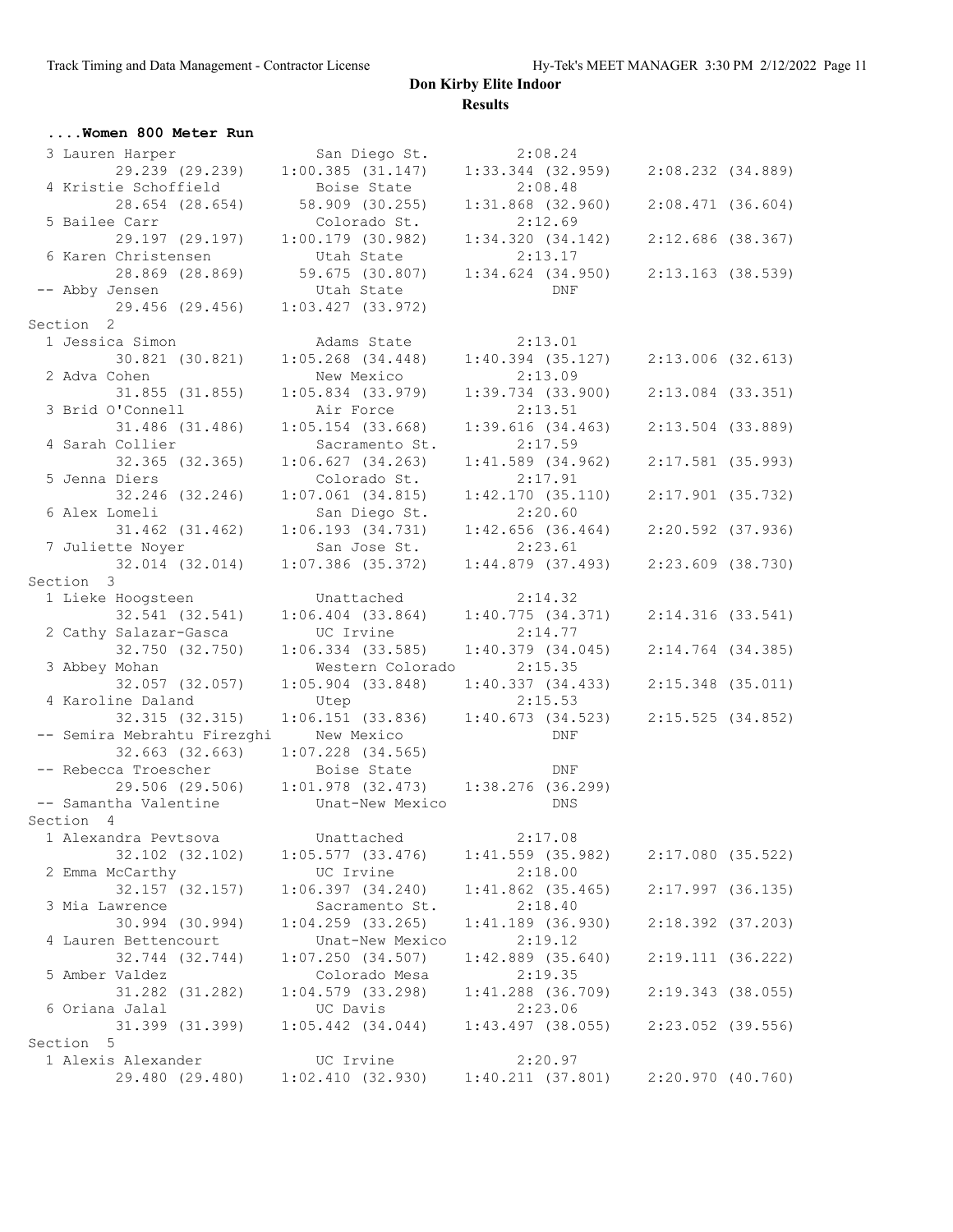| Women 800 Meter Run         |                                                     |                       |                       |  |
|-----------------------------|-----------------------------------------------------|-----------------------|-----------------------|--|
| 3 Lauren Harper             | San Diego St.                                       | 2:08.24               |                       |  |
| 29.239 (29.239)             | $1:00.385$ (31.147)                                 | $1:33.344$ (32.959)   | $2:08.232$ $(34.889)$ |  |
| 4 Kristie Schoffield        | Boise State                                         | 2:08.48               |                       |  |
| 28.654 (28.654)             | 58.909 (30.255)                                     | $1:31.868$ (32.960)   | $2:08.471$ (36.604)   |  |
| 5 Bailee Carr               | Colorado St.                                        | 2:12.69               |                       |  |
| 29.197 (29.197)             | $1:00.179$ (30.982)                                 | 1:34.320(34.142)      | $2:12.686$ (38.367)   |  |
| 6 Karen Christensen         | Utah State                                          | 2:13.17               |                       |  |
| 28.869 (28.869)             | 59.675 (30.807)                                     | $1:34.624$ $(34.950)$ | 2:13.163 (38.539)     |  |
| -- Abby Jensen              | Utah State                                          | DNF                   |                       |  |
| 29.456 (29.456)             | $1:03.427$ (33.972)                                 |                       |                       |  |
| Section 2                   |                                                     |                       |                       |  |
| 1 Jessica Simon             | Adams State                                         | 2:13.01               |                       |  |
| 30.821 (30.821)             | $1:05.268$ $(34.448)$                               | $1:40.394$ (35.127)   | $2:13.006$ (32.613)   |  |
| 2 Adva Cohen                | New Mexico                                          | 2:13.09               |                       |  |
| 31.855 (31.855)             | $1:05.834$ $(33.979)$                               | $1:39.734$ (33.900)   | $2:13.084$ $(33.351)$ |  |
| 3 Brid O'Connell            | Air Force                                           | 2:13.51               |                       |  |
| 31.486 (31.486)             | $1:05.154$ (33.668)                                 | 1:39.616(34.463)      | $2:13.504$ (33.889)   |  |
| 4 Sarah Collier             | Sacramento St.                                      | 2:17.59               |                       |  |
| 32.365 (32.365)             | 1:06.627(34.263)                                    | $1:41.589$ (34.962)   | 2:17.581 (35.993)     |  |
| 5 Jenna Diers               | Colorado St.                                        | 2:17.91               |                       |  |
| 32.246 (32.246)             | $1:07.061$ (34.815)                                 | 1:42.170(35.110)      | 2:17.901 (35.732)     |  |
| 6 Alex Lomeli               | San Diego St.                                       | 2:20.60               |                       |  |
| 31.462 (31.462)             | 1:06.193(34.731)                                    | $1:42.656$ (36.464)   | 2:20.592 (37.936)     |  |
| 7 Juliette Noyer            | San Jose St.                                        | 2:23.61               |                       |  |
| 32.014 (32.014)             | $1:07.386$ (35.372)                                 | $1:44.879$ (37.493)   | 2:23.609 (38.730)     |  |
| Section 3                   |                                                     |                       |                       |  |
| 1 Lieke Hoogsteen           | Unattached                                          | 2:14.32               |                       |  |
| 32.541 (32.541)             | $1:06.404$ (33.864) $1:40.775$ (34.371)             |                       | $2:14.316$ (33.541)   |  |
| 2 Cathy Salazar-Gasca       | UC Irvine                                           | 2:14.77               |                       |  |
| 32.750 (32.750)             | $1:06.334$ (33.585)                                 | $1:40.379$ (34.045)   | $2:14.764$ (34.385)   |  |
| 3 Abbey Mohan               | Western Colorado                                    | 2:15.35               |                       |  |
| 32.057 (32.057)             | $1:05.904$ (33.848)                                 | 1:40.337(34.433)      | 2:15.348 (35.011)     |  |
| 4 Karoline Daland           | Utep                                                | 2:15.53               |                       |  |
| 32.315 (32.315)             | 1:06.151(33.836)                                    | 1:40.673(34.523)      | $2:15.525$ (34.852)   |  |
| -- Semira Mebrahtu Firezghi | New Mexico                                          | DNF                   |                       |  |
| 32.663 (32.663)             | $1:07.228$ (34.565)                                 |                       |                       |  |
| -- Rebecca Troescher        | Boise State                                         | DNF                   |                       |  |
|                             | 29.506 (29.506) 1:01.978 (32.473) 1:38.276 (36.299) |                       |                       |  |
| -- Samantha Valentine       | Unat-New Mexico                                     | DNS                   |                       |  |
| Section 4                   |                                                     |                       |                       |  |
| 1 Alexandra Pevtsova        | Unattached                                          | 2:17.08               |                       |  |
| 32.102 (32.102)             | 1:05.577(33.476)                                    | $1:41.559$ (35.982)   | $2:17.080$ (35.522)   |  |
| 2 Emma McCarthy             | UC Irvine                                           | 2:18.00               |                       |  |
| 32.157 (32.157)             | 1:06.397(34.240)                                    | $1:41.862$ (35.465)   | $2:17.997$ (36.135)   |  |
| 3 Mia Lawrence              | Sacramento St.                                      | 2:18.40               |                       |  |
| 30.994 (30.994)             | $1:04.259$ $(33.265)$                               | 1:41.189 (36.930)     | $2:18.392$ (37.203)   |  |
| 4 Lauren Bettencourt        | Unat-New Mexico                                     | 2:19.12               |                       |  |
| 32.744 (32.744)             | 1:07.250(34.507)                                    | $1:42.889$ $(35.640)$ | 2:19.111(36.222)      |  |
| 5 Amber Valdez              | Colorado Mesa                                       | 2:19.35               |                       |  |
| 31.282 (31.282)             | $1:04.579$ (33.298)                                 | $1:41.288$ (36.709)   | 2:19.343 (38.055)     |  |
| 6 Oriana Jalal              | UC Davis                                            | 2:23.06               |                       |  |
| 31.399 (31.399)             | $1:05.442$ $(34.044)$                               | $1:43.497$ (38.055)   | 2:23.052 (39.556)     |  |
| 5<br>Section                |                                                     |                       |                       |  |
| 1 Alexis Alexander          | UC Irvine                                           | 2:20.97               |                       |  |
| 29.480 (29.480)             | 1:02.410(32.930)                                    | 1:40.211(37.801)      | 2:20.970(40.760)      |  |
|                             |                                                     |                       |                       |  |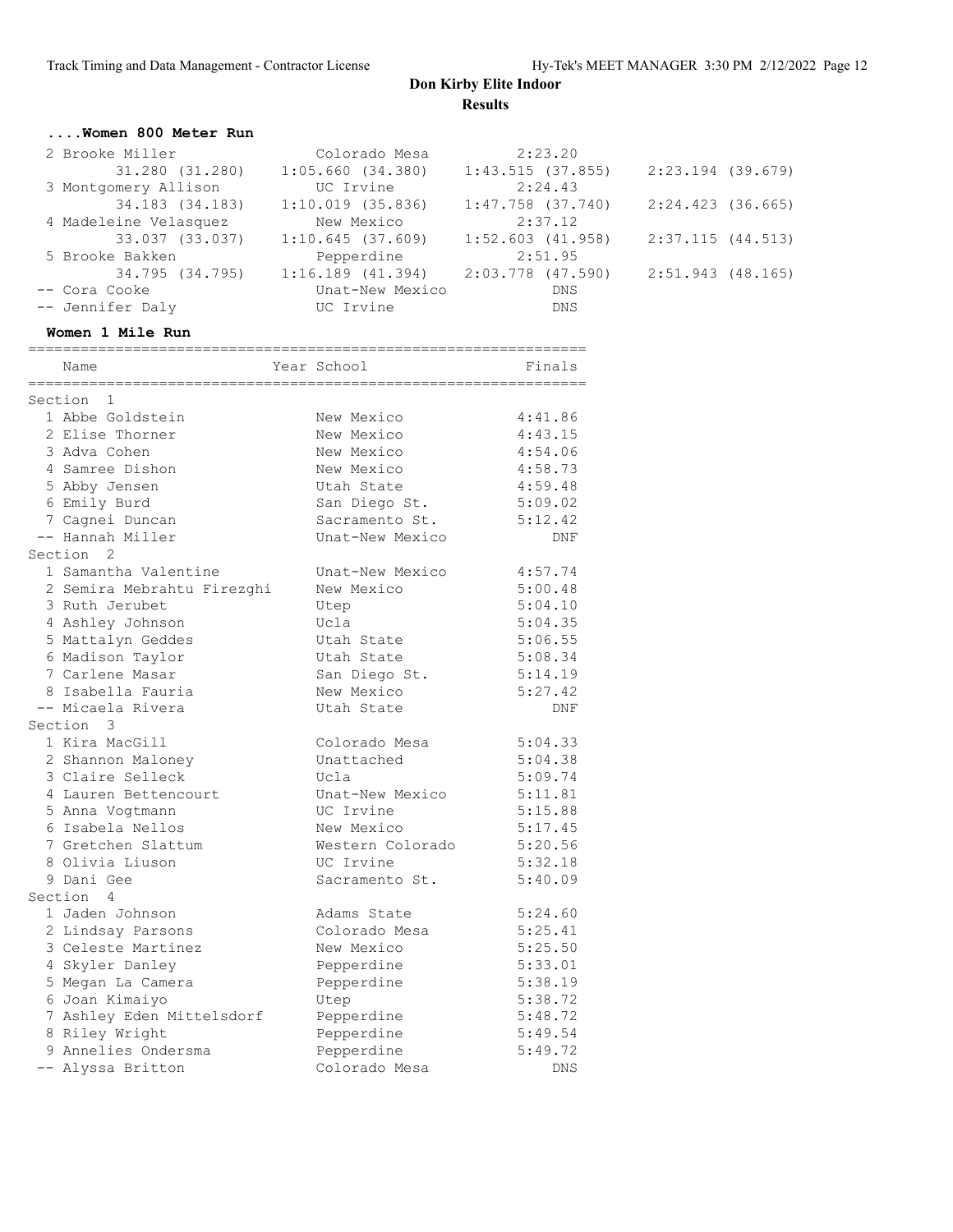#### **....Women 800 Meter Run**

| 2 Brooke Miller       | Colorado Mesa         | 2:23.20               |                   |
|-----------------------|-----------------------|-----------------------|-------------------|
| 31.280 (31.280)       | 1:05.660(34.380)      | 1:43.515(37.855)      | 2:23.194 (39.679) |
| 3 Montgomery Allison  | UC Irvine             | 2:24.43               |                   |
| 34.183 (34.183)       | $1:10.019$ (35.836)   | $1:47.758$ $(37.740)$ | 2:24.423 (36.665) |
| 4 Madeleine Velasquez | New Mexico            | 2:37.12               |                   |
| 33.037 (33.037)       | 1:10.645(37.609)      | $1:52.603$ $(41.958)$ | 2:37.115(44.513)  |
| 5 Brooke Bakken       | Pepperdine            | 2:51.95               |                   |
| 34.795 (34.795)       | $1:16.189$ $(41.394)$ | 2:03.778 (47.590)     | 2:51.943 (48.165) |
| -- Cora Cooke         | Unat-New Mexico       | DNS                   |                   |
| -- Jennifer Daly      | UC Irvine             | DNS                   |                   |

================================================================

#### **Women 1 Mile Run**

| Name                                     | Year School      | Finals             |
|------------------------------------------|------------------|--------------------|
| Section 1                                |                  |                    |
| 1 Abbe Goldstein                         | New Mexico       | 4:41.86            |
| 2 Elise Thorner                          | New Mexico       | 4:43.15            |
| 3 Adva Cohen                             | New Mexico       | 4:54.06            |
| 4 Samree Dishon                          | New Mexico       | 4:58.73            |
|                                          | Utah State       | 4:59.48            |
| 5 Abby Jensen                            |                  |                    |
| 6 Emily Burd                             | San Diego St.    | 5:09.02<br>5:12.42 |
| 7 Cagnei Duncan                          | Sacramento St.   |                    |
| -- Hannah Miller<br>Section <sub>2</sub> | Unat-New Mexico  | <b>DNF</b>         |
|                                          |                  |                    |
| 1 Samantha Valentine                     | Unat-New Mexico  | 4:57.74            |
| 2 Semira Mebrahtu Firezghi               | New Mexico       | 5:00.48            |
| 3 Ruth Jerubet                           | Utep             | 5:04.10            |
| 4 Ashley Johnson                         | Ucla             | 5:04.35            |
| 5 Mattalyn Geddes                        | Utah State       | 5:06.55            |
| 6 Madison Taylor                         | Utah State       | 5:08.34            |
| 7 Carlene Masar                          | San Diego St.    | 5:14.19            |
| 8 Isabella Fauria                        | New Mexico       | 5:27.42            |
| -- Micaela Rivera                        | Utah State       | <b>DNF</b>         |
| Section 3                                |                  |                    |
| 1 Kira MacGill                           | Colorado Mesa    | 5:04.33            |
| 2 Shannon Maloney                        | Unattached       | 5:04.38            |
| 3 Claire Selleck                         | Ucla             | 5:09.74            |
| 4 Lauren Bettencourt                     | Unat-New Mexico  | 5:11.81            |
| 5 Anna Vogtmann                          | UC Irvine        | 5:15.88            |
| 6 Isabela Nellos                         | New Mexico       | 5:17.45            |
| 7 Gretchen Slattum                       | Western Colorado | 5:20.56            |
| 8 Olivia Liuson                          | UC Irvine        | 5:32.18            |
| 9 Dani Gee                               | Sacramento St.   | 5:40.09            |
| Section<br>4                             |                  |                    |
| 1 Jaden Johnson                          | Adams State      | 5:24.60            |
| 2 Lindsay Parsons                        | Colorado Mesa    | 5:25.41            |
| 3 Celeste Martinez                       | New Mexico       | 5:25.50            |
| 4 Skyler Danley                          | Pepperdine       | 5:33.01            |
| 5 Megan La Camera                        | Pepperdine       | 5:38.19            |
| 6 Joan Kimaiyo                           | Utep             | 5:38.72            |
| 7 Ashley Eden Mittelsdorf                | Pepperdine       | 5:48.72            |
| 8 Riley Wright                           | Pepperdine       | 5:49.54            |
| 9 Annelies Ondersma                      | Pepperdine       | 5:49.72            |
| -- Alyssa Britton                        | Colorado Mesa    | DNS                |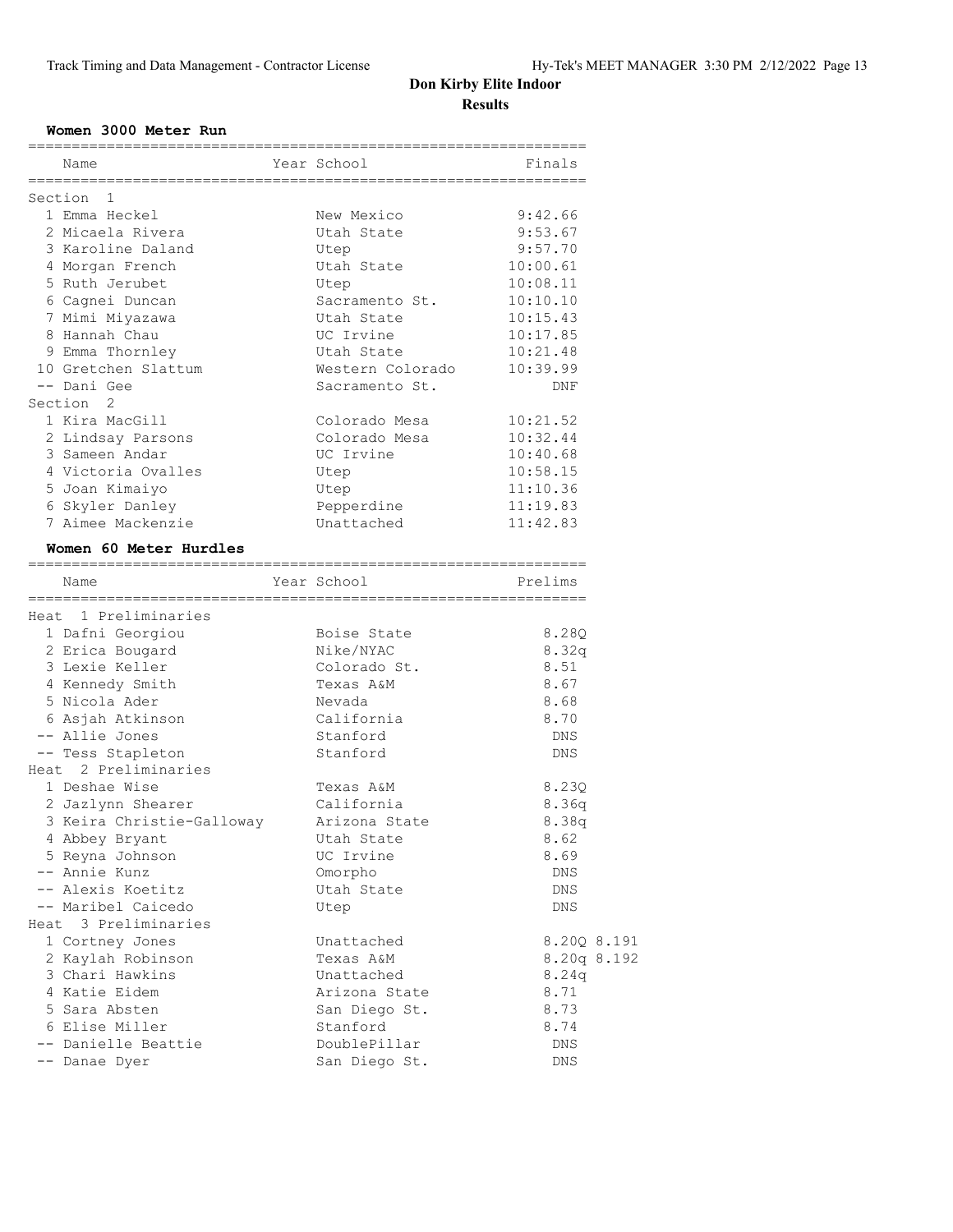#### **Women 3000 Meter Run**

| Name                      | Year School      | Finals             |
|---------------------------|------------------|--------------------|
| Section 1                 |                  |                    |
| 1 Emma Heckel             | New Mexico       | 9:42.66            |
| 2 Micaela Rivera          | Utah State       | 9:53.67            |
| 3 Karoline Daland         | Utep             | 9:57.70            |
| 4 Morgan French           | Utah State       | 10:00.61           |
| 5 Ruth Jerubet            | Utep             | 10:08.11           |
| 6 Cagnei Duncan           | Sacramento St.   | 10:10.10           |
| 7 Mimi Miyazawa           | Utah State       | 10:15.43           |
| 8 Hannah Chau             | UC Irvine        | 10:17.85           |
| 9 Emma Thornley           | Utah State       | 10:21.48           |
| 10 Gretchen Slattum       | Western Colorado | 10:39.99           |
| -- Dani Gee               | Sacramento St.   | DNF                |
| Section <sub>2</sub>      |                  |                    |
| 1 Kira MacGill            | Colorado Mesa    | 10:21.52           |
| 2 Lindsay Parsons         | Colorado Mesa    | 10:32.44           |
| 3 Sameen Andar            | UC Irvine        | 10:40.68           |
| 4 Victoria Ovalles        | Utep             | 10:58.15           |
| 5 Joan Kimaiyo            | Utep             | 11:10.36           |
| 6 Skyler Danley           | Pepperdine       | 11:19.83           |
| 7 Aimee Mackenzie         | Unattached       | 11:42.83           |
| Women 60 Meter Hurdles    |                  |                    |
|                           | Year School      | Prelims            |
| Name                      |                  |                    |
| Heat 1 Preliminaries      |                  |                    |
| 1 Dafni Georgiou          | Boise State      | 8.28Q              |
| 2 Erica Bougard           | Nike/NYAC        | 8.32q              |
| 3 Lexie Keller            | Colorado St.     | 8.51               |
| 4 Kennedy Smith           | Texas A&M        | 8.67               |
| 5 Nicola Ader             | Nevada           | 8.68               |
| 6 Asjah Atkinson          | California       | 8.70               |
| -- Allie Jones            | Stanford         | DNS                |
| -- Tess Stapleton         | Stanford         | DNS                |
| Heat 2 Preliminaries      |                  |                    |
| 1 Deshae Wise             | Texas A&M        | 8.23Q              |
| 2 Jazlynn Shearer         | California       | 8.36q              |
| 3 Keira Christie-Galloway | Arizona State    | 8.38q              |
| 4 Abbey Bryant            | Utah State       | 8.62               |
| 5 Reyna Johnson           | UC Irvine        | 8.69               |
| -- Annie Kunz             | Omorpho          | $\mathop{\rm DNS}$ |
| -- Alexis Koetitz         | Utah State       | DNS                |
| -- Maribel Caicedo        | Utep             | <b>DNS</b>         |
| Heat 3 Preliminaries      |                  |                    |
| 1 Cortney Jones           | Unattached       | 8.20Q 8.191        |
| 2 Kaylah Robinson         | Texas A&M        | 8.20q 8.192        |
| 3 Chari Hawkins           | Unattached       | 8.24q              |
| 4 Katie Eidem             | Arizona State    | 8.71               |
| 5 Sara Absten             | San Diego St.    | 8.73               |
| 6 Elise Miller            | Stanford         | 8.74               |
| -- Danielle Beattie       | DoublePillar     | DNS                |
| -- Danae Dyer             | San Diego St.    | DNS                |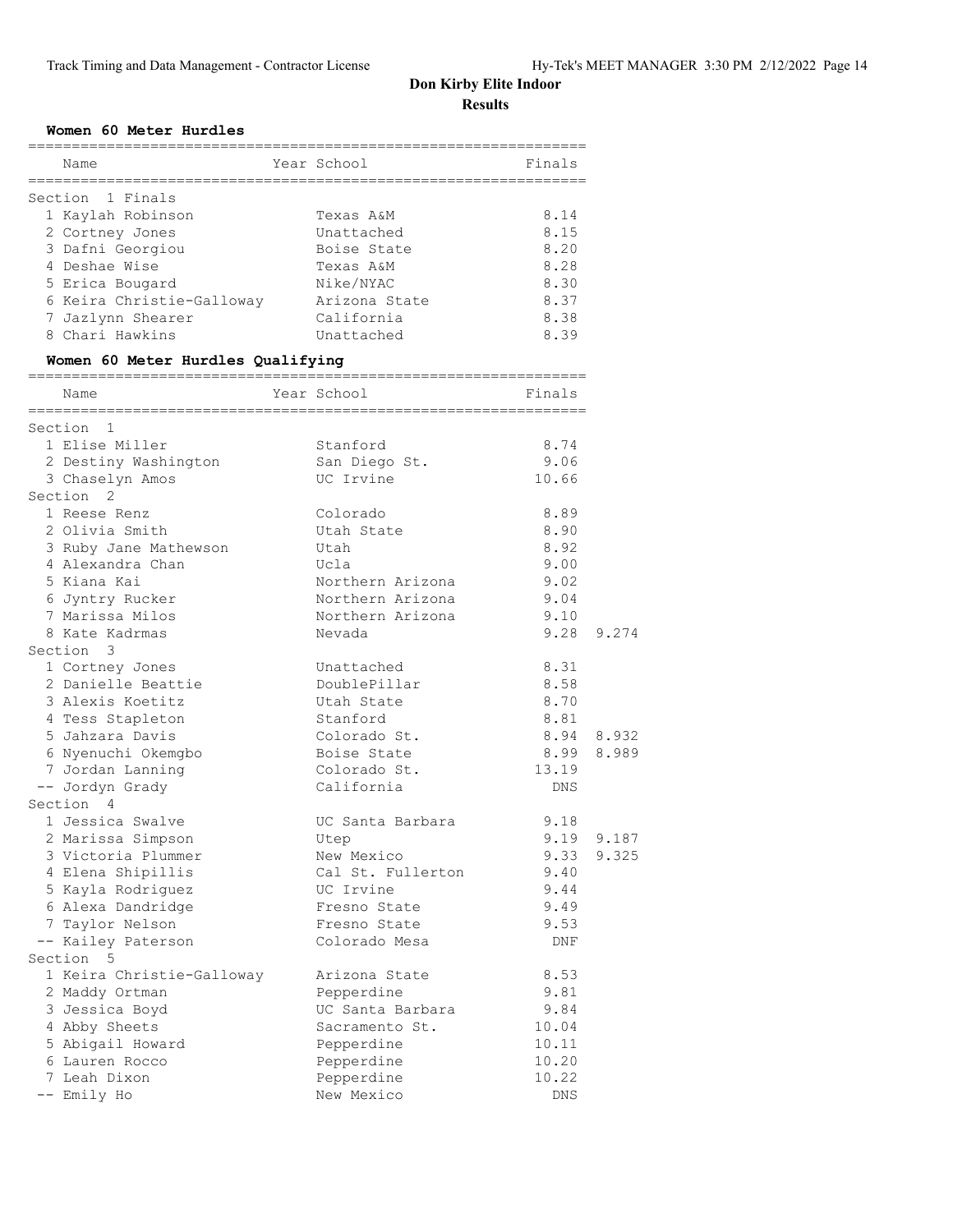#### **Women 60 Meter Hurdles**

| Name                                 | ================<br>Year School | Finals     |       |
|--------------------------------------|---------------------------------|------------|-------|
| Section 1 Finals                     |                                 |            |       |
| 1 Kaylah Robinson                    | Texas A&M                       | 8.14       |       |
| 2 Cortney Jones                      | Unattached                      | 8.15       |       |
| 3 Dafni Georgiou                     | Boise State                     | 8.20       |       |
| 4 Deshae Wise                        | Texas A&M                       | 8.28       |       |
| 5 Erica Bougard                      | Nike/NYAC                       | 8.30       |       |
| 6 Keira Christie-Galloway            | Arizona State                   | 8.37       |       |
|                                      | California                      | 8.38       |       |
| 7 Jazlynn Shearer<br>8 Chari Hawkins | Unattached                      | 8.39       |       |
|                                      |                                 |            |       |
| Women 60 Meter Hurdles Qualifying    |                                 |            |       |
| Name                                 | Year School                     | Finals     |       |
| Section 1                            |                                 |            |       |
| 1 Elise Miller                       | Stanford                        | 8.74       |       |
| 2 Destiny Washington                 | San Diego St.                   | 9.06       |       |
| 3 Chaselyn Amos                      | UC Irvine                       | 10.66      |       |
| Section 2                            |                                 |            |       |
| 1 Reese Renz                         | Colorado                        | 8.89       |       |
| 2 Olivia Smith                       | Utah State                      | 8.90       |       |
| 3 Ruby Jane Mathewson                | Utah                            | 8.92       |       |
| 4 Alexandra Chan                     | Ucla                            | 9.00       |       |
| 5 Kiana Kai                          | Northern Arizona                | 9.02       |       |
| 6 Jyntry Rucker                      | Northern Arizona                | 9.04       |       |
| 7 Marissa Milos                      | Northern Arizona                | 9.10       |       |
| 8 Kate Kadrmas                       |                                 | 9.28       | 9.274 |
|                                      | Nevada                          |            |       |
| Section 3                            |                                 |            |       |
| 1 Cortney Jones                      | Unattached                      | 8.31       |       |
| 2 Danielle Beattie                   | DoublePillar                    | 8.58       |       |
| 3 Alexis Koetitz                     | Utah State                      | 8.70       |       |
| 4 Tess Stapleton                     | Stanford                        | 8.81       |       |
| 5 Jahzara Davis                      | Colorado St.                    | 8.94       | 8.932 |
| 6 Nyenuchi Okemgbo                   | Boise State                     | 8.99       | 8.989 |
| 7 Jordan Lanning                     | Colorado St.                    | 13.19      |       |
| -- Jordyn Grady                      | California                      | DNS        |       |
| Section 4                            |                                 |            |       |
| 1 Jessica Swalve                     | UC Santa Barbara                | 9.18       |       |
| 2 Marissa Simpson                    | Utep                            | 9.19 9.187 |       |
| 3 Victoria Plummer                   | New Mexico                      | 9.33       | 9.325 |
| 4 Elena Shipillis                    | Cal St. Fullerton               | 9.40       |       |
| 5 Kayla Rodriguez                    | UC Irvine                       | 9.44       |       |
| 6 Alexa Dandridge                    | Fresno State                    | 9.49       |       |
| 7 Taylor Nelson                      | Fresno State                    | 9.53       |       |
| -- Kailey Paterson                   | Colorado Mesa                   | DNF        |       |
| Section 5                            |                                 |            |       |
|                                      | Arizona State                   | 8.53       |       |
| 1 Keira Christie-Galloway            |                                 |            |       |
| 2 Maddy Ortman                       | Pepperdine                      | 9.81       |       |
| 3 Jessica Boyd                       | UC Santa Barbara                | 9.84       |       |
| 4 Abby Sheets                        | Sacramento St.                  | 10.04      |       |
| 5 Abigail Howard                     | Pepperdine                      | 10.11      |       |
| 6 Lauren Rocco                       | Pepperdine                      | 10.20      |       |
| 7 Leah Dixon                         | Pepperdine                      | 10.22      |       |
| -- Emily Ho                          | New Mexico                      | DNS        |       |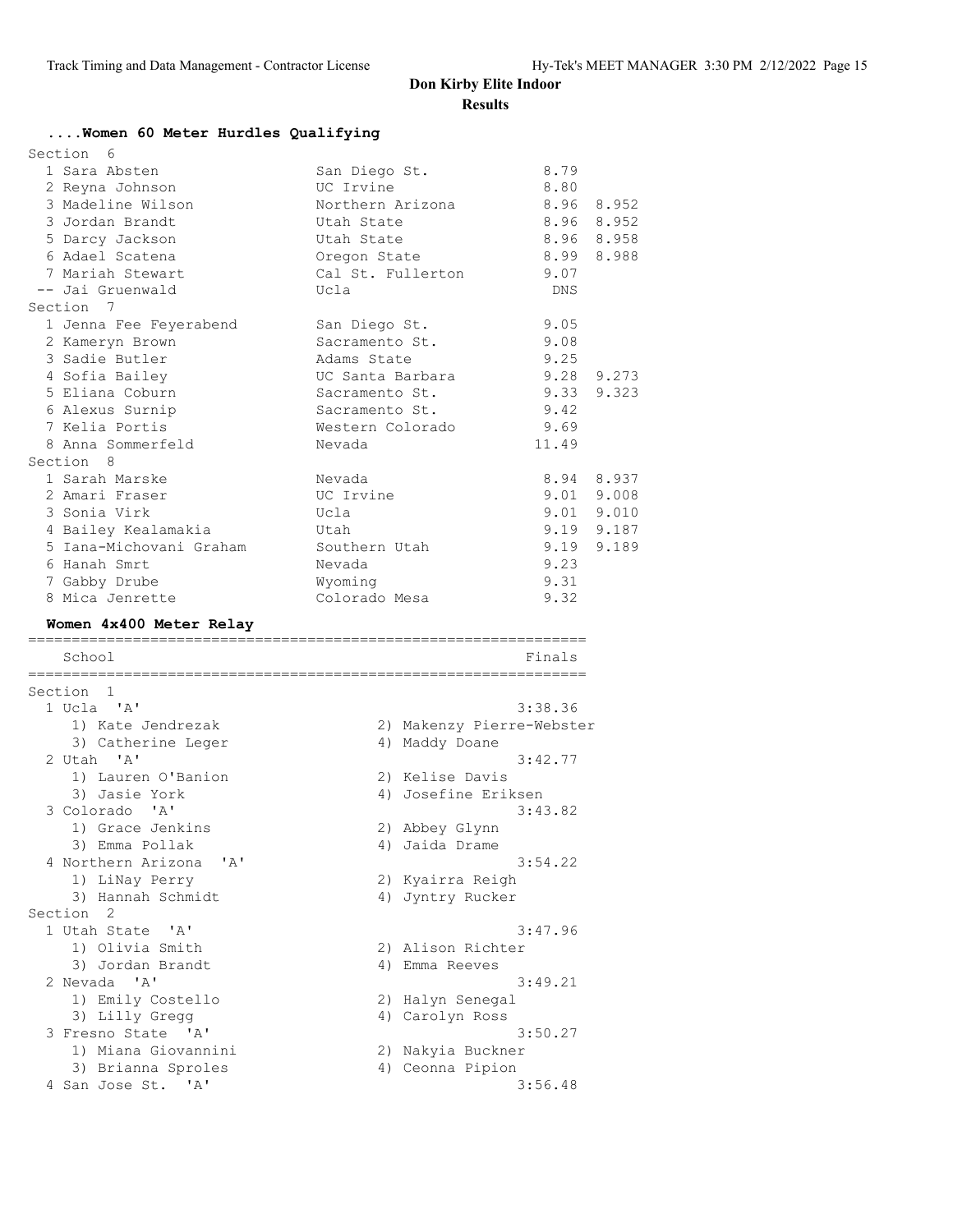#### **....Women 60 Meter Hurdles Qualifying**

| Section 6        |                         |                   |            |            |
|------------------|-------------------------|-------------------|------------|------------|
| 1 Sara Absten    |                         | San Diego St.     | 8.79       |            |
| 2 Reyna Johnson  |                         | UC Irvine         | 8.80       |            |
|                  | 3 Madeline Wilson       | Northern Arizona  |            | 8.96 8.952 |
| 3 Jordan Brandt  |                         | Utah State        |            | 8.96 8.952 |
| 5 Darcy Jackson  |                         | Utah State        |            | 8.96 8.958 |
| 6 Adael Scatena  |                         | Oregon State      | 8.99 8.988 |            |
| 7 Mariah Stewart |                         | Cal St. Fullerton | 9.07       |            |
| -- Jai Gruenwald |                         | Ucla              | DNS        |            |
| Section 7        |                         |                   |            |            |
|                  | 1 Jenna Fee Feyerabend  | San Diego St.     | 9.05       |            |
| 2 Kameryn Brown  |                         | Sacramento St.    | 9.08       |            |
| 3 Sadie Butler   |                         | Adams State       | 9.25       |            |
| 4 Sofia Bailey   |                         | UC Santa Barbara  |            | 9.28 9.273 |
| 5 Eliana Coburn  |                         | Sacramento St.    |            | 9.33 9.323 |
| 6 Alexus Surnip  |                         | Sacramento St.    | 9.42       |            |
| 7 Kelia Portis   |                         | Western Colorado  | 9.69       |            |
|                  | 8 Anna Sommerfeld       | Nevada            | 11.49      |            |
| Section 8        |                         |                   |            |            |
| 1 Sarah Marske   |                         | Nevada            |            | 8.94 8.937 |
| 2 Amari Fraser   |                         | UC Irvine         |            | 9.01 9.008 |
| 3 Sonia Virk     |                         | Ucla              |            | 9.01 9.010 |
|                  | 4 Bailey Kealamakia     | Utah              |            | 9.19 9.187 |
|                  | 5 Iana-Michovani Graham | Southern Utah     |            | 9.19 9.189 |
| 6 Hanah Smrt     |                         | Nevada            | 9.23       |            |
| 7 Gabby Drube    |                         | Wyoming           | 9.31       |            |
| 8 Mica Jenrette  |                         | Colorado Mesa     | 9.32       |            |
|                  |                         |                   |            |            |

#### **Women 4x400 Meter Relay** ================================================================

| School                 |    | Finals                    |
|------------------------|----|---------------------------|
| Section <sub>1</sub>   |    |                           |
| $1$ Ucla $'A'$         |    | 3:38.36                   |
| 1) Kate Jendrezak      |    | 2) Makenzy Pierre-Webster |
| 3) Catherine Leger     |    | 4) Maddy Doane            |
| $2$ Utah $'A'$         |    | 3:42.77                   |
| 1) Lauren O'Banion     |    | 2) Kelise Davis           |
| 3) Jasie York          |    | 4) Josefine Eriksen       |
| 3 Colorado 'A'         |    | 3:43.82                   |
| 1) Grace Jenkins       |    | 2) Abbey Glynn            |
| 3) Emma Pollak         |    | 4) Jaida Drame            |
| 4 Northern Arizona 'A' |    | 3:54.22                   |
| 1) LiNay Perry         |    | 2) Kyairra Reigh          |
| 3) Hannah Schmidt      | 4) | Jyntry Rucker             |
| Section <sub>2</sub>   |    |                           |
| 1 Utah State 'A'       |    | 3:47.96                   |
| 1) Olivia Smith        |    | 2) Alison Richter         |
| 3) Jordan Brandt       |    | 4) Emma Reeves            |
| 2 Nevada 'A'           |    | 3:49.21                   |
| 1) Emily Costello      |    | 2) Halyn Senegal          |
| 3) Lilly Gregg         |    | 4) Carolyn Ross           |
| 3 Fresno State 'A'     |    | 3:50.27                   |
| 1) Miana Giovannini    |    | 2) Nakyia Buckner         |
| 3) Brianna Sproles     |    | 4) Ceonna Pipion          |
| 4 San Jose St. 'A'     |    | 3:56.48                   |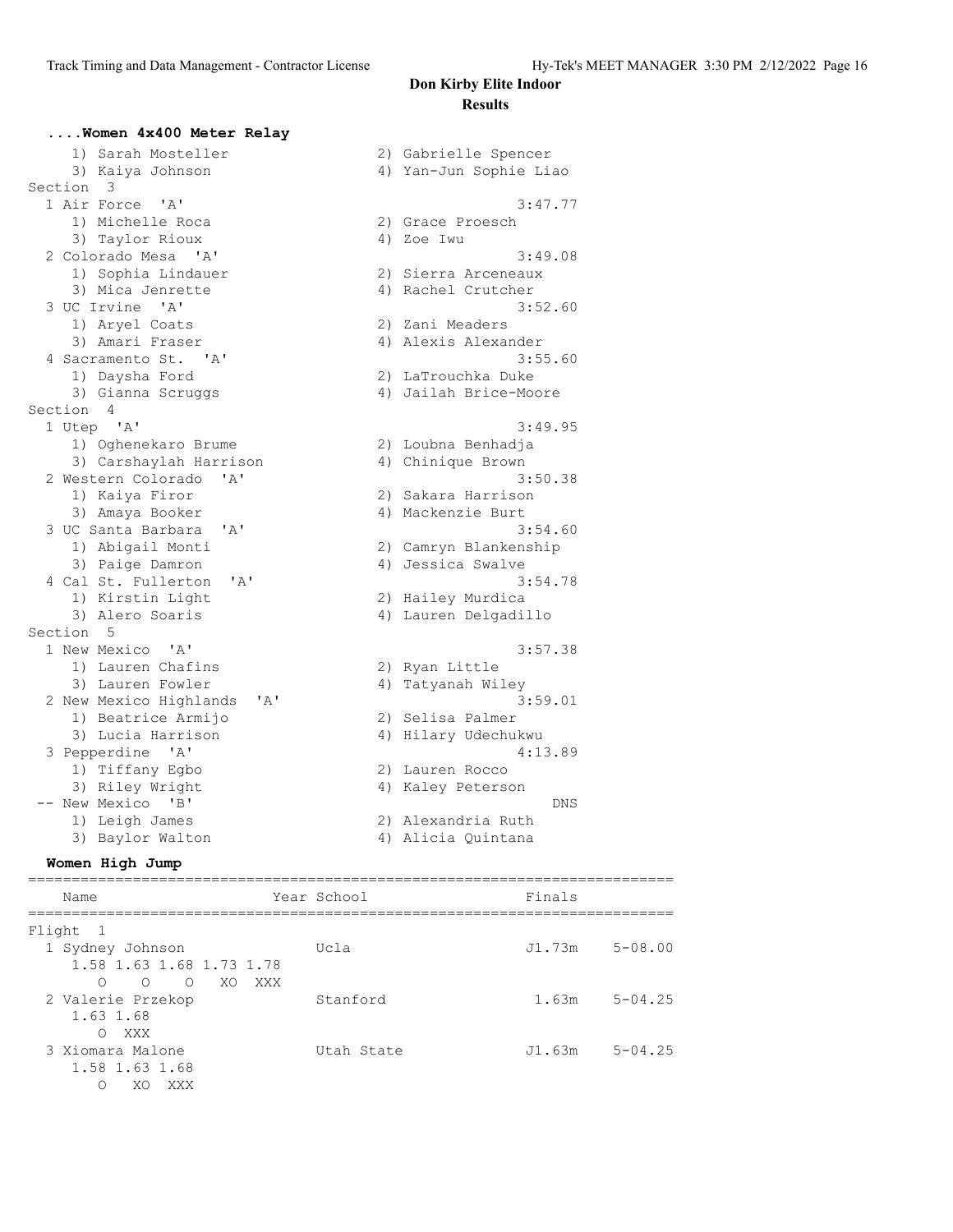#### **....Women 4x400 Meter Relay** 1) Sarah Mosteller 2) Gabrielle Spencer 3) Kaiya Johnson 4) Yan-Jun Sophie Liao Section 3 1 Air Force 'A' 3:47.77 1) Michelle Roca 2) Grace Proesch 3) Taylor Rioux 4) Zoe Iwu 2 Colorado Mesa 'A' 3:49.08 1) Sophia Lindauer 2) Sierra Arceneaux 3) Mica Jenrette 4) Rachel Crutcher 3 UC Irvine 'A' 3:52.60 1) Aryel Coats 2) Zani Meaders 3) Amari Fraser (1988) 4) Alexis Alexander 4 Sacramento St. 'A' 3:55.60 1) Daysha Ford 2) LaTrouchka Duke 3) Gianna Scruggs 4) Jailah Brice-Moore Section 4 1 Utep 'A' 3:49.95 1) Oghenekaro Brume 2) Loubna Benhadja 3) Carshaylah Harrison 4) Chinique Brown 2 Western Colorado 'A' 3:50.38 1) Kaiya Firor 2) Sakara Harrison 3) Amaya Booker 4) Mackenzie Burt 3 UC Santa Barbara 'A' 3:54.60 1) Abigail Monti 2) Camryn Blankenship 3) Paige Damron 4) Jessica Swalve 4 Cal St. Fullerton 'A' 3:54.78 1) Kirstin Light 2) Hailey Murdica 3) Alero Soaris (1988) 1999 (1989) Alero Soaris (1989) 4) Lauren Delgadillo Section 5 1 New Mexico 'A' 3:57.38 1) Lauren Chafins 2) Ryan Little 3) Lauren Fowler 4) Tatyanah Wiley 2 New Mexico Highlands 'A' 3:59.01 1) Beatrice Armijo 2) Selisa Palmer 3) Lucia Harrison 4) Hilary Udechukwu 3 Pepperdine 'A' 4:13.89 1) Tiffany Egbo 2) Lauren Rocco 3) Riley Wright 4) Kaley Peterson -- New Mexico 'B' DNS 1) Leigh James 2) Alexandria Ruth 3) Baylor Walton 4) Alicia Quintana

#### **Women High Jump**

========================================================================== Name Year School Finals ========================================================================== Flight 1 1 Sydney Johnson Ucla J1.73m 5-08.00 1.58 1.63 1.68 1.73 1.78 O O O XO XXX 2 Valerie Przekop Stanford 1.63m 5-04.25 1.63 1.68 O XXX<br>3 Xiomara Malone Utah State J1.63m 5-04.25 1.58 1.63 1.68 O XO XXX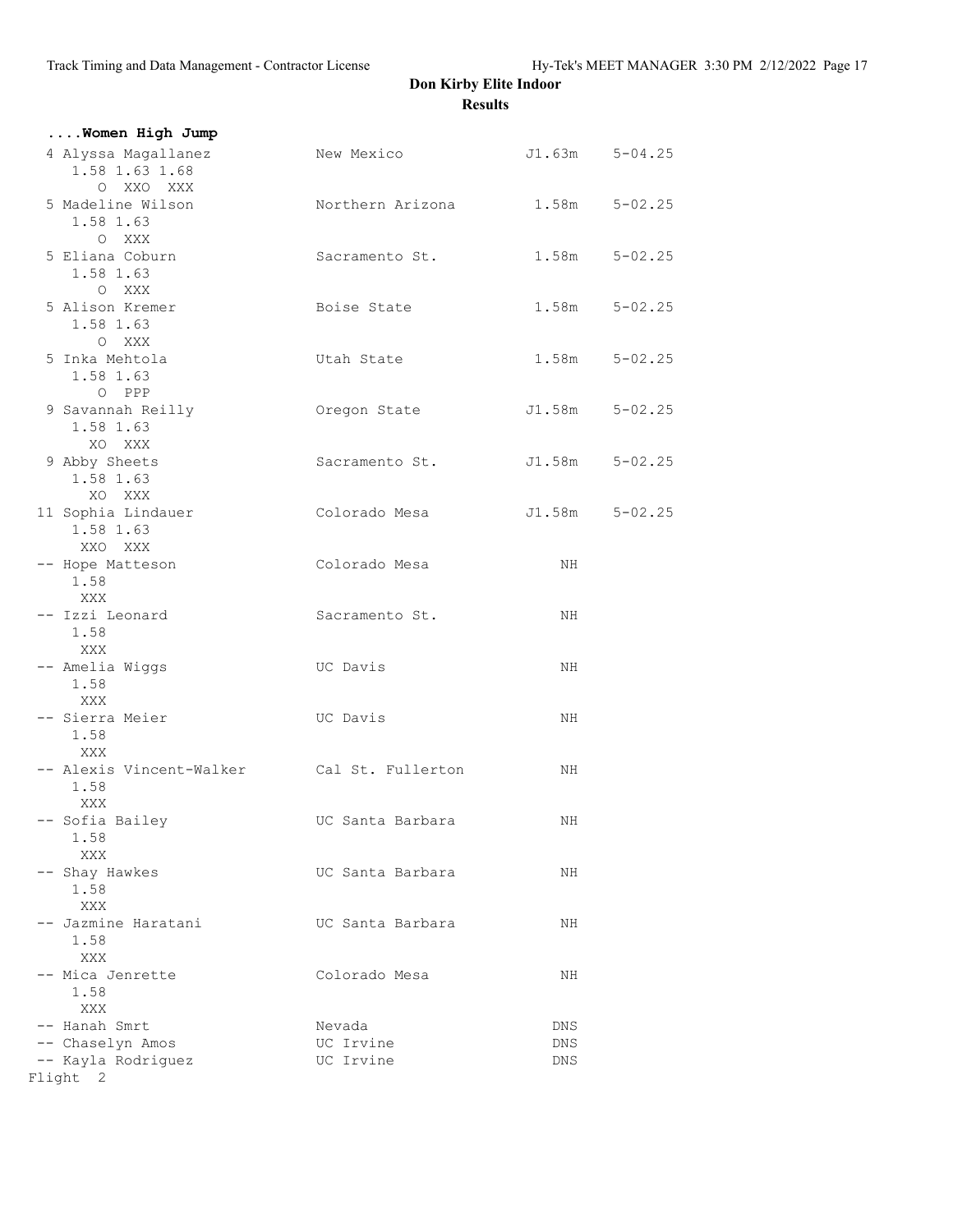| Women High Jump                                           |                                |                    |                |
|-----------------------------------------------------------|--------------------------------|--------------------|----------------|
| 4 Alyssa Magallanez<br>1.58 1.63 1.68<br>O XXO XXX        | New Mexico                     |                    | J1.63m 5-04.25 |
| 5 Madeline Wilson<br>1.58 1.63<br>O XXX                   | Northern Arizona 1.58m 5-02.25 |                    |                |
| 5 Eliana Coburn<br>1.58 1.63<br>O XXX                     | Sacramento St.                 | $1.58m$ $5-02.25$  |                |
| 5 Alison Kremer<br>1.58 1.63<br>O XXX                     | Boise State                    | $1.58m$ $5-02.25$  |                |
| 5 Inka Mehtola<br>1.58 1.63<br>O PPP                      | Utah State                     | 1.58m              | $5 - 02.25$    |
| 9 Savannah Reilly<br>1.58 1.63<br>XO XXX                  | Oregon State                   | $J1.58m$ $5-02.25$ |                |
| 9 Abby Sheets<br>1.58 1.63<br>XO XXX                      | Sacramento St.                 |                    | J1.58m 5-02.25 |
| 11 Sophia Lindauer<br>1.58 1.63<br>XXO XXX                | Colorado Mesa                  | $J1.58m$ $5-02.25$ |                |
| -- Hope Matteson<br>1.58<br>XXX                           | Colorado Mesa                  | NH                 |                |
| -- Izzi Leonard<br>1.58<br>XXX                            | Sacramento St.                 | NH.                |                |
| -- Amelia Wiggs<br>1.58<br>XXX                            | UC Davis                       | NH                 |                |
| -- Sierra Meier<br>1.58<br>XXX                            | UC Davis                       | NH                 |                |
| -- Alexis Vincent-Walker Cal St. Fullerton<br>1.58<br>XXX |                                | NH.                |                |
| -- Sofia Bailey<br>1.58<br>XXX                            | UC Santa Barbara               | NН                 |                |
| -- Shay Hawkes<br>1.58<br>XXX                             | UC Santa Barbara               | NH                 |                |
| -- Jazmine Haratani<br>1.58<br>XXX                        | UC Santa Barbara               | NH                 |                |
| -- Mica Jenrette<br>1.58<br>XXX                           | Colorado Mesa                  | ΝH                 |                |
| -- Hanah Smrt                                             | Nevada                         | DNS                |                |
| -- Chaselyn Amos                                          | UC Irvine                      | DNS                |                |
| -- Kayla Rodriguez                                        | UC Irvine                      | DNS                |                |
| Flight 2                                                  |                                |                    |                |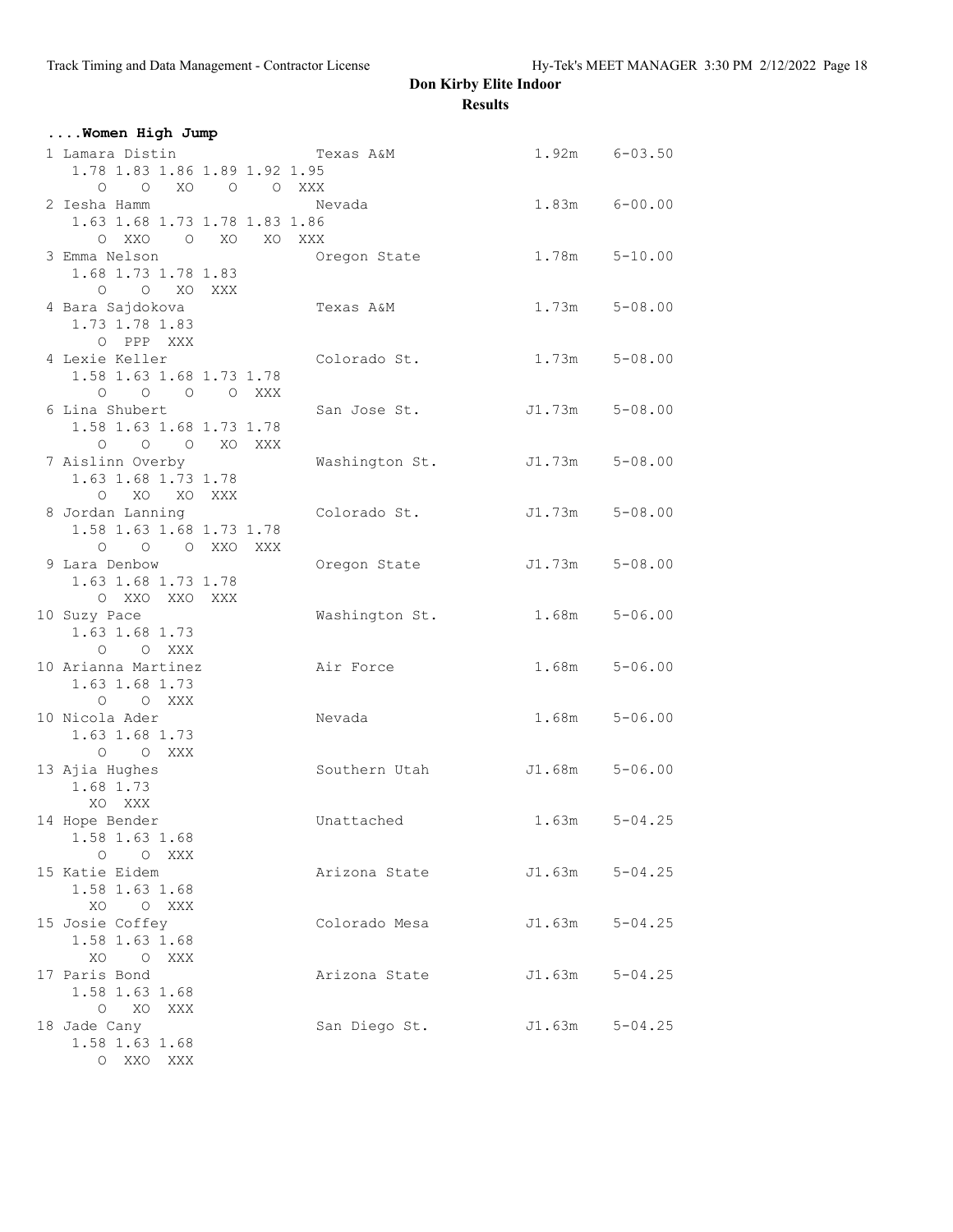| Women High Jump                             |                |                    |                   |
|---------------------------------------------|----------------|--------------------|-------------------|
| 1 Lamara Distin                             | Texas A&M      |                    | $1.92m$ $6-03.50$ |
| 1.78 1.83 1.86 1.89 1.92 1.95               |                |                    |                   |
| $O$ $O$ $XO$<br>O O XXX                     |                |                    |                   |
| 2 Iesha Hamm                                | Nevada         |                    | $1.83m$ $6-00.00$ |
| 1.63 1.68 1.73 1.78 1.83 1.86               |                |                    |                   |
| OXXO OXO XOXXX                              |                |                    |                   |
| 3 Emma Nelson                               | Oregon State   |                    | $1.78m$ $5-10.00$ |
| 1.68 1.73 1.78 1.83                         |                |                    |                   |
| O O XO XXX                                  |                |                    |                   |
| 4 Bara Sajdokova                            | Texas A&M      |                    | $1.73m$ $5-08.00$ |
| 1.73 1.78 1.83                              |                |                    |                   |
| O PPP XXX                                   |                |                    |                   |
| 4 Lexie Keller                              | Colorado St.   | 1.73m              | $5 - 08.00$       |
| 1.58 1.63 1.68 1.73 1.78                    |                |                    |                   |
| 0 0 0 0 XXX                                 |                |                    |                   |
| 6 Lina Shubert                              | San Jose St.   | $J1.73m$ $5-08.00$ |                   |
| 1.58 1.63 1.68 1.73 1.78                    |                |                    |                   |
| O O O XO XXX                                |                |                    |                   |
| 7 Aislinn Overby                            | Washington St. | $J1.73m$ $5-08.00$ |                   |
| 1.63 1.68 1.73 1.78                         |                |                    |                   |
| O XO XO XXX                                 |                |                    |                   |
| 8 Jordan Lanning                            | Colorado St.   | J1.73m             | $5 - 08.00$       |
| 1.58 1.63 1.68 1.73 1.78                    |                |                    |                   |
| $0 \qquad 0 \qquad 0 \qquad XX0 \qquad XXX$ |                |                    |                   |
| 9 Lara Denbow<br>1.63 1.68 1.73 1.78        | Oregon State   | J1.73m             | $5 - 08.00$       |
| O XXO XXO XXX                               |                |                    |                   |
| 10 Suzy Pace                                | Washington St. | 1.68m              | $5 - 06.00$       |
| 1.63 1.68 1.73                              |                |                    |                   |
| $O$ $O$ XXX                                 |                |                    |                   |
| 10 Arianna Martinez                         | Air Force      | 1.68m              | $5 - 06.00$       |
| 1.63 1.68 1.73                              |                |                    |                   |
| O O XXX                                     |                |                    |                   |
| 10 Nicola Ader                              | Nevada         | 1.68m              | $5 - 06.00$       |
| 1.63 1.68 1.73                              |                |                    |                   |
| O O XXX                                     |                |                    |                   |
| 13 Ajia Hughes                              | Southern Utah  | $J1.68m$ $5-06.00$ |                   |
| 1.68 1.73                                   |                |                    |                   |
| XO XXX                                      |                |                    |                   |
| 14 Hope Bender                              | Unattached     | 1.63m              | $5 - 04.25$       |
| 1.58 1.63 1.68                              |                |                    |                   |
| $O$ $O$ XXX                                 |                |                    |                   |
| 15 Katie Eidem                              | Arizona State  | J1.63m             | $5 - 04.25$       |
| 1.58 1.63 1.68                              |                |                    |                   |
| XO<br>O XXX                                 |                |                    |                   |
| 15 Josie Coffey                             | Colorado Mesa  | J1.63m             | $5 - 04.25$       |
| 1.58 1.63 1.68                              |                |                    |                   |
| XO OXXX<br>17 Paris Bond                    |                | J1.63m             |                   |
| 1.58 1.63 1.68                              | Arizona State  |                    | $5 - 04.25$       |
| $\circ$<br>XO XXX                           |                |                    |                   |
| 18 Jade Cany                                | San Diego St.  | J1.63m             | $5 - 04.25$       |
| 1.58 1.63 1.68                              |                |                    |                   |
| $\circ$<br>XXO XXX                          |                |                    |                   |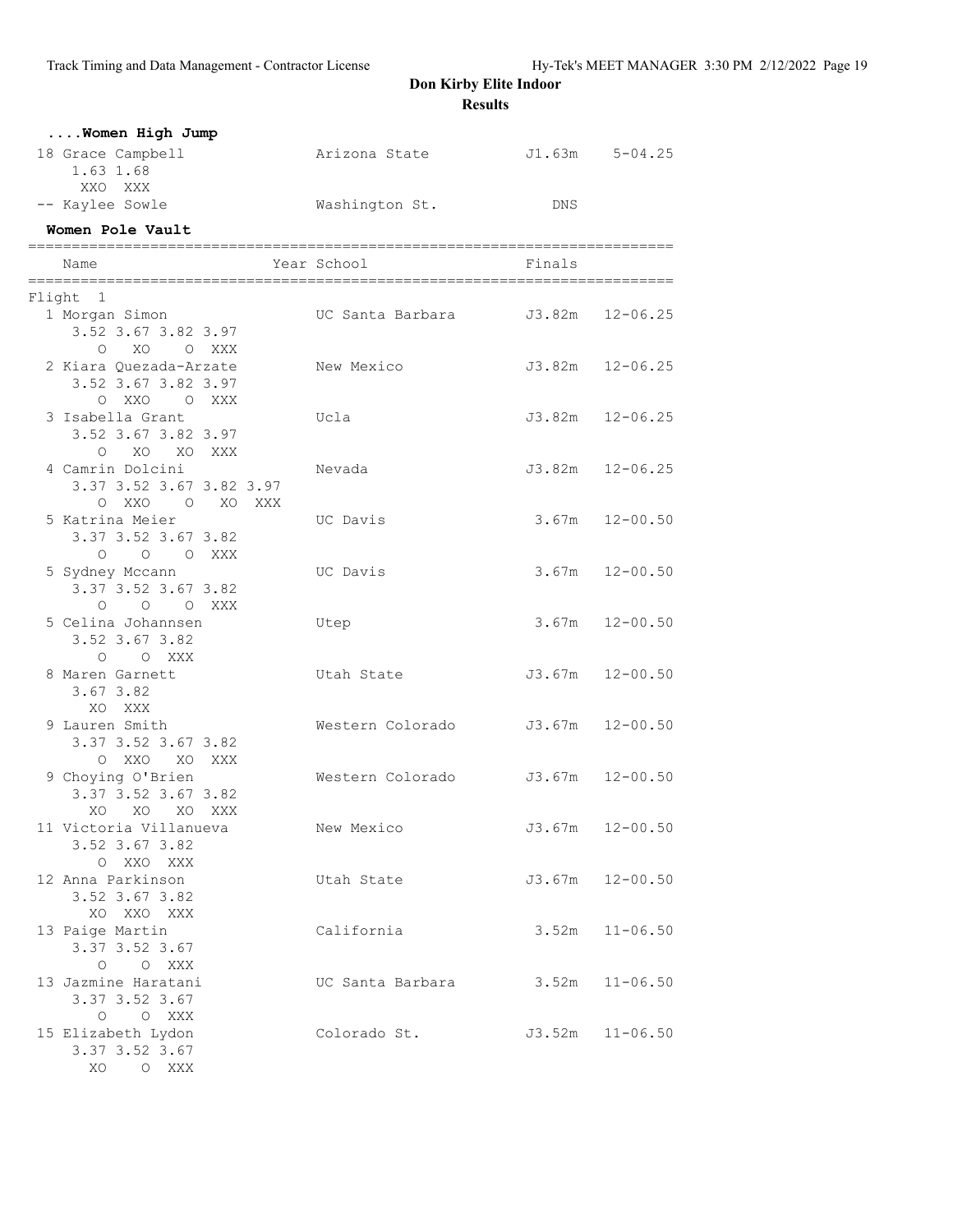| Women High Jump<br>18 Grace Campbell                                     |     | Arizona State    |        | $J1.63m$ $5-04.25$  |
|--------------------------------------------------------------------------|-----|------------------|--------|---------------------|
| 1.63 1.68<br>XXO XXX                                                     |     |                  |        |                     |
| -- Kaylee Sowle                                                          |     | Washington St.   | DNS    |                     |
| Women Pole Vault                                                         |     |                  |        |                     |
| Name                                                                     |     | Year School      | Finals |                     |
| Flight 1                                                                 |     |                  |        |                     |
| 1 Morgan Simon<br>3.52 3.67 3.82 3.97                                    |     |                  |        |                     |
| O XO O XXX<br>2 Kiara Quezada-Arzate<br>3.52 3.67 3.82 3.97<br>OXXO OXXX |     | New Mexico       |        | $J3.82m$ $12-06.25$ |
| 3 Isabella Grant<br>3.52 3.67 3.82 3.97<br>O XO XO XXX                   |     | Ucla             |        | $J3.82m$ $12-06.25$ |
| 4 Camrin Dolcini<br>3.37 3.52 3.67 3.82 3.97<br>OXXO OXO                 | XXX | Nevada           |        | $J3.82m$ $12-06.25$ |
| 5 Katrina Meier<br>3.37 3.52 3.67 3.82<br>O O O XXX                      |     | UC Davis         |        | $3.67m$ $12-00.50$  |
| 5 Sydney Mccann<br>3.37 3.52 3.67 3.82<br>$\circ$<br>O O XXX             |     | UC Davis         | 3.67m  | $12 - 00.50$        |
| 5 Celina Johannsen<br>3.52 3.67 3.82<br>O O XXX                          |     | Utep             | 3.67m  | $12 - 00.50$        |
| 8 Maren Garnett<br>3.67 3.82<br>XO XXX                                   |     | Utah State       | J3.67m | $12 - 00.50$        |
| 9 Lauren Smith<br>3.37 3.52 3.67 3.82<br>O XXO XO XXX                    |     | Western Colorado |        | $J3.67m$ 12-00.50   |
| 9 Choying O'Brien<br>3.37 3.52 3.67 3.82<br>XO XO XO XXX                 |     | Western Colorado | J3.67m | $12 - 00.50$        |
| 11 Victoria Villanueva<br>3.52 3.67 3.82<br>O XXO XXX                    |     | New Mexico       |        | $J3.67m$ $12-00.50$ |
| 12 Anna Parkinson<br>3.52 3.67 3.82<br>XO XXO XXX                        |     | Utah State       | J3.67m | $12 - 00.50$        |
| 13 Paige Martin<br>3.37 3.52 3.67<br>O O XXX                             |     | California       | 3.52m  | $11 - 06.50$        |
| 13 Jazmine Haratani<br>3.37 3.52 3.67<br>O O XXX                         |     | UC Santa Barbara | 3.52m  | $11 - 06.50$        |
| 15 Elizabeth Lydon<br>3.37 3.52 3.67<br>XO O XXX                         |     | Colorado St.     |        | $J3.52m$ $11-06.50$ |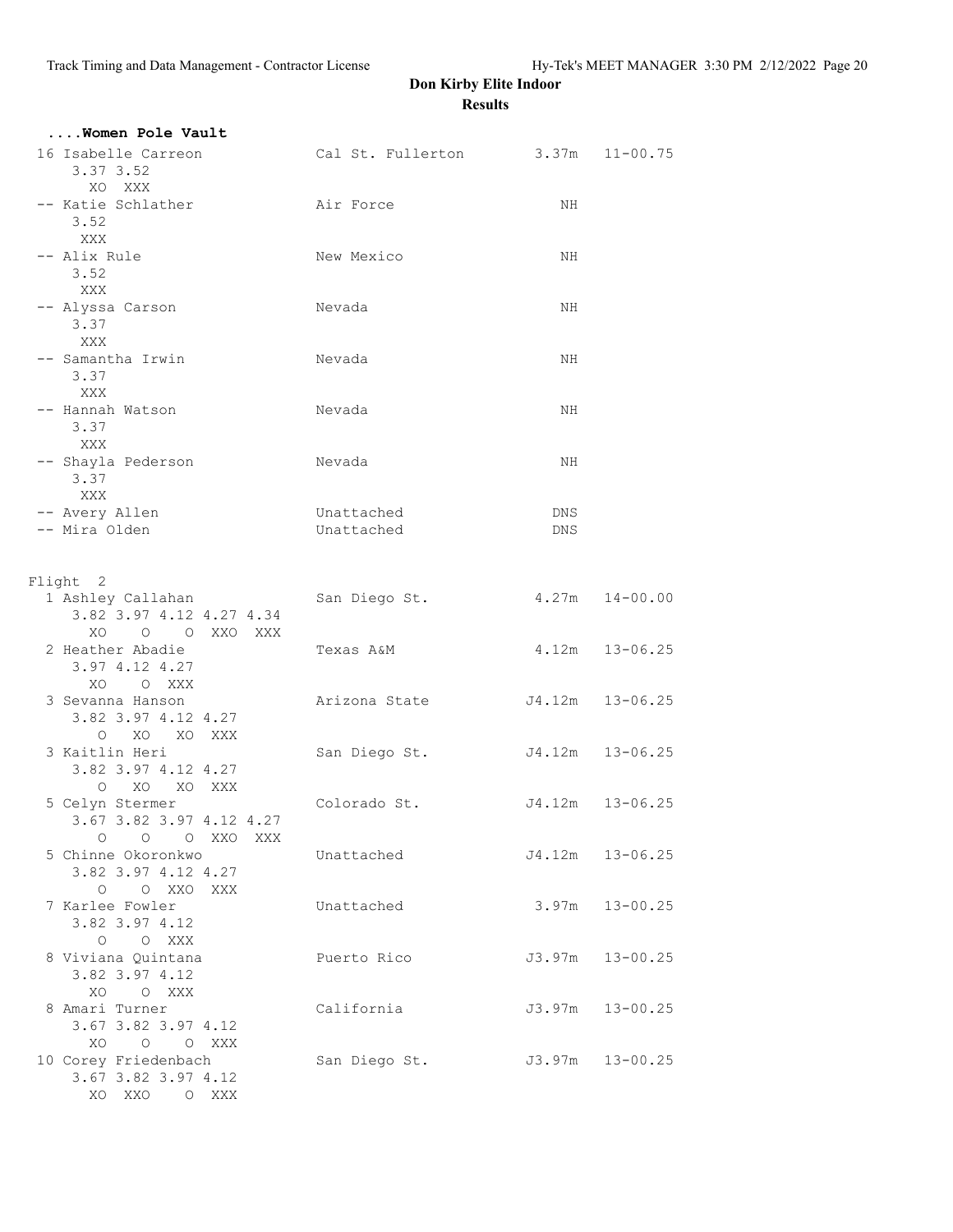| Women Pole Vault                                                |                                  |                 |                     |
|-----------------------------------------------------------------|----------------------------------|-----------------|---------------------|
| 16 Isabelle Carreon<br>3.37 3.52                                | Cal St. Fullerton 3.37m 11-00.75 |                 |                     |
| XO XXX<br>-- Katie Schlather<br>3.52                            | Air Force                        | NH              |                     |
| XXX<br>-- Alix Rule                                             | New Mexico                       | NH              |                     |
| 3.52<br>XXX<br>-- Alyssa Carson                                 | Nevada                           | NH              |                     |
| 3.37<br>XXX                                                     |                                  |                 |                     |
| -- Samantha Irwin<br>3.37<br>XXX                                | Nevada                           | NH              |                     |
| -- Hannah Watson<br>3.37<br>XXX                                 | Nevada                           | NH              |                     |
| -- Shayla Pederson<br>3.37                                      | Nevada                           | NH              |                     |
| XXX<br>-- Avery Allen<br>-- Mira Olden                          | Unattached<br>Unattached         | DNS<br>DNS      |                     |
| Flight 2                                                        |                                  |                 |                     |
| 1 Ashley Callahan<br>3.82 3.97 4.12 4.27 4.34<br>XO O O XXO XXX | San Diego St.                    |                 | $4.27m$ $14-00.00$  |
| 2 Heather Abadie<br>3.97 4.12 4.27<br>XO O XXX                  | Texas A&M                        |                 | $4.12m$ $13-06.25$  |
| 3 Sevanna Hanson<br>3.82 3.97 4.12 4.27<br>O XO XO XXX          | Arizona State                    |                 | J4.12m 13-06.25     |
| 3 Kaitlin Heri<br>3.82 3.97 4.12 4.27<br>O XO XO XXX            | San Diego St.                    | J4.12m 13-06.25 |                     |
| 5 Celyn Stermer<br>3.67 3.82 3.97 4.12 4.27<br>0 0 0 XXO XXX    | Colorado St.                     |                 | J4.12m 13-06.25     |
| 5 Chinne Okoronkwo<br>3.82 3.97 4.12 4.27<br>O O XXO XXX        | Unattached                       |                 | J4.12m 13-06.25     |
| 7 Karlee Fowler<br>3.82 3.97 4.12                               | Unattached                       | 3.97m           | $13 - 00.25$        |
| O O XXX<br>8 Viviana Quintana<br>3.82 3.97 4.12                 | Puerto Rico                      | J3.97m          | $13 - 00.25$        |
| XO O XXX<br>8 Amari Turner<br>3.67 3.82 3.97 4.12               | California                       |                 | $J3.97m$ $13-00.25$ |
| XO O O XXX<br>10 Corey Friedenbach<br>3.67 3.82 3.97 4.12       | San Diego St.                    | J3.97m 13-00.25 |                     |
| XO XXO O XXX                                                    |                                  |                 |                     |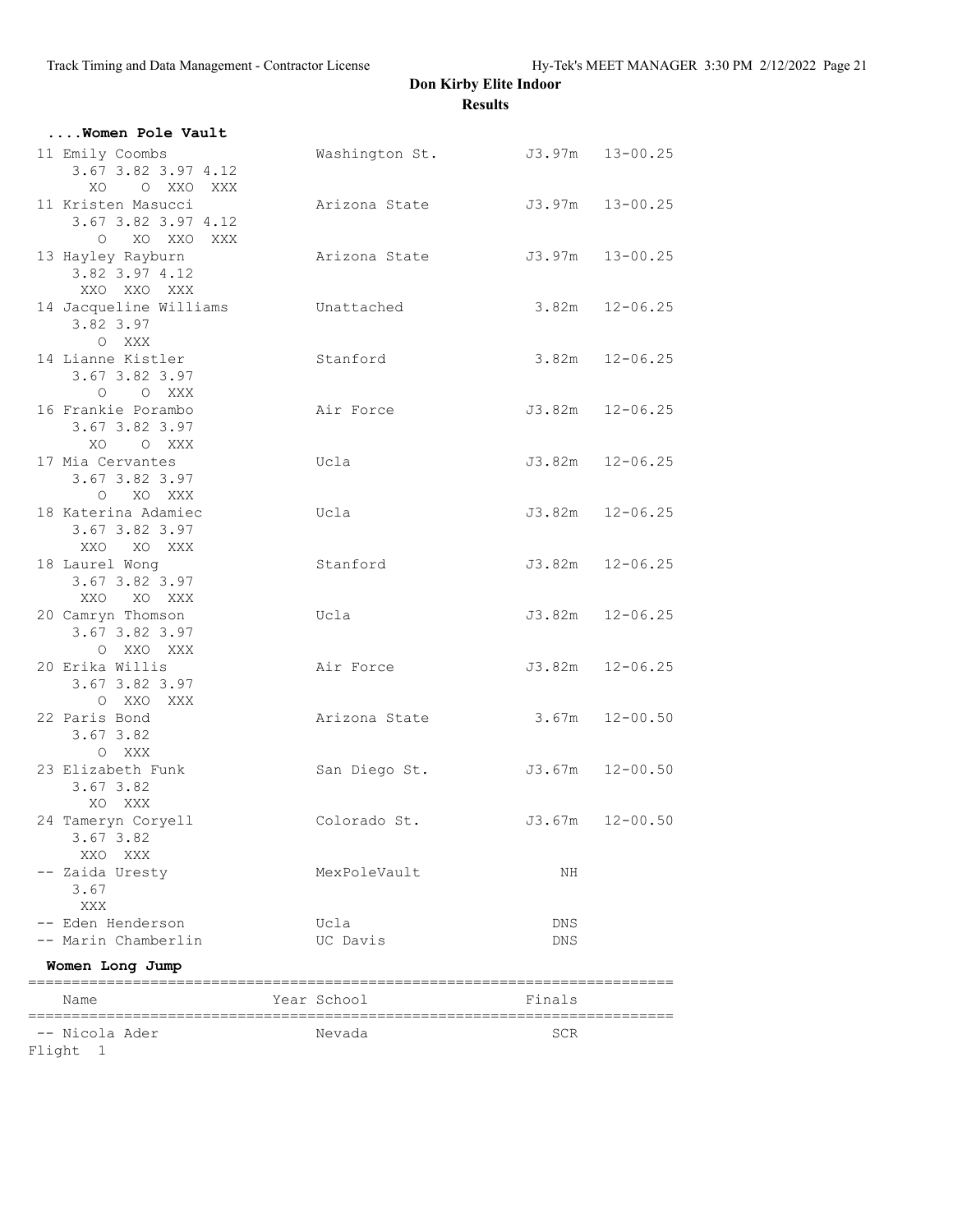| Women Pole Vault                                                       |                                |        |                     |
|------------------------------------------------------------------------|--------------------------------|--------|---------------------|
| 11 Emily Coombs<br>3.67 3.82 3.97 4.12<br>XO                           | Washington St. J3.97m 13-00.25 |        |                     |
| O XXO XXX<br>11 Kristen Masucci<br>3.67 3.82 3.97 4.12<br>O XO XXO XXX | Arizona State                  |        | $J3.97m$ $13-00.25$ |
| 13 Hayley Rayburn<br>3.82 3.97 4.12<br>XXO XXO XXX                     | Arizona State                  |        | $J3.97m$ $13-00.25$ |
| 14 Jacqueline Williams<br>3.82 3.97<br>O XXX                           | Unattached                     |        | $3.82m$ $12-06.25$  |
| 14 Lianne Kistler<br>3.67 3.82 3.97<br>O XXX<br>$\circ$                | Stanford                       |        | $3.82m$ $12-06.25$  |
| 16 Frankie Porambo<br>3.67 3.82 3.97<br>XO O XXX                       | Air Force                      |        | $J3.82m$ $12-06.25$ |
| 17 Mia Cervantes<br>3.67 3.82 3.97<br>O XO XXX                         | Ucla                           |        | $J3.82m$ $12-06.25$ |
| 18 Katerina Adamiec<br>3.67 3.82 3.97<br>XXO XO XXX                    | Ucla                           |        | $J3.82m$ $12-06.25$ |
| 18 Laurel Wong<br>3.67 3.82 3.97<br>XXO XO XXX                         | Stanford                       |        | $J3.82m$ $12-06.25$ |
| 20 Camryn Thomson<br>3.67 3.82 3.97<br>O XXO XXX                       | Ucla                           |        | $J3.82m$ $12-06.25$ |
| 20 Erika Willis<br>3.67 3.82 3.97<br>O XXO XXX                         | Air Force                      |        | $J3.82m$ $12-06.25$ |
| 22 Paris Bond<br>$3.67$ $3.82$<br>O XXX                                | Arizona State                  |        | $3.67m$ $12-00.50$  |
| 23 Elizabeth Funk<br>3.67 3.82<br>XO XXX                               | San Diego St.                  |        | J3.67m 12-00.50     |
| 24 Tameryn Coryell<br>3.67 3.82<br>XXO XXX                             | Colorado St.                   | J3.67m | $12 - 00.50$        |
| -- Zaida Uresty<br>3.67<br>XXX                                         | MexPoleVault                   | NH     |                     |
| -- Eden Henderson                                                      | Ucla                           | DNS    |                     |
| -- Marin Chamberlin                                                    | UC Davis                       | DNS    |                     |
| Women Long Jump                                                        |                                |        |                     |
| Name                                                                   | Year School                    | Finals |                     |
|                                                                        |                                |        |                     |
| -- Nicola Ader                                                         | Nevada                         | SCR    |                     |
| Flight 1                                                               |                                |        |                     |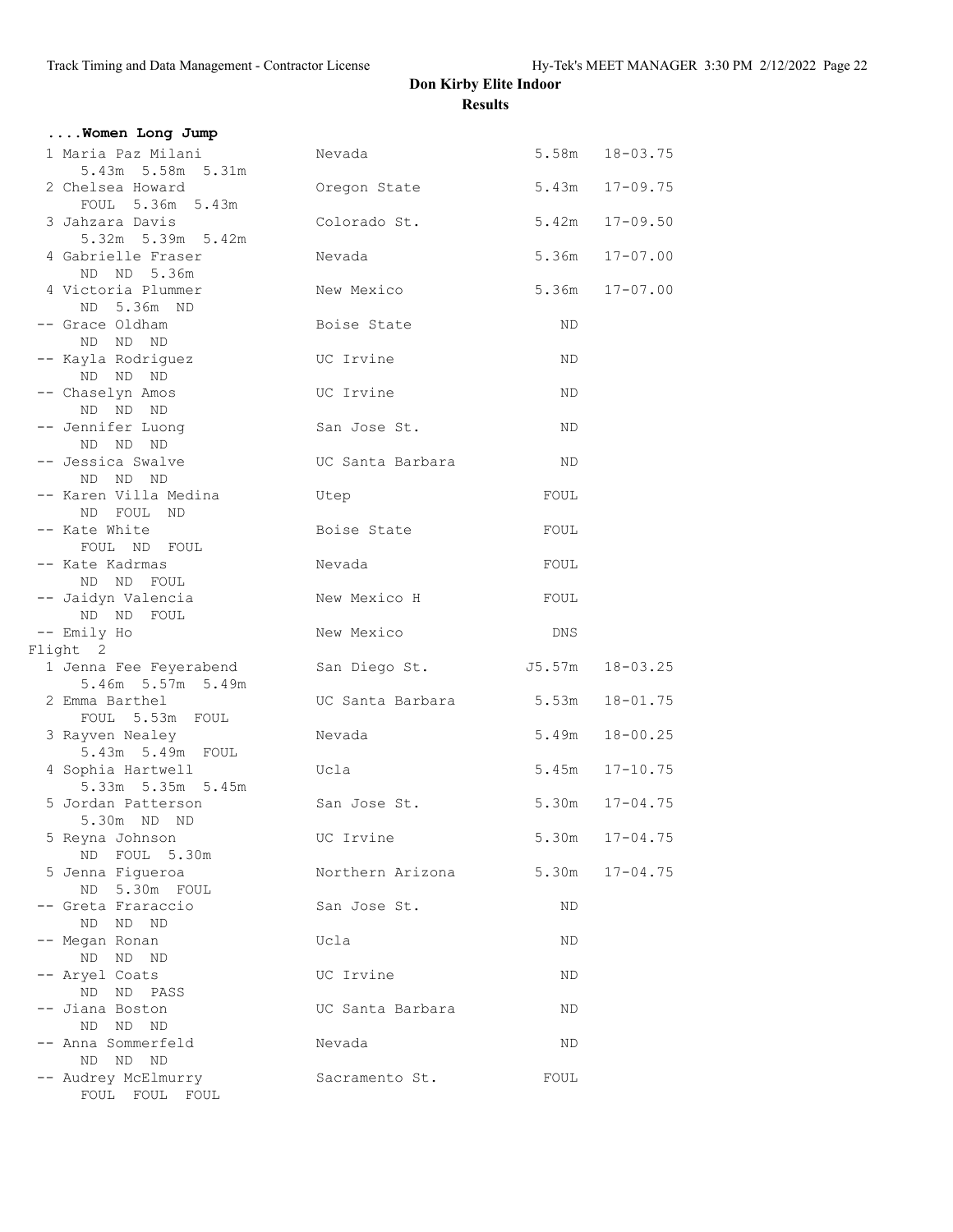| Women Long Jump                             |                        |       |                    |
|---------------------------------------------|------------------------|-------|--------------------|
| 1 Maria Paz Milani<br>5.43m 5.58m 5.31m     | Nevada                 |       | 5.58m  18-03.75    |
| 2 Chelsea Howard<br>FOUL 5.36m 5.43m        | Oregon State           |       | $5.43m$ $17-09.75$ |
| 3 Jahzara Davis<br>5.32m 5.39m 5.42m        | Colorado St.           |       | $5.42m$ $17-09.50$ |
| 4 Gabrielle Fraser<br>ND ND 5.36m           | Nevada                 |       | 5.36m 17-07.00     |
| 4 Victoria Plummer<br>ND 5.36m ND           | New Mexico             |       | $5.36m$ $17-07.00$ |
| -- Grace Oldham<br>ND ND ND                 | Boise State            | ND.   |                    |
| -- Kayla Rodriguez<br>ND ND ND              | UC Irvine              | ΝD    |                    |
| -- Chaselyn Amos<br>ND ND ND                | UC Irvine              | ND    |                    |
| -- Jennifer Luong<br>ND ND ND               | San Jose St.           | ND    |                    |
| -- Jessica Swalve<br>ND ND ND               | UC Santa Barbara       | ND.   |                    |
| -- Karen Villa Medina<br>ND FOUL ND         | Utep                   | FOUL  |                    |
| -- Kate White<br>FOUL ND FOUL               | Boise State            | FOUL  |                    |
| -- Kate Kadrmas<br>ND ND FOUL               | Nevada                 | FOUL  |                    |
| -- Jaidyn Valencia<br>ND ND<br>FOUL         | New Mexico H           | FOUL  |                    |
| -- Emily Ho<br>Flight 2                     | New Mexico             | DNS   |                    |
| 1 Jenna Fee Feyerabend<br>5.46m 5.57m 5.49m | San Diego St.          |       | J5.57m 18-03.25    |
| 2 Emma Barthel<br>FOUL 5.53m FOUL           | UC Santa Barbara 5.53m |       | $18 - 01.75$       |
| 3 Rayven Nealey<br>5.43m 5.49m FOUL         | Nevada                 | 5.49m | $18 - 00.25$       |
| 4 Sophia Hartwell<br>5.33m 5.35m 5.45m      | Ucla                   |       | 5.45m 17-10.75     |
| 5 Jordan Patterson<br>5.30m ND ND           | San Jose St.           |       | $5.30m$ $17-04.75$ |
| 5 Reyna Johnson<br>ND FOUL 5.30m            | UC Irvine              |       | $5.30m$ $17-04.75$ |
| 5 Jenna Figueroa<br>ND 5.30m FOUL           | Northern Arizona       | 5.30m | $17 - 04.75$       |
| -- Greta Fraraccio<br>ND ND<br>ND           | San Jose St.           | ND    |                    |
| -- Megan Ronan<br>ND ND<br>ND               | Ucla                   | ND.   |                    |
| -- Aryel Coats<br>ND ND PASS                | UC Irvine              | ND    |                    |
| -- Jiana Boston<br>ND ND ND                 | UC Santa Barbara       | ΝD    |                    |
| -- Anna Sommerfeld<br>ND ND ND              | Nevada                 | ND    |                    |
| -- Audrey McElmurry<br>FOUL FOUL FOUL       | Sacramento St.         | FOUL  |                    |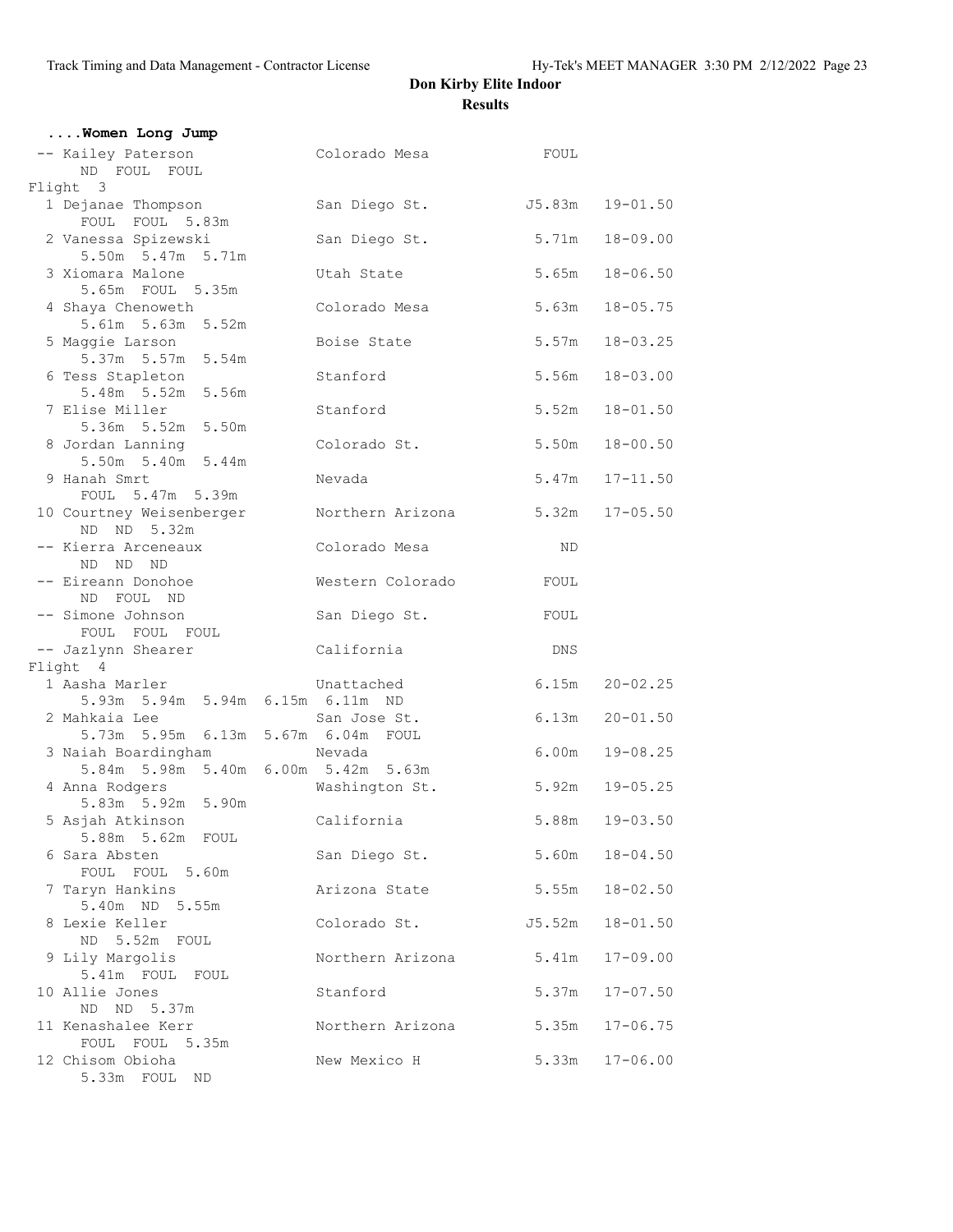| Women Long Jump                                            |                  |                 |                    |
|------------------------------------------------------------|------------------|-----------------|--------------------|
| -- Kailey Paterson<br>ND FOUL FOUL                         | Colorado Mesa    | FOUL            |                    |
| Flight 3                                                   |                  |                 |                    |
| 1 Dejanae Thompson<br>FOUL FOUL 5.83m                      | San Diego St.    | J5.83m 19-01.50 |                    |
| 2 Vanessa Spizewski<br>5.50m 5.47m 5.71m                   | San Diego St.    | 5.71m           | 18-09.00           |
| 3 Xiomara Malone<br>5.65m FOUL 5.35m                       | Utah State       | 5.65m           | $18 - 06.50$       |
| 4 Shaya Chenoweth<br>5.61m 5.63m 5.52m                     | Colorado Mesa    | 5.63m           | $18 - 05.75$       |
| 5 Maggie Larson<br>5.37m 5.57m 5.54m                       | Boise State      | 5.57m           | $18 - 03.25$       |
| 6 Tess Stapleton<br>5.48m 5.52m 5.56m                      | Stanford         | 5.56m           | $18 - 03.00$       |
| 7 Elise Miller<br>5.36m 5.52m 5.50m                        | Stanford         | 5.52m           | $18 - 01.50$       |
| 8 Jordan Lanning<br>5.50m 5.40m 5.44m                      | Colorado St.     | 5.50m           | $18 - 00.50$       |
| 9 Hanah Smrt<br>FOUL 5.47m 5.39m                           | Nevada           | 5.47m           | $17 - 11.50$       |
| 10 Courtney Weisenberger<br>ND ND 5.32m                    | Northern Arizona |                 | $5.32m$ $17-05.50$ |
| -- Kierra Arceneaux<br>ND ND ND                            | Colorado Mesa    | ND              |                    |
| -- Eireann Donohoe<br>ND FOUL ND                           | Western Colorado | FOUL            |                    |
| -- Simone Johnson<br>FOUL FOUL FOUL                        | San Diego St.    | FOUL            |                    |
| -- Jazlynn Shearer                                         | California       | DNS             |                    |
| Flight 4                                                   |                  |                 |                    |
| 1 Aasha Marler<br>5.93m 5.94m 5.94m 6.15m 6.11m ND         | Unattached       | 6.15m           | $20 - 02.25$       |
| 2 Mahkaia Lee<br>5.73m 5.95m 6.13m 5.67m 6.04m FOUL        | San Jose St.     | 6.13m           | $20 - 01.50$       |
| 3 Naiah Boardingham<br>5.84m 5.98m 5.40m 6.00m 5.42m 5.63m | Nevada           | 6.00m           | $19 - 08.25$       |
| 4 Anna Rodgers<br>5.83m 5.92m 5.90m                        | Washington St.   | 5.92m           | $19 - 05.25$       |
| 5 Asjah Atkinson<br>5.88m 5.62m FOUL                       | California       | 5.88m           | $19 - 03.50$       |
| 6 Sara Absten<br>FOUL FOUL 5.60m                           | San Diego St.    | 5.60m           | $18 - 04.50$       |
| 7 Taryn Hankins<br>5.40m ND 5.55m                          | Arizona State    | 5.55m           | $18 - 02.50$       |
| 8 Lexie Keller<br>ND 5.52m FOUL                            | Colorado St.     | J5.52m          | $18 - 01.50$       |
| 9 Lily Margolis<br>5.41m FOUL FOUL                         | Northern Arizona | 5.41m           | $17 - 09.00$       |
| 10 Allie Jones<br>ND ND 5.37m                              | Stanford         | 5.37m           | $17 - 07.50$       |
| 11 Kenashalee Kerr<br>FOUL FOUL 5.35m                      | Northern Arizona | 5.35m           | $17 - 06.75$       |
| 12 Chisom Obioha<br>5.33m FOUL ND                          | New Mexico H     | 5.33m           | $17 - 06.00$       |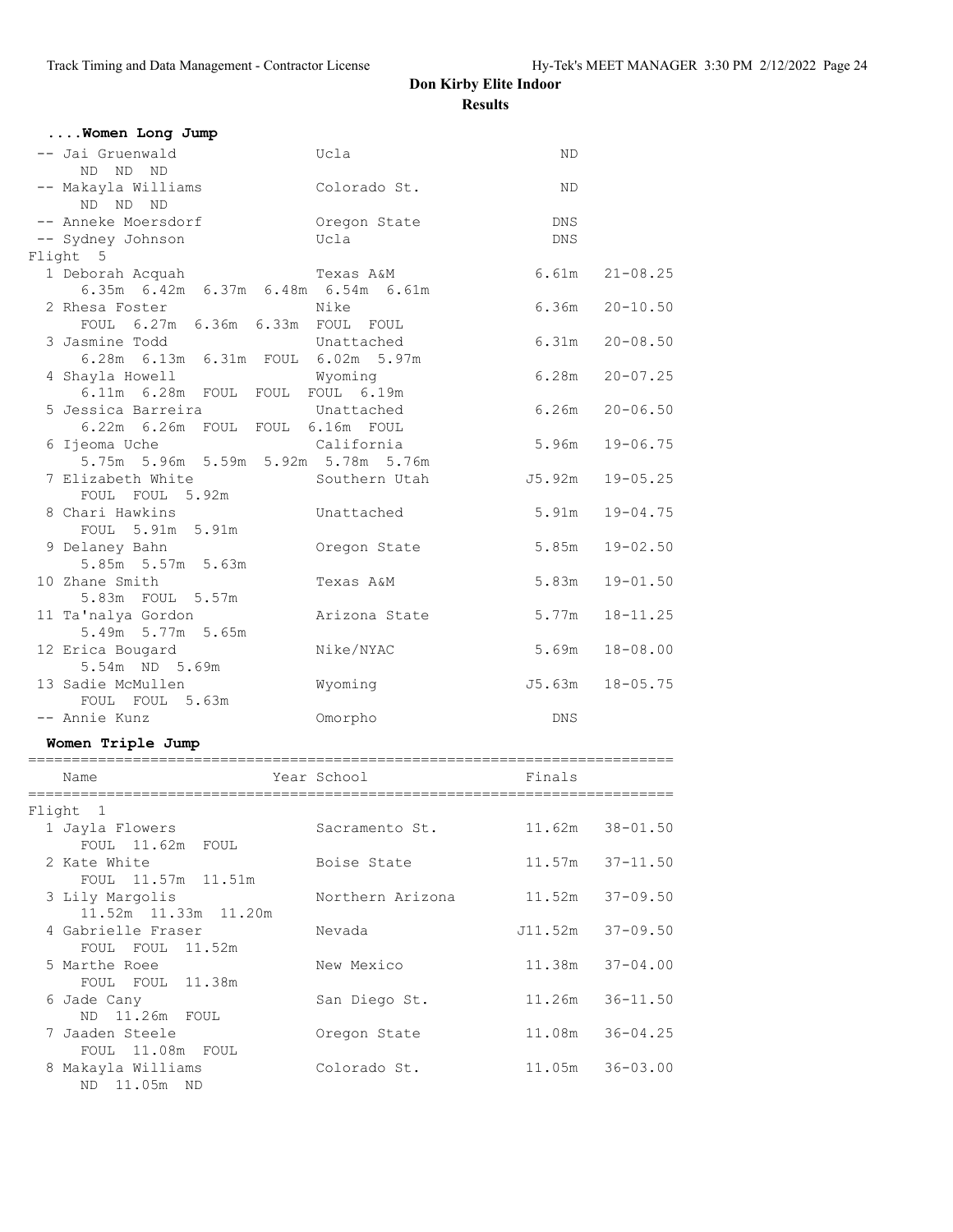|        | Women Long Jump<br>-- Jai Gruenwald                | Ucla             | ND.        |                     |
|--------|----------------------------------------------------|------------------|------------|---------------------|
|        | ND ND ND                                           |                  |            |                     |
|        | -- Makayla Williams<br>ND ND ND                    | Colorado St.     | ND         |                     |
|        | -- Anneke Moersdorf                                | Oregon State     | DNS        |                     |
|        | -- Sydney Johnson                                  | Ucla             | <b>DNS</b> |                     |
|        | Flight 5                                           |                  |            |                     |
|        | Texas A&M<br>1 Deborah Acquah                      |                  |            | $6.61m$ $21-08.25$  |
|        | 6.35m 6.42m 6.37m 6.48m 6.54m 6.61m                |                  |            |                     |
|        | 2 Rhesa Foster<br>FOUL 6.27m 6.36m 6.33m FOUL FOUL | Nike             |            | $6.36m$ $20-10.50$  |
|        | 3 Jasmine Todd                                     | Unattached       |            | $6.31m$ $20-08.50$  |
|        | 6.28m 6.13m 6.31m FOUL 6.02m 5.97m                 |                  |            |                     |
|        | 4 Shayla Howell                                    | Wyoming          |            | $6.28m$ $20-07.25$  |
|        | 6.11m 6.28m FOUL FOUL FOUL 6.19m                   |                  |            |                     |
|        | 5 Jessica Barreira                                 | Unattached       |            | $6.26m$ $20-06.50$  |
|        | 6.22m 6.26m FOUL FOUL 6.16m FOUL                   |                  |            |                     |
|        | 6 Ijeoma Uche                                      | California       | 5.96m      | $19 - 06.75$        |
|        | 5.75m 5.96m 5.59m 5.92m 5.78m 5.76m                |                  |            |                     |
|        | 7 Elizabeth White                                  | Southern Utah    |            | $J5.92m$ $19-05.25$ |
|        | FOUL FOUL 5.92m                                    |                  |            |                     |
|        | 8 Chari Hawkins                                    | Unattached       |            | 5.91m 19-04.75      |
|        | FOUL 5.91m 5.91m                                   |                  |            |                     |
|        | 9 Delaney Bahn                                     | Oregon State     |            | $5.85m$ $19-02.50$  |
|        | 5.85m 5.57m 5.63m                                  |                  |            |                     |
|        | 10 Zhane Smith                                     | Texas A&M        |            | 5.83m 19-01.50      |
|        | 5.83m FOUL 5.57m                                   |                  |            |                     |
|        | 11 Ta'nalya Gordon<br>5.49m 5.77m 5.65m            | Arizona State    | 5.77m      | 18-11.25            |
|        | 12 Erica Bougard                                   | Nike/NYAC        |            | $5.69m$ $18-08.00$  |
|        | 5.54m ND 5.69m                                     |                  |            |                     |
|        | 13 Sadie McMullen                                  | Wyoming          |            | J5.63m 18-05.75     |
|        | FOUL FOUL 5.63m                                    |                  |            |                     |
|        | -- Annie Kunz                                      | Omorpho          | DNS        |                     |
|        |                                                    |                  |            |                     |
|        | Women Triple Jump                                  |                  |            |                     |
|        | Name                                               | Year School      | Finals     |                     |
|        |                                                    |                  |            |                     |
| Flight | -1                                                 |                  |            |                     |
|        | 1 Jayla Flowers                                    | Sacramento St.   | 11.62m     | $38 - 01.50$        |
|        | FOUL 11.62m FOUL                                   |                  |            |                     |
|        | 2 Kate White                                       | Boise State      | 11.57m     | $37 - 11.50$        |
|        | FOUL 11.57m 11.51m                                 |                  |            |                     |
|        | 3 Lily Margolis                                    | Northern Arizona | 11.52m     | $37 - 09.50$        |
|        | 11.52m  11.33m  11.20m                             |                  |            |                     |
|        | 4 Gabrielle Fraser                                 | Nevada           | J11.52m    | $37 - 09.50$        |
|        | FOUL FOUL<br>11.52m                                |                  |            |                     |
|        | 5 Marthe Roee                                      | New Mexico       | 11.38m     | $37 - 04.00$        |
|        | FOUL FOUL<br>11.38m                                |                  |            |                     |
|        | 6 Jade Cany                                        | San Diego St.    | 11.26m     | $36 - 11.50$        |
|        | 11.26m FOUL<br>ND<br>7 Jaaden Steele               |                  | 11.08m     | $36 - 04.25$        |
|        | FOUL 11.08m FOUL                                   | Oregon State     |            |                     |
|        | 8 Makayla Williams                                 | Colorado St.     | 11.05m     | $36 - 03.00$        |
|        | 11.05m ND<br>ND                                    |                  |            |                     |
|        |                                                    |                  |            |                     |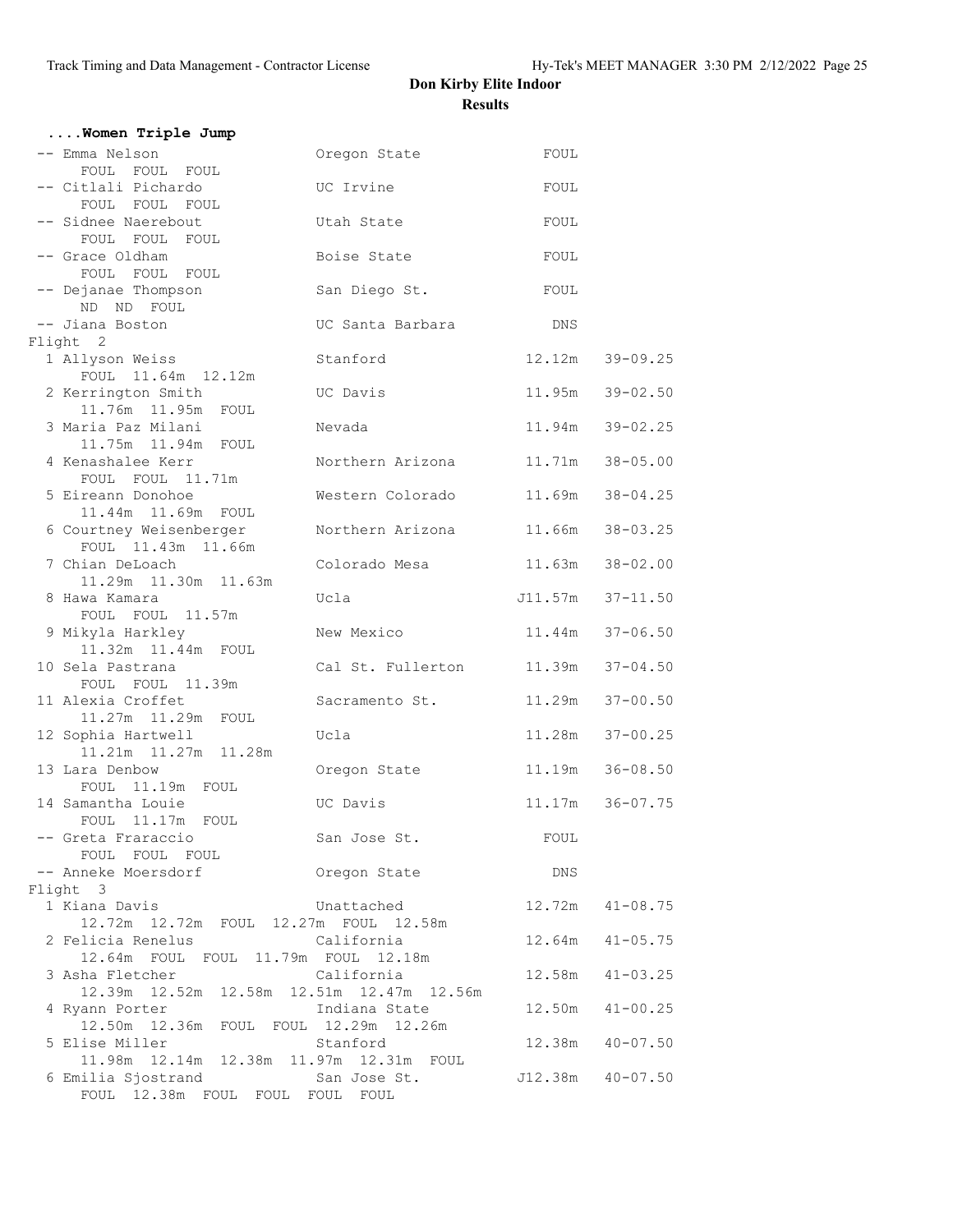| Women Triple Jump                                                 |                   |                 |                   |
|-------------------------------------------------------------------|-------------------|-----------------|-------------------|
| -- Emma Nelson<br>FOUL FOUL FOUL                                  | Oregon State      | FOUL            |                   |
| -- Citlali Pichardo<br>FOUL FOUL FOUL                             | UC Irvine         | FOUL            |                   |
| -- Sidnee Naerebout<br>FOUL FOUL FOUL                             | Utah State        | FOUL            |                   |
| -- Grace Oldham<br>FOUL FOUL FOUL                                 | Boise State       | FOUL            |                   |
| -- Dejanae Thompson<br>ND ND FOUL                                 | San Diego St.     | FOUL            |                   |
| -- Jiana Boston<br>Flight 2                                       | UC Santa Barbara  | DNS             |                   |
| 1 Allyson Weiss<br>FOUL 11.64m 12.12m                             | Stanford          |                 | 12.12m 39-09.25   |
| 2 Kerrington Smith<br>11.76m  11.95m  FOUL                        | UC Davis          |                 | 11.95m 39-02.50   |
| 3 Maria Paz Milani<br>11.75m  11.94m  FOUL                        | Nevada            |                 | 11.94m 39-02.25   |
| 4 Kenashalee Kerr<br>FOUL FOUL 11.71m                             | Northern Arizona  |                 | 11.71m 38-05.00   |
| 5 Eireann Donohoe<br>11.44m 11.69m FOUL                           | Western Colorado  |                 | 11.69m 38-04.25   |
| 6 Courtney Weisenberger<br>FOUL 11.43m 11.66m                     | Northern Arizona  |                 | 11.66m 38-03.25   |
| 7 Chian DeLoach<br>11.29m  11.30m  11.63m                         | Colorado Mesa     |                 | 11.63m 38-02.00   |
| 8 Hawa Kamara<br>FOUL FOUL 11.57m                                 | Ucla              |                 | J11.57m 37-11.50  |
| 9 Mikyla Harkley<br>11.32m  11.44m  FOUL                          | New Mexico        | 11.44m 37-06.50 |                   |
| 10 Sela Pastrana<br>FOUL FOUL 11.39m                              | Cal St. Fullerton |                 | 11.39m 37-04.50   |
| 11 Alexia Croffet<br>11.27m  11.29m  FOUL                         | Sacramento St.    |                 | 11.29m 37-00.50   |
| 12 Sophia Hartwell<br>11.21m  11.27m  11.28m                      | Ucla              | 11.28m          | $37 - 00.25$      |
| 13 Lara Denbow<br>FOUL 11.19m FOUL                                | Oregon State      |                 | 11.19m   36-08.50 |
| 14 Samantha Louie<br>FOUL 11.17m FOUL                             | UC Davis          |                 | 11.17m 36-07.75   |
| -- Greta Fraraccio<br>FOUL FOUL FOUL                              | San Jose St.      | FOUL            |                   |
| -- Anneke Moersdorf                                               | Oregon State      | DNS             |                   |
| Flight 3                                                          |                   |                 |                   |
| 1 Kiana Davis<br>12.72m  12.72m  FOUL  12.27m  FOUL  12.58m       | Unattached        |                 | 12.72m  41-08.75  |
| 2 Felicia Renelus<br>12.64m FOUL FOUL 11.79m FOUL 12.18m          | California        | 12.64m          | $41 - 05.75$      |
| 3 Asha Fletcher<br>12.39m  12.52m  12.58m  12.51m  12.47m  12.56m | California        | 12.58m          | $41 - 03.25$      |
| 4 Ryann Porter<br>12.50m  12.36m  FOUL  FOUL  12.29m  12.26m      | Indiana State     |                 | 12.50m  41-00.25  |
| 5 Elise Miller<br>11.98m  12.14m  12.38m  11.97m  12.31m  FOUL    | Stanford          | 12.38m          | $40 - 07.50$      |
| 6 Emilia Sjostrand<br>FOUL 12.38m FOUL FOUL FOUL FOUL             | San Jose St.      |                 | J12.38m  40-07.50 |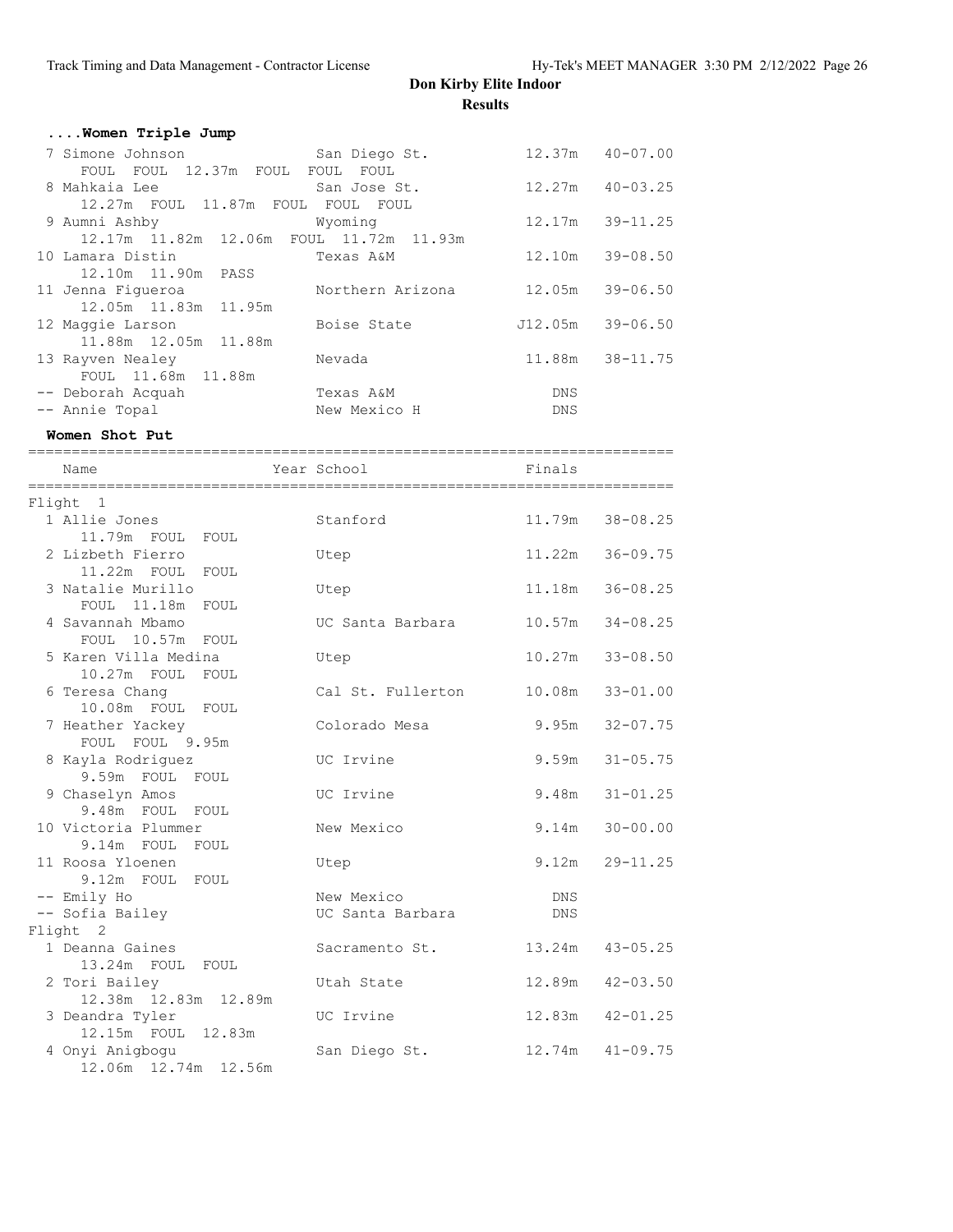| Women Triple Jump                            |                  |        |                     |
|----------------------------------------------|------------------|--------|---------------------|
| 7 Simone Johnson                             | San Diego St.    |        | $12.37m$ $40-07.00$ |
| FOUL FOUL 12.37m FOUL FOUL FOUL              |                  |        |                     |
| 8 Mahkaia Lee                                | San Jose St.     |        | $12.27m$ $40-03.25$ |
| 12.27m FOUL 11.87m FOUL FOUL FOUL            |                  |        |                     |
| 9 Aumni Ashby                                | Wyoming          |        | 12.17m 39-11.25     |
| 12.17m  11.82m  12.06m  FOUL  11.72m  11.93m |                  |        |                     |
| 10 Lamara Distin                             | Texas A&M        | 12.10m | $39 - 08.50$        |
| 12.10m  11.90m  PASS                         |                  |        |                     |
| 11 Jenna Fiqueroa                            | Northern Arizona |        | 12.05m 39-06.50     |
| 12.05m 11.83m 11.95m                         |                  |        |                     |
| 12 Maggie Larson                             | Boise State      |        | $J12.05m$ 39-06.50  |
| 11.88m 12.05m 11.88m                         |                  |        |                     |
| 13 Rayven Nealey                             | Nevada           |        | 11.88m 38-11.75     |
| FOUL 11.68m 11.88m                           |                  |        |                     |
| -- Deborah Acquah                            | Texas A&M        | DNS    |                     |
| -- Annie Topal                               | New Mexico H     | DNS    |                     |

**Women Shot Put**

| Name                                  | Year School                       | Finals |                     |
|---------------------------------------|-----------------------------------|--------|---------------------|
| Flight 1                              |                                   |        |                     |
| 1 Allie Jones                         | Stanford                          |        | 11.79m 38-08.25     |
| 11.79m FOUL FOUL                      |                                   |        |                     |
| 2 Lizbeth Fierro                      | Utep                              | 11.22m | $36 - 09.75$        |
| 11.22m FOUL<br>FOUL                   |                                   |        |                     |
| 3 Natalie Murillo                     | Utep                              |        | 11.18m 36-08.25     |
| FOUL 11.18m<br>FOUL                   |                                   |        |                     |
| 4 Savannah Mbamo                      | UC Santa Barbara 10.57m 34-08.25  |        |                     |
| FOUL 10.57m FOUL                      |                                   |        |                     |
| 5 Karen Villa Medina                  | Utep                              |        | $10.27m$ 33-08.50   |
| $10.27m$ FOUL<br>FOUL                 |                                   |        |                     |
| 6 Teresa Chang                        | Cal St. Fullerton 10.08m 33-01.00 |        |                     |
| 10.08m FOUL FOUL                      |                                   |        |                     |
| 7 Heather Yackey                      | Colorado Mesa                     |        | $9.95m$ $32-07.75$  |
| FOUL FOUL 9.95m                       |                                   |        |                     |
| 8 Kayla Rodriguez                     | UC Irvine                         |        | $9.59m$ $31-05.75$  |
| 9.59m FOUL FOUL                       |                                   |        |                     |
| 9 Chaselyn Amos                       | UC Irvine                         |        | $9.48m$ $31-01.25$  |
| 9.48m FOUL FOUL                       |                                   |        |                     |
| 10 Victoria Plummer                   | New Mexico                        |        | $9.14m$ $30-00.00$  |
| 9.14m FOUL<br>FOUL                    |                                   |        |                     |
| 11 Roosa Yloenen                      | Utep                              |        | $9.12m$ $29-11.25$  |
| 9.12m FOUL FOUL                       |                                   |        |                     |
| -- Emily Ho                           | New Mexico                        | DNS    |                     |
| -- Sofia Bailey                       | UC Santa Barbara                  | DNS    |                     |
| Flight 2                              |                                   |        |                     |
| 1 Deanna Gaines                       | Sacramento St.                    |        | 13.24m  43-05.25    |
| 13.24m FOUL FOUL                      |                                   |        |                     |
| 2 Tori Bailey                         | Utah State                        |        | $12.89m$ $42-03.50$ |
| 12.38m  12.83m  12.89m                |                                   |        |                     |
| 3 Deandra Tyler<br>12.15m FOUL 12.83m | UC Irvine                         |        | 12.83m  42-01.25    |
|                                       |                                   |        |                     |
| 4 Onyi Anigbogu                       | San Diego St.                     |        | $12.74m$ $41-09.75$ |
| 12.06m  12.74m  12.56m                |                                   |        |                     |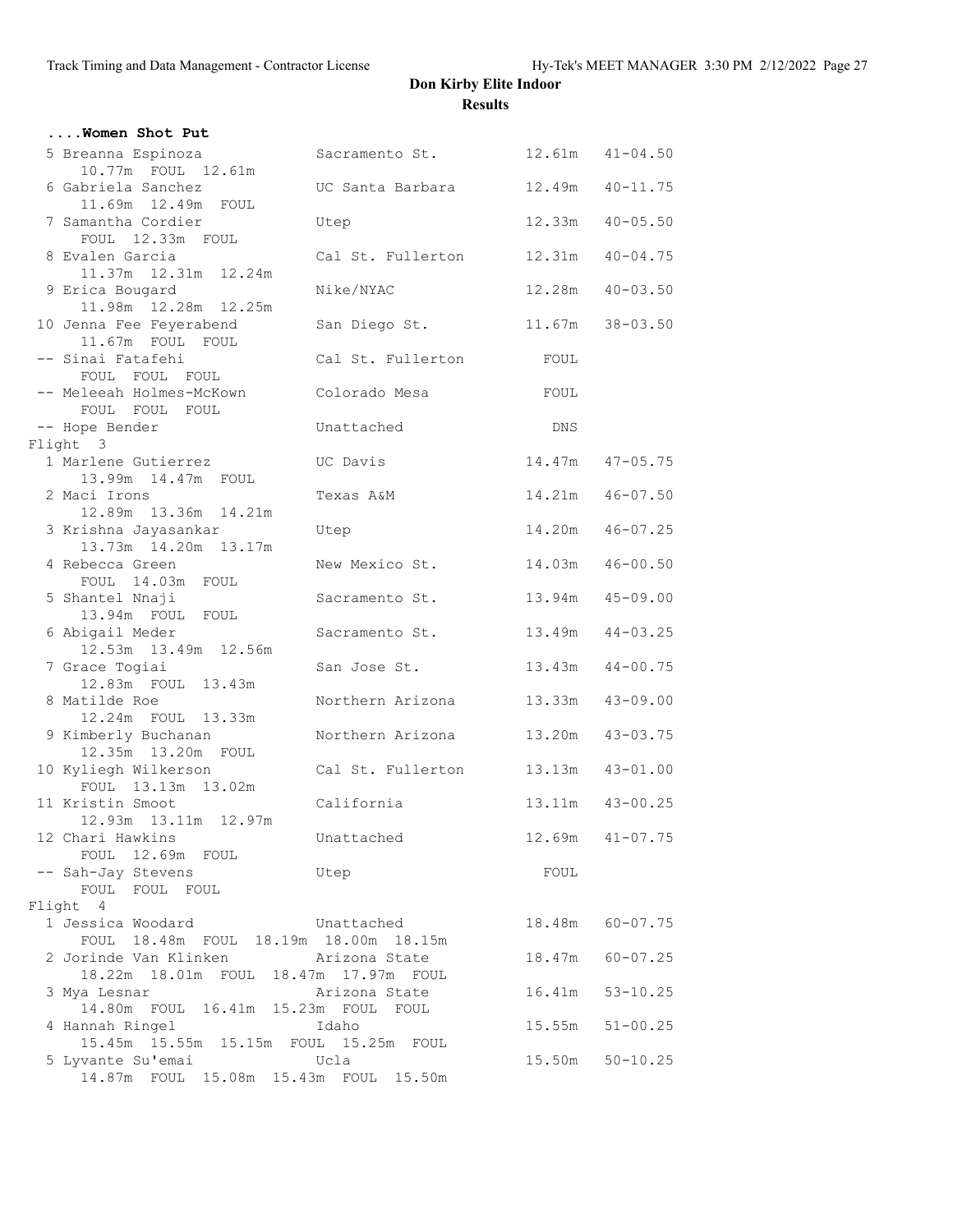| Women Shot Put                                                           |                   |        |                     |
|--------------------------------------------------------------------------|-------------------|--------|---------------------|
| 5 Breanna Espinoza                                                       | Sacramento St.    |        | $12.61m$ $41-04.50$ |
| 10.77m FOUL 12.61m<br>6 Gabriela Sanchez                                 | UC Santa Barbara  | 12.49m | $40 - 11.75$        |
| 11.69m  12.49m  FOUL<br>7 Samantha Cordier<br>FOUL 12.33m FOUL           | Utep              |        | $12.33m$ $40-05.50$ |
| 8 Evalen Garcia<br>11.37m  12.31m  12.24m                                | Cal St. Fullerton |        | $12.31m$ $40-04.75$ |
| 9 Erica Bougard<br>11.98m  12.28m  12.25m                                | Nike/NYAC         |        | 12.28m  40-03.50    |
| 10 Jenna Fee Feyerabend<br>11.67m FOUL FOUL                              | San Diego St.     |        | $11.67m$ $38-03.50$ |
| -- Sinai Fatafehi<br>FOUL FOUL FOUL                                      | Cal St. Fullerton | FOUL   |                     |
| -- Meleeah Holmes-McKown<br>FOUL FOUL FOUL                               | Colorado Mesa     | FOUL   |                     |
| -- Hope Bender                                                           | Unattached        | DNS    |                     |
| Flight 3                                                                 |                   |        |                     |
| 1 Marlene Gutierrez<br>13.99m  14.47m  FOUL                              | UC Davis          |        | 14.47m  47-05.75    |
| 2 Maci Irons<br>12.89m 13.36m 14.21m                                     | Texas A&M         |        | 14.21m  46-07.50    |
| 3 Krishna Jayasankar<br>13.73m  14.20m  13.17m                           | Utep              |        | 14.20m  46-07.25    |
| 4 Rebecca Green<br>FOUL 14.03m FOUL                                      | New Mexico St.    | 14.03m | $46 - 00.50$        |
| 5 Shantel Nnaji<br>13.94m FOUL FOUL                                      | Sacramento St.    | 13.94m | $45 - 09.00$        |
| 6 Abigail Meder<br>12.53m  13.49m  12.56m                                | Sacramento St.    |        | 13.49m  44-03.25    |
| 7 Grace Togiai<br>12.83m FOUL 13.43m                                     | San Jose St.      |        | 13.43m  44-00.75    |
| 8 Matilde Roe<br>12.24m FOUL 13.33m                                      | Northern Arizona  | 13.33m | $43 - 09.00$        |
| 9 Kimberly Buchanan<br>12.35m 13.20m FOUL                                | Northern Arizona  |        | 13.20m  43-03.75    |
| 10 Kyliegh Wilkerson<br>FOUL 13.13m 13.02m                               | Cal St. Fullerton |        | 13.13m  43-01.00    |
| 11 Kristin Smoot<br>12.93m  13.11m  12.97m                               | California        |        | 13.11m  43-00.25    |
| 12 Chari Hawkins<br>FOUL 12.69m FOUL                                     | Unattached        |        | $12.69m$ $41-07.75$ |
| -- Sah-Jay Stevens<br>FOUL FOUL FOUL                                     | Utep              | FOUL   |                     |
| Flight 4                                                                 |                   |        |                     |
| 1 Jessica Woodard<br>Unattached<br>FOUL 18.48m FOUL 18.19m 18.00m 18.15m |                   |        | 18.48m 60-07.75     |
| 2 Jorinde Van Klinken<br>18.22m 18.01m FOUL 18.47m 17.97m FOUL           | Arizona State     |        | 18.47m 60-07.25     |
| 3 Mya Lesnar<br>14.80m FOUL 16.41m 15.23m FOUL FOUL                      | Arizona State     |        | 16.41m 53-10.25     |
| 4 Hannah Ringel<br>15.45m 15.55m 15.15m FOUL 15.25m FOUL                 | Idaho             | 15.55m | $51 - 00.25$        |
| 5 Lyvante Su'emai<br>14.87m FOUL 15.08m 15.43m FOUL 15.50m               | Ucla              |        | 15.50m 50-10.25     |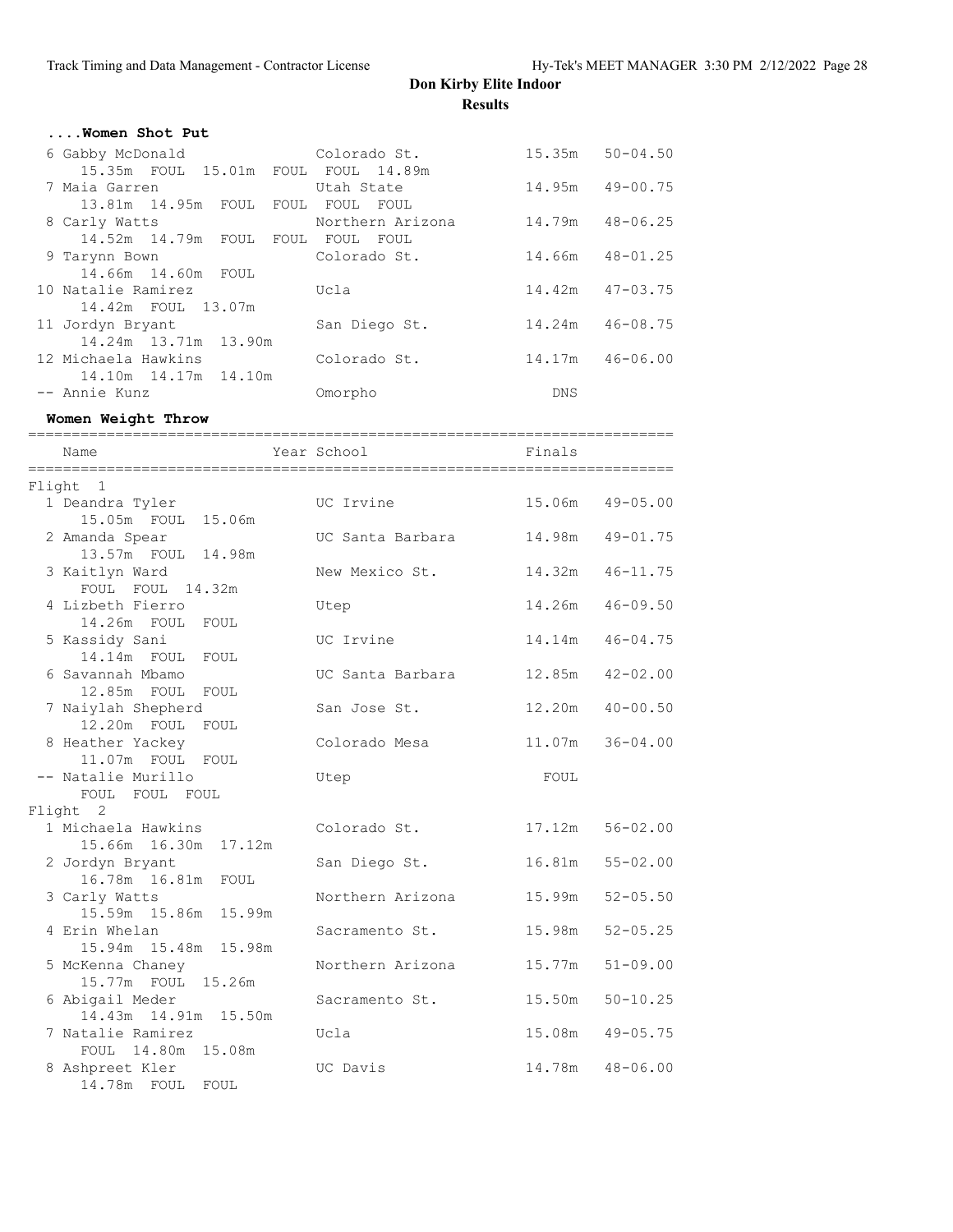| Women Shot Put                      |                  |                     |  |
|-------------------------------------|------------------|---------------------|--|
| Colorado St.<br>6 Gabby McDonald    |                  | $15.35m$ $50-04.50$ |  |
| 15.35m FOUL 15.01m FOUL FOUL 14.89m |                  |                     |  |
| 7 Maia Garren                       | Utah State       | 14.95m 49-00.75     |  |
| 13.81m 14.95m FOUL FOUL FOUL FOUL   |                  |                     |  |
| 8 Carly Watts                       | Northern Arizona | 14.79m 48-06.25     |  |
| 14.52m 14.79m FOUL FOUL FOUL FOUL   |                  |                     |  |
| 9 Tarynn Bown                       | Colorado St.     | 14.66m 48-01.25     |  |
| 14.66m 14.60m FOUL                  |                  |                     |  |
| 10 Natalie Ramirez                  | Ucla             | $14.42m$ $47-03.75$ |  |
| 14.42m FOUL 13.07m                  |                  |                     |  |
| 11 Jordyn Bryant                    | San Diego St.    | 14.24m  46-08.75    |  |
| 14.24m 13.71m 13.90m                |                  |                     |  |
| 12 Michaela Hawkins                 | Colorado St.     | 14.17m 46-06.00     |  |
| 14.10m  14.17m  14.10m              |                  |                     |  |
| -- Annie Kunz                       | Omorpho          | <b>DNS</b>          |  |

**Women Weight Throw**

| Name                                           | ============<br>Year School | Finals          |              |
|------------------------------------------------|-----------------------------|-----------------|--------------|
| Flight 1                                       |                             |                 |              |
| 1 Deandra Tyler<br>15.05m FOUL 15.06m          | UC Irvine                   | 15.06m          | $49 - 05.00$ |
| 2 Amanda Spear<br>13.57m FOUL 14.98m           | UC Santa Barbara            | 14.98m          | $49 - 01.75$ |
| 3 Kaitlyn Ward<br>FOUL FOUL 14.32m             | New Mexico St.              | 14.32m          | $46 - 11.75$ |
| 4 Lizbeth Fierro<br>14.26m FOUL FOUL           | Utep                        | 14.26m          | $46 - 09.50$ |
| 5 Kassidy Sani<br>14.14m FOUL FOUL             | UC Irvine                   | 14.14m          | $46 - 04.75$ |
| 6 Savannah Mbamo<br>12.85m FOUL FOUL           | UC Santa Barbara            | 12.85m          | $42 - 02.00$ |
| 7 Naiylah Shepherd<br>12.20m FOUL FOUL         | San Jose St.                | 12.20m          | $40 - 00.50$ |
| 8 Heather Yackey<br>11.07m FOUL FOUL           | Colorado Mesa               | 11.07m          | $36 - 04.00$ |
| -- Natalie Murillo<br>FOUL FOUL FOUL           | Utep                        | FOUL            |              |
| Flight 2                                       |                             |                 |              |
| 1 Michaela Hawkins<br>17.12m<br>15.66m  16.30m | Colorado St.                | 17.12m 56-02.00 |              |
| 2 Jordyn Bryant<br>16.78m  16.81m<br>FOUL      | San Diego St.               | 16.81m 55-02.00 |              |
| 3 Carly Watts<br>15.59m  15.86m  15.99m        | Northern Arizona            | 15.99m          | $52 - 05.50$ |
| 4 Erin Whelan<br>15.94m 15.48m 15.98m          | Sacramento St.              | 15.98m          | $52 - 05.25$ |
| 5 McKenna Chaney<br>15.77m FOUL 15.26m         | Northern Arizona            | 15.77m          | $51 - 09.00$ |
| 6 Abigail Meder<br>14.43m  14.91m  15.50m      | Sacramento St.              | 15.50m          | $50 - 10.25$ |
| 7 Natalie Ramirez<br>FOUL 14.80m 15.08m        | Ucla                        | 15.08m          | $49 - 05.75$ |
| 8 Ashpreet Kler                                | UC Davis                    | 14.78m          | $48 - 06.00$ |

14.78m FOUL FOUL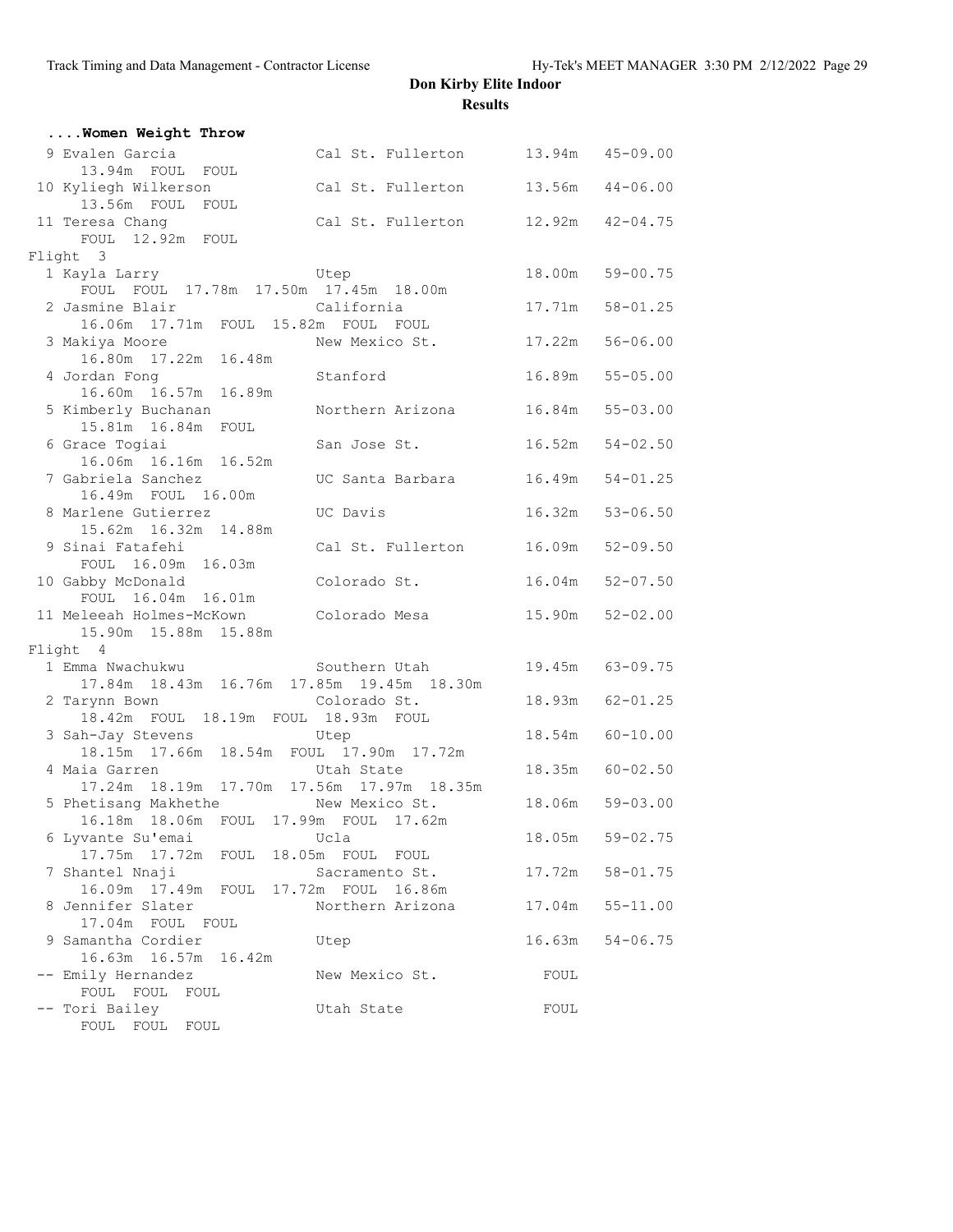| Women Weight Throw                                                                |                                             |                     |              |
|-----------------------------------------------------------------------------------|---------------------------------------------|---------------------|--------------|
| 9 Evalen Garcia<br>13.94m FOUL FOUL                                               | Cal St. Fullerton 13.94m 45-09.00           |                     |              |
| 10 Kyliegh Wilkerson<br>13.56m FOUL<br>FOUL                                       | Cal St. Fullerton                           | $13.56m$ $44-06.00$ |              |
| 11 Teresa Chang<br>FOUL 12.92m FOUL                                               | Cal St. Fullerton 12.92m 42-04.75           |                     |              |
| Flight 3                                                                          |                                             |                     |              |
| 1 Kayla Larry<br>Utep<br>FOUL FOUL 17.78m 17.50m 17.45m 18.00m                    |                                             | 18.00m 59-00.75     |              |
| 2 Jasmine Blair<br>16.06m  17.71m  FOUL  15.82m  FOUL  FOUL                       | California                                  | 17.71m  58-01.25    |              |
| 3 Makiya Moore<br>16.80m  17.22m  16.48m                                          | New Mexico St.                              | 17.22m              | $56 - 06.00$ |
| 4 Jordan Fong<br>16.60m  16.57m  16.89m                                           | Stanford                                    | 16.89m 55-05.00     |              |
| 5 Kimberly Buchanan<br>15.81m  16.84m  FOUL                                       | Northern Arizona                            | $16.84m$ $55-03.00$ |              |
| 6 Grace Togiai<br>16.06m  16.16m  16.52m                                          | San Jose St.                                | 16.52m              | $54 - 02.50$ |
| 7 Gabriela Sanchez<br>16.49m FOUL 16.00m                                          | UC Santa Barbara                            | 16.49m              | $54 - 01.25$ |
| 8 Marlene Gutierrez<br>15.62m  16.32m  14.88m                                     | UC Davis                                    | 16.32m 53-06.50     |              |
| 9 Sinai Fatafehi                                                                  | Cal St. Fullerton                           | 16.09m              | $52 - 09.50$ |
| FOUL 16.09m 16.03m<br>10 Gabby McDonald<br>FOUL 16.04m 16.01m                     | Colorado St.                                | $16.04m$ $52-07.50$ |              |
| 11 Meleeah Holmes-McKown<br>15.90m  15.88m  15.88m                                | Colorado Mesa                               | 15.90m 52-02.00     |              |
| Flight 4                                                                          |                                             |                     |              |
| 1 Emma Nwachukwu<br>17.84m  18.43m  16.76m  17.85m  19.45m  18.30m                | Southern Utah                               | 19.45m 63-09.75     |              |
| 2 Tarynn Bown<br>18.42m FOUL 18.19m FOUL 18.93m FOUL                              | Colorado St.                                | 18.93m 62-01.25     |              |
| 3 Sah-Jay Stevens Utep<br>18.15m  17.66m  18.54m  FOUL  17.90m  17.72m            |                                             | 18.54m 60-10.00     |              |
| 4 Maia Garren<br>17.24m  18.19m  17.70m  17.56m  17.97m  18.35m                   | Utah State                                  | 18.35m 60-02.50     |              |
| 5 Phetisang Makhethe New Mexico St.<br>16.18m  18.06m  FOUL  17.99m  FOUL  17.62m |                                             | 18.06m 59-03.00     |              |
| 6 Lyvante Su'emai<br>17.75m  17.72m  FOUL  18.05m  FOUL  FOUL                     | Ucla                                        | 18.05m              | $59 - 02.75$ |
| 7 Shantel Nnaji<br>16.09m  17.49m                                                 | Sacramento St.                              | 17.72m              | $58 - 01.75$ |
| 8 Jennifer Slater                                                                 | FOUL 17.72m FOUL 16.86m<br>Northern Arizona | 17.04m              | $55 - 11.00$ |
| 17.04m FOUL FOUL<br>9 Samantha Cordier                                            | Utep                                        | 16.63m              | $54 - 06.75$ |
| 16.63m  16.57m  16.42m<br>-- Emily Hernandez                                      | New Mexico St.                              | FOUL                |              |
| FOUL FOUL<br>FOUL<br>Tori Bailey<br>FOUL FOUL FOUL                                | Utah State                                  | FOUL                |              |
|                                                                                   |                                             |                     |              |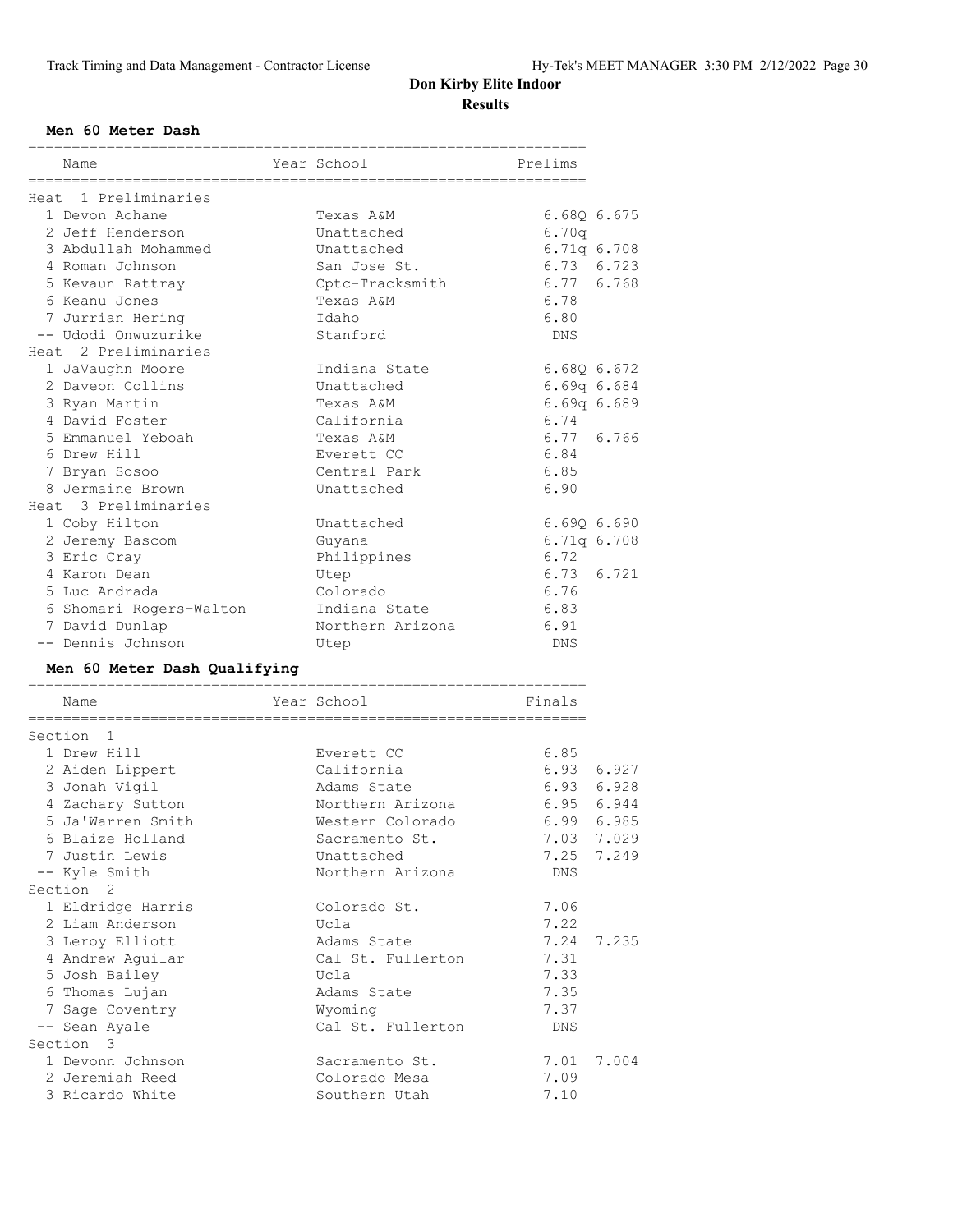#### **Men 60 Meter Dash**

| Name                                     | Year School       | Prelims     |                 |
|------------------------------------------|-------------------|-------------|-----------------|
| Heat 1 Preliminaries                     |                   |             |                 |
| 1 Devon Achane                           | Texas A&M         |             | 6.680 6.675     |
| 2 Jeff Henderson                         | Unattached        | 6.70q       |                 |
| 3 Abdullah Mohammed                      | Unattached        |             | 6.71q 6.708     |
| 4 Roman Johnson                          | San Jose St.      |             | 6.73 6.723      |
| 5 Kevaun Rattray                         | Cptc-Tracksmith   |             | 6.77 6.768      |
| 6 Keanu Jones                            | Texas A&M         | 6.78        |                 |
| 7 Jurrian Hering                         | Idaho             | 6.80        |                 |
| -- Udodi Onwuzurike                      | Stanford          | DNS         |                 |
| Heat 2 Preliminaries                     |                   |             |                 |
| 1 JaVaughn Moore                         | Indiana State     | 6.680 6.672 |                 |
| 2 Daveon Collins                         | Unattached        |             | $6.69q$ $6.684$ |
| 3 Ryan Martin                            | Texas A&M         |             |                 |
| 4 David Foster                           | California        | 6.74        | $6.69q$ $6.689$ |
|                                          |                   |             | 6.77 6.766      |
| 5 Emmanuel Yeboah                        | Texas A&M         |             |                 |
| 6 Drew Hill                              | Everett CC        | 6.84        |                 |
| 7 Bryan Sosoo                            | Central Park      | 6.85        |                 |
| 8 Jermaine Brown<br>Heat 3 Preliminaries | Unattached        | 6.90        |                 |
| 1 Coby Hilton                            | Unattached        |             | 6.690 6.690     |
|                                          |                   |             | 6.71q 6.708     |
| 2 Jeremy Bascom<br>3 Eric Cray           | Guyana            | 6.72        |                 |
| 4 Karon Dean                             | Philippines       | 6.73        | 6.721           |
|                                          | Utep              | 6.76        |                 |
| 5 Luc Andrada                            | Colorado          |             |                 |
| 6 Shomari Rogers-Walton                  | Indiana State     | 6.83        |                 |
| 7 David Dunlap                           | Northern Arizona  | 6.91        |                 |
| -- Dennis Johnson                        | Utep              | DNS         |                 |
|                                          |                   |             |                 |
| Men 60 Meter Dash Qualifying             |                   |             |                 |
| Name                                     | Year School       | Finals      |                 |
| =============<br>======================  |                   |             |                 |
| Section 1                                |                   |             |                 |
| 1 Drew Hill                              | Everett CC        | 6.85        |                 |
| 2 Aiden Lippert                          | California        | 6.93        | 6.927           |
| 3 Jonah Vigil                            | Adams State       | 6.93        | 6.928           |
| 4 Zachary Sutton                         | Northern Arizona  | 6.95        | 6.944           |
| 5 Ja'Warren Smith                        | Western Colorado  | 6.99        | 6.985           |
| 6 Blaize Holland                         | Sacramento St.    |             | 7.03 7.029      |
| 7 Justin Lewis                           | Unattached        |             | 7.25 7.249      |
| -- Kyle Smith                            | Northern Arizona  | DNS         |                 |
| Section <sub>2</sub>                     |                   |             |                 |
| 1 Eldridge Harris                        | Colorado St.      | 7.06        |                 |
| 2 Liam Anderson                          | Ucla              | 7.22        |                 |
| 3 Leroy Elliott                          | Adams State       | 7.24        | 7.235           |
| 4 Andrew Aguilar                         | Cal St. Fullerton | 7.31        |                 |
| 5 Josh Bailey                            | Ucla              | 7.33        |                 |
| 6 Thomas Lujan                           | Adams State       | 7.35        |                 |
| 7 Sage Coventry                          | Wyoming           | 7.37        |                 |
| -- Sean Ayale                            | Cal St. Fullerton | DNS         |                 |
| Section 3                                |                   |             |                 |
| 1 Devonn Johnson                         | Sacramento St.    | 7.01        | 7.004           |
| 2 Jeremiah Reed                          | Colorado Mesa     | 7.09        |                 |
| 3 Ricardo White                          | Southern Utah     | 7.10        |                 |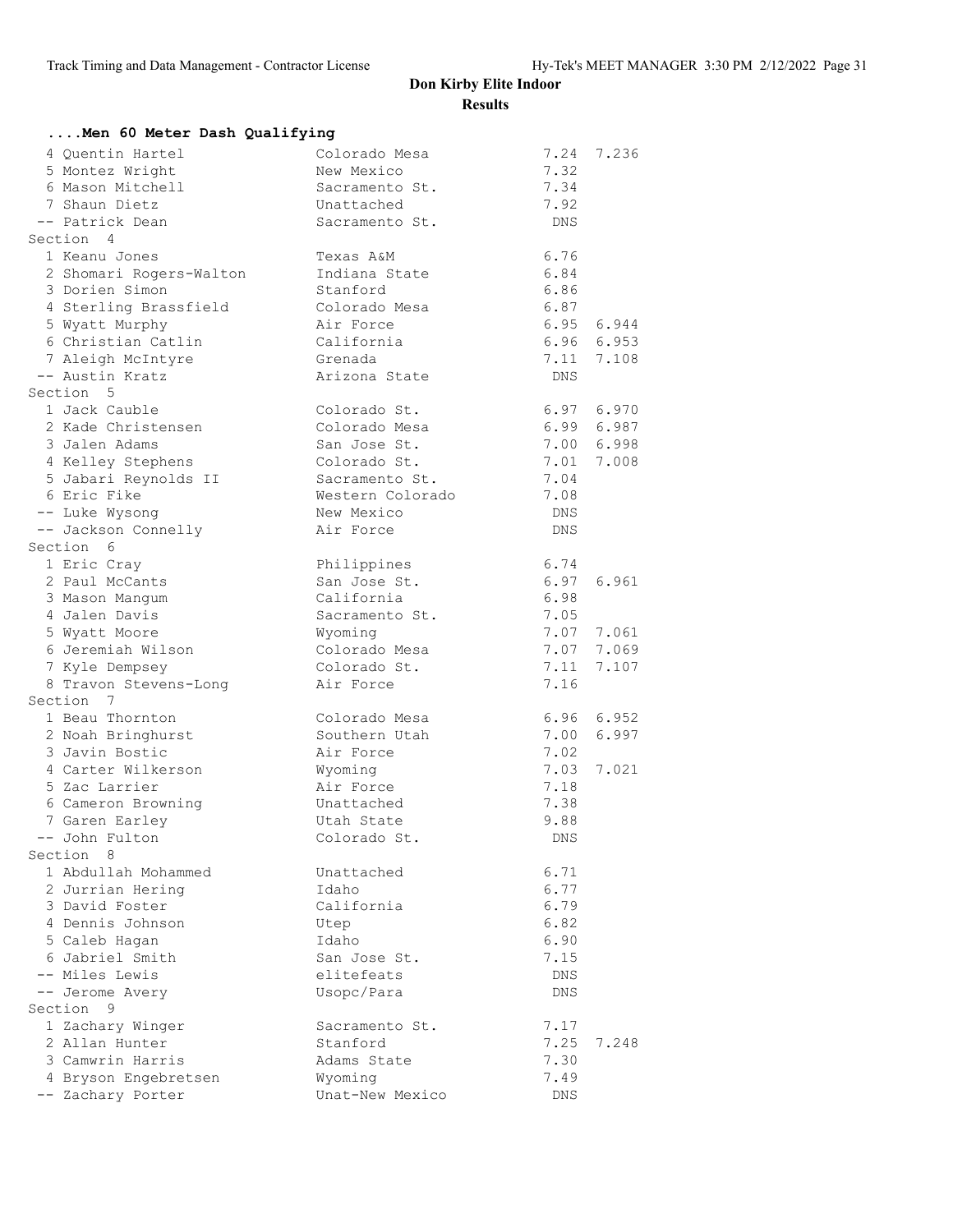| Men 60 Meter Dash Qualifying          |                                |              |            |  |  |
|---------------------------------------|--------------------------------|--------------|------------|--|--|
| 4 Quentin Hartel                      | Colorado Mesa                  |              | 7.24 7.236 |  |  |
| 5 Montez Wright                       | New Mexico                     | 7.32         |            |  |  |
| 6 Mason Mitchell                      | Sacramento St.                 | 7.34         |            |  |  |
| 7 Shaun Dietz                         | Unattached                     | 7.92         |            |  |  |
| -- Patrick Dean                       | Sacramento St.                 | DNS          |            |  |  |
| Section 4                             |                                |              |            |  |  |
| 1 Keanu Jones                         | Texas A&M                      | 6.76         |            |  |  |
| 2 Shomari Rogers-Walton               | Indiana State                  | 6.84         |            |  |  |
| 3 Dorien Simon                        | Stanford                       | 6.86         |            |  |  |
| 4 Sterling Brassfield                 | Colorado Mesa                  | 6.87         |            |  |  |
| 5 Wyatt Murphy                        | Air Force                      |              | 6.95 6.944 |  |  |
| 6 Christian Catlin                    | California                     |              | 6.96 6.953 |  |  |
| 7 Aleigh McIntyre                     | Grenada                        |              | 7.11 7.108 |  |  |
| -- Austin Kratz                       | Arizona State                  | DNS          |            |  |  |
| Section 5                             |                                |              |            |  |  |
| 1 Jack Cauble                         | Colorado St.                   |              | 6.97 6.970 |  |  |
| 2 Kade Christensen                    | Colorado Mesa                  |              | 6.99 6.987 |  |  |
| 3 Jalen Adams                         | San Jose St.                   |              | 7.00 6.998 |  |  |
| 4 Kelley Stephens                     | Colorado St.                   | 7.01         | 7.008      |  |  |
| 5 Jabari Reynolds II<br>6 Eric Fike   | Sacramento St.                 | 7.04         |            |  |  |
|                                       | Western Colorado<br>New Mexico | 7.08         |            |  |  |
| -- Luke Wysong<br>-- Jackson Connelly | Air Force                      | DNS<br>DNS   |            |  |  |
| Section 6                             |                                |              |            |  |  |
| 1 Eric Cray                           | Philippines                    | 6.74         |            |  |  |
| 2 Paul McCants                        | San Jose St.                   |              | 6.97 6.961 |  |  |
| 3 Mason Manqum                        | California                     | 6.98         |            |  |  |
| 4 Jalen Davis                         | Sacramento St.                 | 7.05         |            |  |  |
| 5 Wyatt Moore                         | Wyoming                        | 7.07         | 7.061      |  |  |
| 6 Jeremiah Wilson                     | Colorado Mesa                  | 7.07         | 7.069      |  |  |
| 7 Kyle Dempsey                        | Colorado St.                   | 7.11         | 7.107      |  |  |
| 8 Travon Stevens-Long                 | Air Force                      | 7.16         |            |  |  |
| Section<br>7                          |                                |              |            |  |  |
| 1 Beau Thornton                       | Colorado Mesa                  | 6.96         | 6.952      |  |  |
| 2 Noah Bringhurst                     | Southern Utah                  | 7.00         | 6.997      |  |  |
| 3 Javin Bostic                        | Air Force                      | 7.02         |            |  |  |
| 4 Carter Wilkerson                    | Wyoming                        | 7.03         | 7.021      |  |  |
| 5 Zac Larrier                         | Air Force                      | 7.18         |            |  |  |
| 6 Cameron Browning                    | Unattached                     | 7.38         |            |  |  |
| 7 Garen Earley                        | Utah State                     | 9.88         |            |  |  |
| -- John Fulton                        | Colorado St.                   | <b>DNS</b>   |            |  |  |
| Section 8                             |                                |              |            |  |  |
| 1 Abdullah Mohammed                   | Unattached                     | 6.71         |            |  |  |
| 2 Jurrian Hering                      | Idaho                          | 6.77         |            |  |  |
| 3 David Foster                        | California                     | 6.79         |            |  |  |
| 4 Dennis Johnson                      | Utep                           | 6.82         |            |  |  |
| 5 Caleb Hagan<br>6 Jabriel Smith      | Idaho<br>San Jose St.          | 6.90<br>7.15 |            |  |  |
| -- Miles Lewis                        | elitefeats                     | DNS          |            |  |  |
| -- Jerome Avery                       | Usopc/Para                     | DNS          |            |  |  |
| Section<br>9                          |                                |              |            |  |  |
| 1 Zachary Winger                      | Sacramento St.                 | 7.17         |            |  |  |
| 2 Allan Hunter                        | Stanford                       | 7.25         | 7.248      |  |  |
| 3 Camwrin Harris                      | Adams State                    | 7.30         |            |  |  |
| 4 Bryson Engebretsen                  | Wyoming                        | 7.49         |            |  |  |
| -- Zachary Porter                     | Unat-New Mexico                | DNS          |            |  |  |
|                                       |                                |              |            |  |  |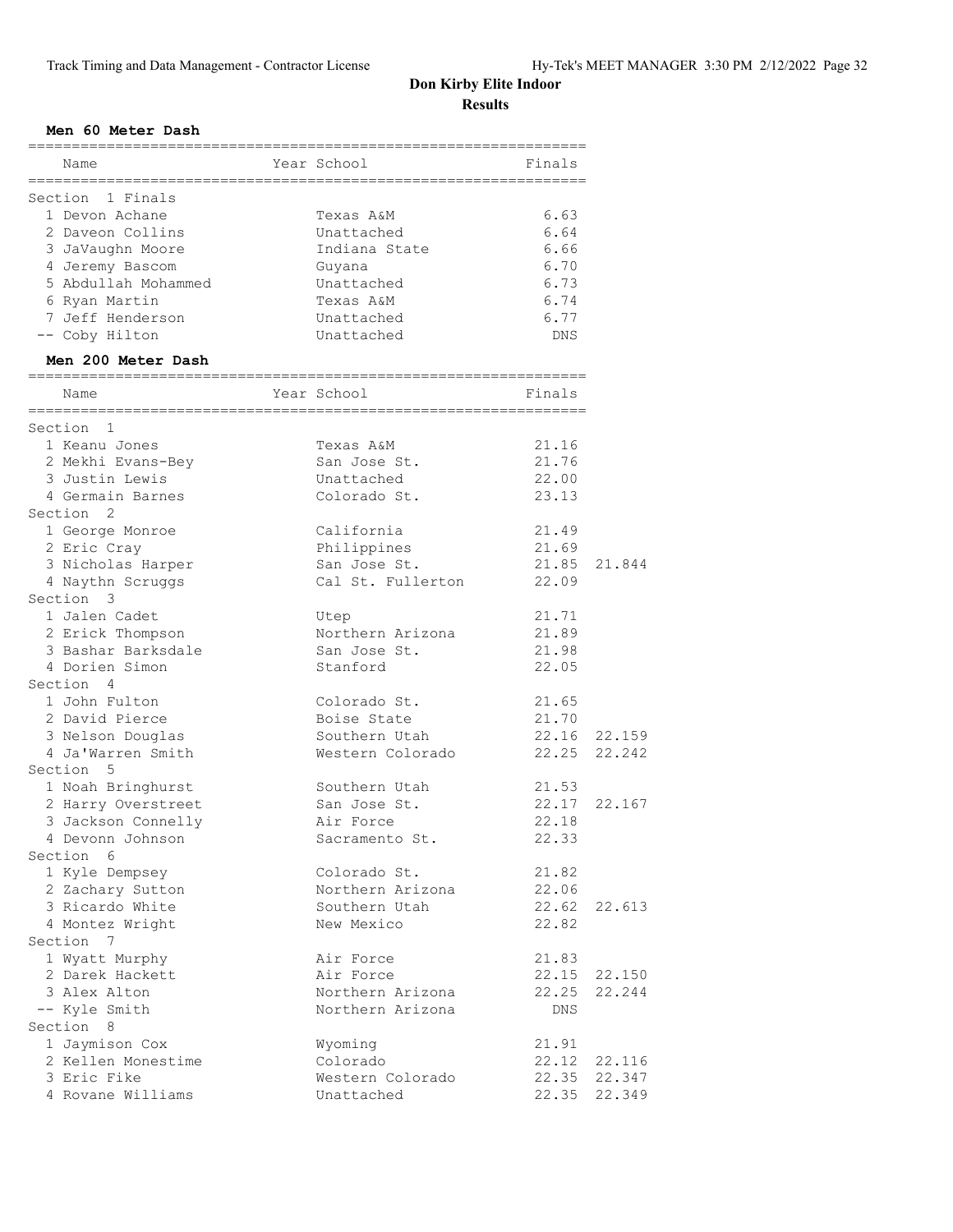#### **Men 60 Meter Dash**

| Name                | Year School   | Finals     |
|---------------------|---------------|------------|
|                     |               |            |
| Section 1 Finals    |               |            |
| 1 Devon Achane      | Texas A&M     | 6.63       |
| 2 Daveon Collins    | Unattached    | 6.64       |
| 3 JaVaughn Moore    | Indiana State | 6.66       |
| 4 Jeremy Bascom     | Guyana        | 6.70       |
| 5 Abdullah Mohammed | Unattached    | 6.73       |
| 6 Ryan Martin       | Texas A&M     | 6.74       |
| 7 Jeff Henderson    | Unattached    | 6.77       |
| -- Coby Hilton      | Unattached    | <b>DNS</b> |
| Men 200 Meter Dash  |               |            |
| Name                | Year School   | Finals     |
| Section<br>-1       |               |            |
| 1 Keanu Jones       | Texas A&M     | 21.16      |
| 2 Mekhi Evans-Bey   | San Jose St.  | 21.76      |
| 3 Justin Lewis      | Unattached    | 22.00      |

| Section 1          |                   |              |              |
|--------------------|-------------------|--------------|--------------|
| 1 Keanu Jones      | Texas A&M         | 21.16        |              |
| 2 Mekhi Evans-Bey  | San Jose St.      | 21.76        |              |
| 3 Justin Lewis     | Unattached        | 22.00        |              |
| 4 Germain Barnes   | Colorado St.      | 23.13        |              |
| Section 2          |                   |              |              |
| 1 George Monroe    | California        | 21.49        |              |
| 2 Eric Cray        | Philippines       | 21.69        |              |
| 3 Nicholas Harper  | San Jose St.      | 21.85        | 21.844       |
| 4 Naythn Scruggs   | Cal St. Fullerton | 22.09        |              |
| Section 3          |                   |              |              |
| 1 Jalen Cadet      | Utep              | 21.71        |              |
| 2 Erick Thompson   | Northern Arizona  | 21.89        |              |
| 3 Bashar Barksdale | San Jose St.      | 21.98        |              |
| 4 Dorien Simon     | Stanford          | 22.05        |              |
| Section 4          |                   |              |              |
| 1 John Fulton      | Colorado St.      | 21.65        |              |
| 2 David Pierce     | Boise State       | 21.70        |              |
| 3 Nelson Douglas   | Southern Utah     |              | 22.16 22.159 |
| 4 Ja'Warren Smith  | Western Colorado  | 22.25 22.242 |              |
| Section 5          |                   |              |              |
| 1 Noah Bringhurst  | Southern Utah     | 21.53        |              |
| 2 Harry Overstreet | San Jose St.      | 22.17 22.167 |              |
| 3 Jackson Connelly | Air Force         | 22.18        |              |
| 4 Devonn Johnson   | Sacramento St.    | 22.33        |              |
| Section 6          |                   |              |              |
| 1 Kyle Dempsey     | Colorado St.      | 21.82        |              |
| 2 Zachary Sutton   | Northern Arizona  | 22.06        |              |
| 3 Ricardo White    | Southern Utah     | 22.62 22.613 |              |
| 4 Montez Wright    | New Mexico        | 22.82        |              |
| Section 7          |                   |              |              |
| 1 Wyatt Murphy     | Air Force         | 21.83        |              |
| 2 Darek Hackett    | Air Force         |              | 22.15 22.150 |
| 3 Alex Alton       | Northern Arizona  | 22.25        | 22.244       |
| -- Kyle Smith      | Northern Arizona  | DNS          |              |
| Section 8          |                   |              |              |
| 1 Jaymison Cox     | Wyoming           | 21.91        |              |
| 2 Kellen Monestime | Colorado          |              | 22.12 22.116 |
| 3 Eric Fike        | Western Colorado  |              | 22.35 22.347 |
| 4 Rovane Williams  | Unattached        | 22.35        | 22.349       |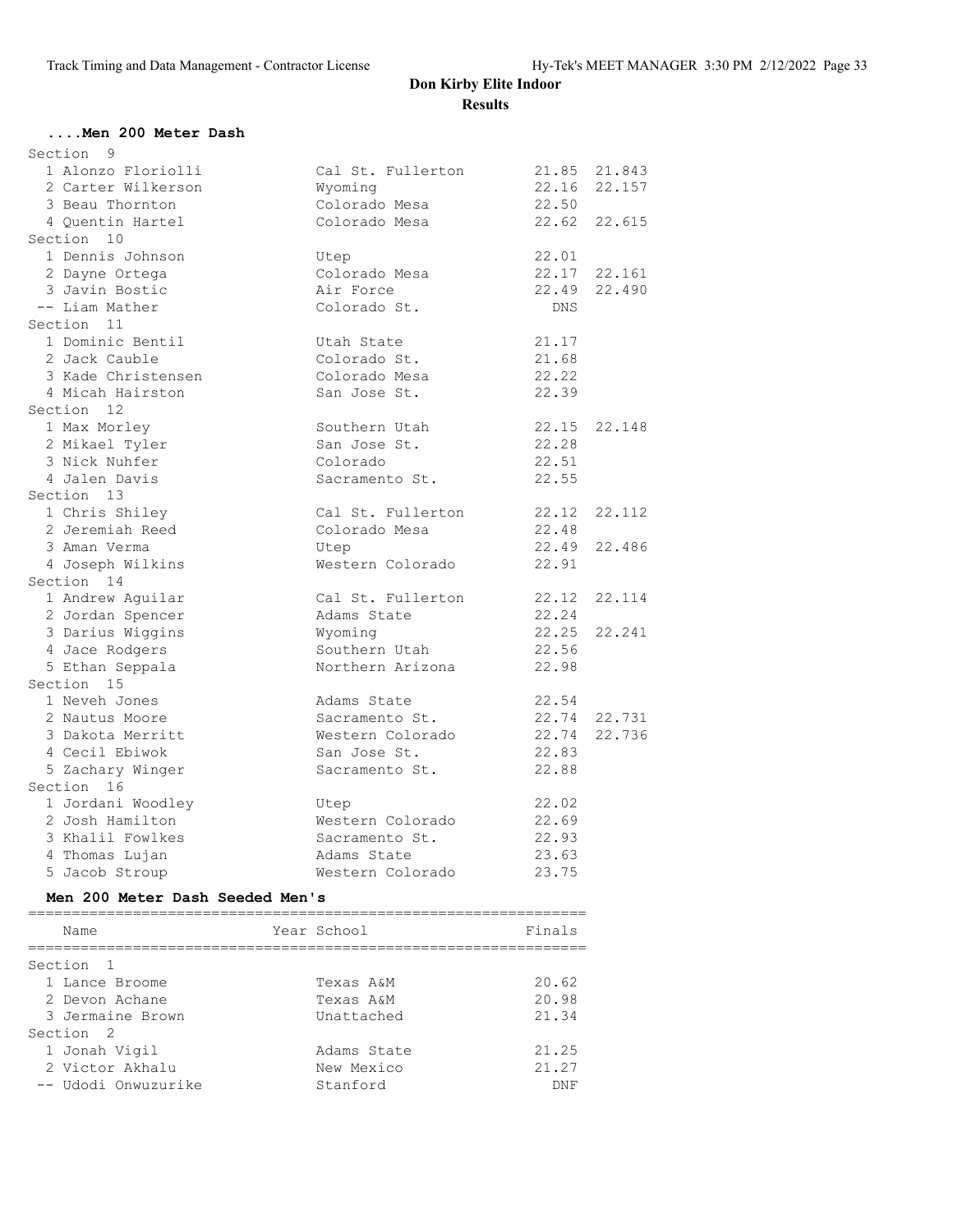#### **....Men 200 Meter Dash**

| Section<br>9                    |                   |        |              |
|---------------------------------|-------------------|--------|--------------|
| 1 Alonzo Floriolli              | Cal St. Fullerton |        | 21.85 21.843 |
| 2 Carter Wilkerson              | Wyoming           | 22.16  | 22.157       |
| 3 Beau Thornton                 | Colorado Mesa     | 22.50  |              |
| 4 Quentin Hartel                | Colorado Mesa     |        | 22.62 22.615 |
| Section 10                      |                   |        |              |
| 1 Dennis Johnson                | Utep              | 22.01  |              |
| 2 Dayne Ortega                  | Colorado Mesa     | 22.17  | 22.161       |
| 3 Javin Bostic                  | Air Force         | 22.49  | 22.490       |
| -- Liam Mather                  | Colorado St.      | DNS    |              |
| Section 11                      |                   |        |              |
| 1 Dominic Bentil                | Utah State        | 21.17  |              |
| 2 Jack Cauble                   | Colorado St.      | 21.68  |              |
| 3 Kade Christensen              | Colorado Mesa     | 22.22  |              |
| 4 Micah Hairston                | San Jose St.      | 22.39  |              |
| Section 12                      |                   |        |              |
| 1 Max Morley                    | Southern Utah     |        | 22.15 22.148 |
| 2 Mikael Tyler                  | San Jose St.      | 22.28  |              |
| 3 Nick Nuhfer                   | Colorado          | 22.51  |              |
| 4 Jalen Davis                   | Sacramento St.    | 22.55  |              |
| Section 13                      |                   |        |              |
| 1 Chris Shiley                  | Cal St. Fullerton |        | 22.12 22.112 |
| 2 Jeremiah Reed                 | Colorado Mesa     | 22.48  |              |
| 3 Aman Verma                    | Utep              |        | 22.49 22.486 |
| 4 Joseph Wilkins                | Western Colorado  | 22.91  |              |
| Section 14                      |                   |        |              |
| 1 Andrew Aguilar                | Cal St. Fullerton | 22.12  | 22.114       |
| 2 Jordan Spencer                | Adams State       | 22.24  |              |
| 3 Darius Wiggins                | Wyoming           | 22.25  | 22.241       |
| 4 Jace Rodgers                  | Southern Utah     | 22.56  |              |
|                                 | Northern Arizona  | 22.98  |              |
| 5 Ethan Seppala<br>Section 15   |                   |        |              |
| 1 Neveh Jones                   |                   | 22.54  |              |
|                                 | Adams State       |        |              |
| 2 Nautus Moore                  | Sacramento St.    |        | 22.74 22.731 |
| 3 Dakota Merritt                | Western Colorado  | 22.83  | 22.74 22.736 |
| 4 Cecil Ebiwok                  | San Jose St.      |        |              |
| 5 Zachary Winger                | Sacramento St.    | 22.88  |              |
| Section 16                      |                   |        |              |
| 1 Jordani Woodley               | Utep              | 22.02  |              |
| 2 Josh Hamilton                 | Western Colorado  | 22.69  |              |
| 3 Khalil Fowlkes                | Sacramento St.    | 22.93  |              |
| 4 Thomas Lujan                  | Adams State       | 23.63  |              |
| 5 Jacob Stroup                  | Western Colorado  | 23.75  |              |
| Men 200 Meter Dash Seeded Men's |                   |        |              |
| Name                            | Year School       | Finals |              |
|                                 |                   |        |              |
| Section<br>-1                   |                   |        |              |
| 1 Lance Broome                  | Texas A&M         | 20.62  |              |
| 2 Devon Achane                  | Texas A&M         | 20.98  |              |
| 3 Jermaine Brown                | Unattached        | 21.34  |              |
| Section <sub>2</sub>            |                   |        |              |
| 1 Jonah Vigil                   | Adams State       | 21.25  |              |
| 2 Victor Akhalu                 | New Mexico        | 21.27  |              |

-- Udodi Onwuzurike Stanford DNF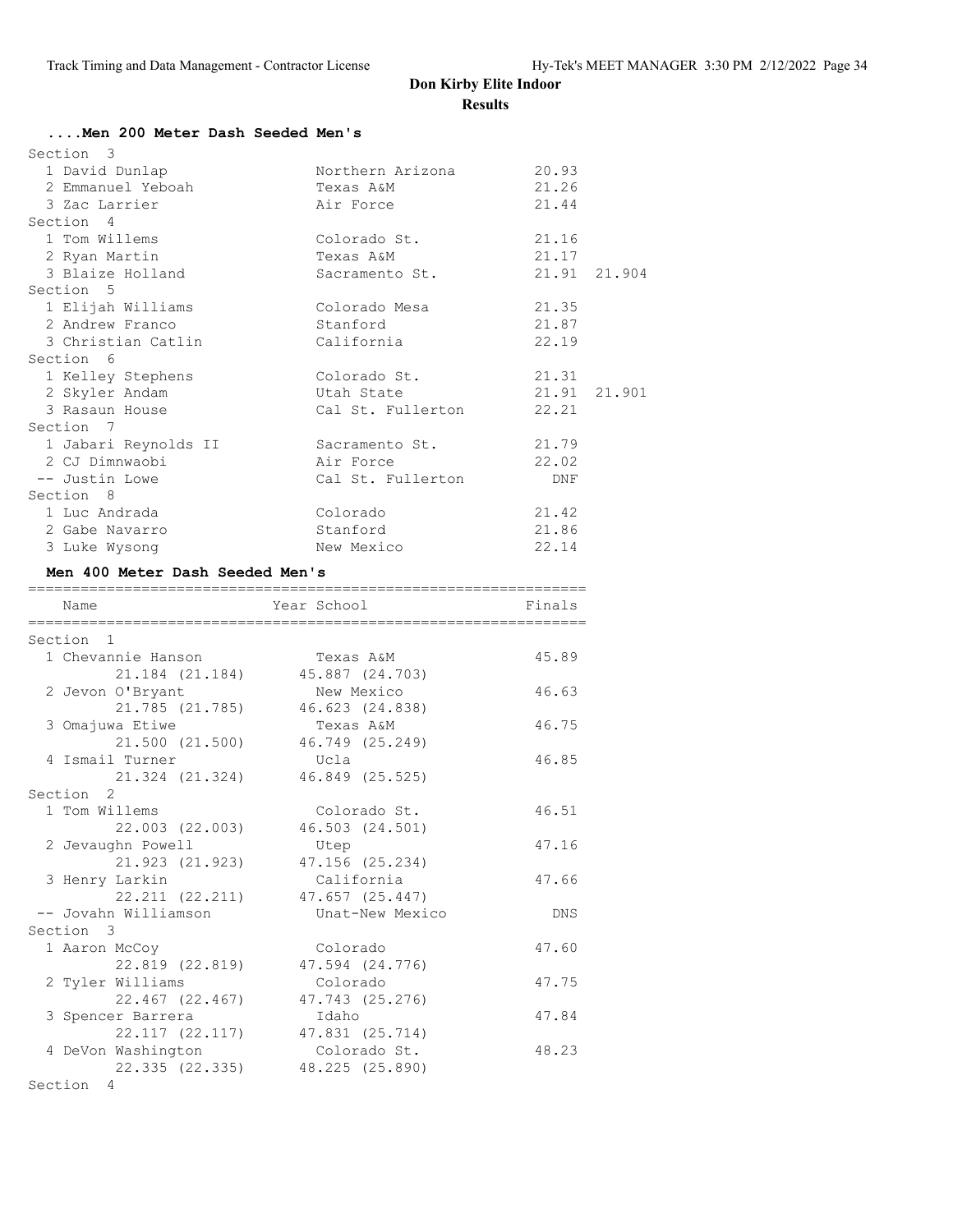## **....Men 200 Meter Dash Seeded Men's**

| Section 3            |                   |              |  |
|----------------------|-------------------|--------------|--|
| 1 David Dunlap       | Northern Arizona  | 20.93        |  |
| 2 Emmanuel Yeboah    | Texas A&M         | 21.26        |  |
| 3 Zac Larrier        | Air Force         | 21.44        |  |
| Section 4            |                   |              |  |
| 1 Tom Willems        | Colorado St.      | 21.16        |  |
| 2 Ryan Martin        | Texas A&M         | 21.17        |  |
| 3 Blaize Holland     | Sacramento St.    | 21.91 21.904 |  |
| Section 5            |                   |              |  |
| 1 Elijah Williams    | Colorado Mesa     | 21.35        |  |
| 2 Andrew Franco      | Stanford          | 21.87        |  |
| 3 Christian Catlin   | California        | 22.19        |  |
| Section 6            |                   |              |  |
| 1 Kelley Stephens    | Colorado St.      | 21.31        |  |
| 2 Skyler Andam       | Utah State        | 21.91 21.901 |  |
| 3 Rasaun House       | Cal St. Fullerton | 22.21        |  |
| Section 7            |                   |              |  |
| 1 Jabari Reynolds II | Sacramento St.    | 21.79        |  |
| 2 CJ Dimnwaobi       | Air Force         | 22.02        |  |
| -- Justin Lowe       | Cal St. Fullerton | DNF          |  |
| Section 8            |                   |              |  |
| 1 Luc Andrada        | Colorado          | 21.42        |  |
| 2 Gabe Navarro       | Stanford          | 21.86        |  |
| 3 Luke Wysong        | New Mexico        | 22.14        |  |

#### **Men 400 Meter Dash Seeded Men's**

| Name                 | Year School                     | Finals     |
|----------------------|---------------------------------|------------|
| Section 1            |                                 |            |
| 1 Chevannie Hanson   | Texas A&M                       | 45.89      |
|                      | 21.184 (21.184) 45.887 (24.703) |            |
| 2 Jevon O'Bryant     | New Mexico                      | 46.63      |
| 21.785 (21.785)      | 46.623 (24.838)                 |            |
| 3 Omajuwa Etiwe      | Texas A&M                       | 46.75      |
| 21.500 (21.500)      | 46.749 (25.249)                 |            |
| 4 Ismail Turner      | Ucla                            | 46.85      |
| 21.324 (21.324)      | 46.849 (25.525)                 |            |
| Section 2            |                                 |            |
| 1 Tom Willems        | Colorado St.                    | 46.51      |
| 22.003 (22.003)      | 46.503 (24.501)                 |            |
| 2 Jevaughn Powell    | Utep                            | 47.16      |
| 21.923 (21.923)      | 47.156 (25.234)                 |            |
| 3 Henry Larkin       | California                      | 47.66      |
|                      | 22.211 (22.211) 47.657 (25.447) |            |
| -- Jovahn Williamson | Unat-New Mexico                 | <b>DNS</b> |
| Section 3            |                                 |            |
| 1 Aaron McCoy        | Colorado                        | 47.60      |
| 22.819 (22.819)      | 47.594 (24.776)                 |            |
| 2 Tyler Williams     | Colorado                        | 47.75      |
| 22.467 (22.467)      | 47.743 (25.276)                 |            |
| 3 Spencer Barrera    | Idaho                           | 47.84      |
| 22.117 (22.117)      | 47.831 (25.714)                 |            |
| 4 DeVon Washington   | Colorado St.                    | 48.23      |
| 22.335 (22.335)      | 48.225 (25.890)                 |            |

Section 4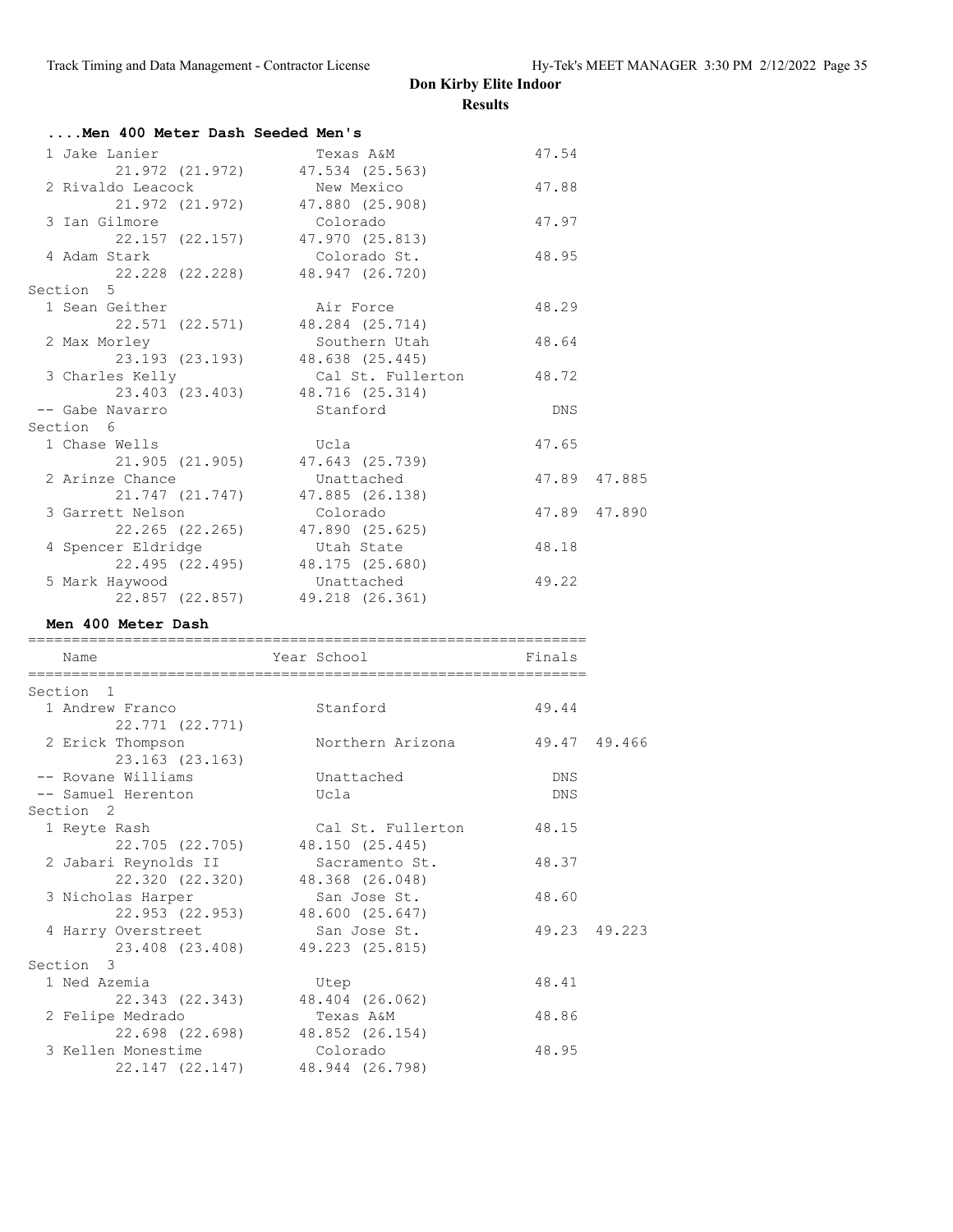| Men 400 Meter Dash Seeded Men's  |                                 |       |              |
|----------------------------------|---------------------------------|-------|--------------|
| 1 Jake Lanier                    | Texas A&M                       | 47.54 |              |
|                                  | 21.972 (21.972) 47.534 (25.563) |       |              |
| 2 Rivaldo Leacock                | New Mexico                      | 47.88 |              |
|                                  | 21.972 (21.972) 47.880 (25.908) |       |              |
| 3 Ian Gilmore                    | Colorado                        | 47.97 |              |
|                                  | 22.157 (22.157) 47.970 (25.813) |       |              |
| 4 Adam Stark                     | Colorado St.                    | 48.95 |              |
|                                  | 22.228 (22.228) 48.947 (26.720) |       |              |
| Section 5                        |                                 |       |              |
| 1 Sean Geither                   | Air Force                       | 48.29 |              |
|                                  | 22.571 (22.571) 48.284 (25.714) |       |              |
| 2 Max Morley                     | Southern Utah                   | 48.64 |              |
|                                  | 23.193 (23.193) 48.638 (25.445) |       |              |
| 3 Charles Kelly                  | Cal St. Fullerton 48.72         |       |              |
|                                  | 23.403 (23.403) 48.716 (25.314) |       |              |
| -- Gabe Navarro                  | Stanford                        | DNS   |              |
| Section 6                        |                                 |       |              |
| 1 Chase Wells                    | Ucla                            | 47.65 |              |
|                                  | 21.905 (21.905) 47.643 (25.739) |       |              |
| 2 Arinze Chance                  | Unattached                      |       | 47.89 47.885 |
|                                  | 21.747 (21.747) 47.885 (26.138) |       |              |
| 3 Garrett Nelson                 | <b>Colorado</b>                 |       | 47.89 47.890 |
|                                  | 22.265 (22.265) 47.890 (25.625) |       |              |
| 4 Spencer Eldridge by Utah State |                                 | 48.18 |              |
|                                  | 22.495 (22.495) 48.175 (25.680) |       |              |
| 5 Mark Haywood                   | Unattached                      | 49.22 |              |
|                                  | 22.857 (22.857) 49.218 (26.361) |       |              |

#### **Men 400 Meter Dash**

| Name                                | Year School                     | Finals       |              |
|-------------------------------------|---------------------------------|--------------|--------------|
|                                     |                                 |              |              |
| Section 1                           |                                 |              |              |
| 1 Andrew Franco                     | Stanford                        | 49.44        |              |
| 22.771 (22.771)                     |                                 |              |              |
| 2 Erick Thompson<br>23.163 (23.163) | Northern Arizona                | 49.47 49.466 |              |
| -- Rovane Williams                  | Unattached                      | <b>DNS</b>   |              |
| -- Samuel Herenton                  | Ucla                            | DNS          |              |
| Section <sub>2</sub>                |                                 |              |              |
| 1 Reyte Rash                        | Cal St. Fullerton               | 48.15        |              |
|                                     | 22.705 (22.705) 48.150 (25.445) |              |              |
| 2 Jabari Reynolds II                | Sacramento St.                  | 48.37        |              |
|                                     | 22.320 (22.320) 48.368 (26.048) |              |              |
| 3 Nicholas Harper                   | San Jose St.                    | 48.60        |              |
|                                     | 22.953 (22.953) 48.600 (25.647) |              |              |
| 4 Harry Overstreet                  | San Jose St.                    |              | 49.23 49.223 |
|                                     | 23.408 (23.408) 49.223 (25.815) |              |              |
| Section 3                           |                                 |              |              |
| 1 Ned Azemia                        | Utep                            | 48.41        |              |
|                                     | 22.343 (22.343) 48.404 (26.062) |              |              |
| 2 Felipe Medrado                    | Texas A&M                       | 48.86        |              |
|                                     | 22.698 (22.698) 48.852 (26.154) |              |              |
| 3 Kellen Monestime                  | Colorado                        | 48.95        |              |
|                                     | 22.147 (22.147) 48.944 (26.798) |              |              |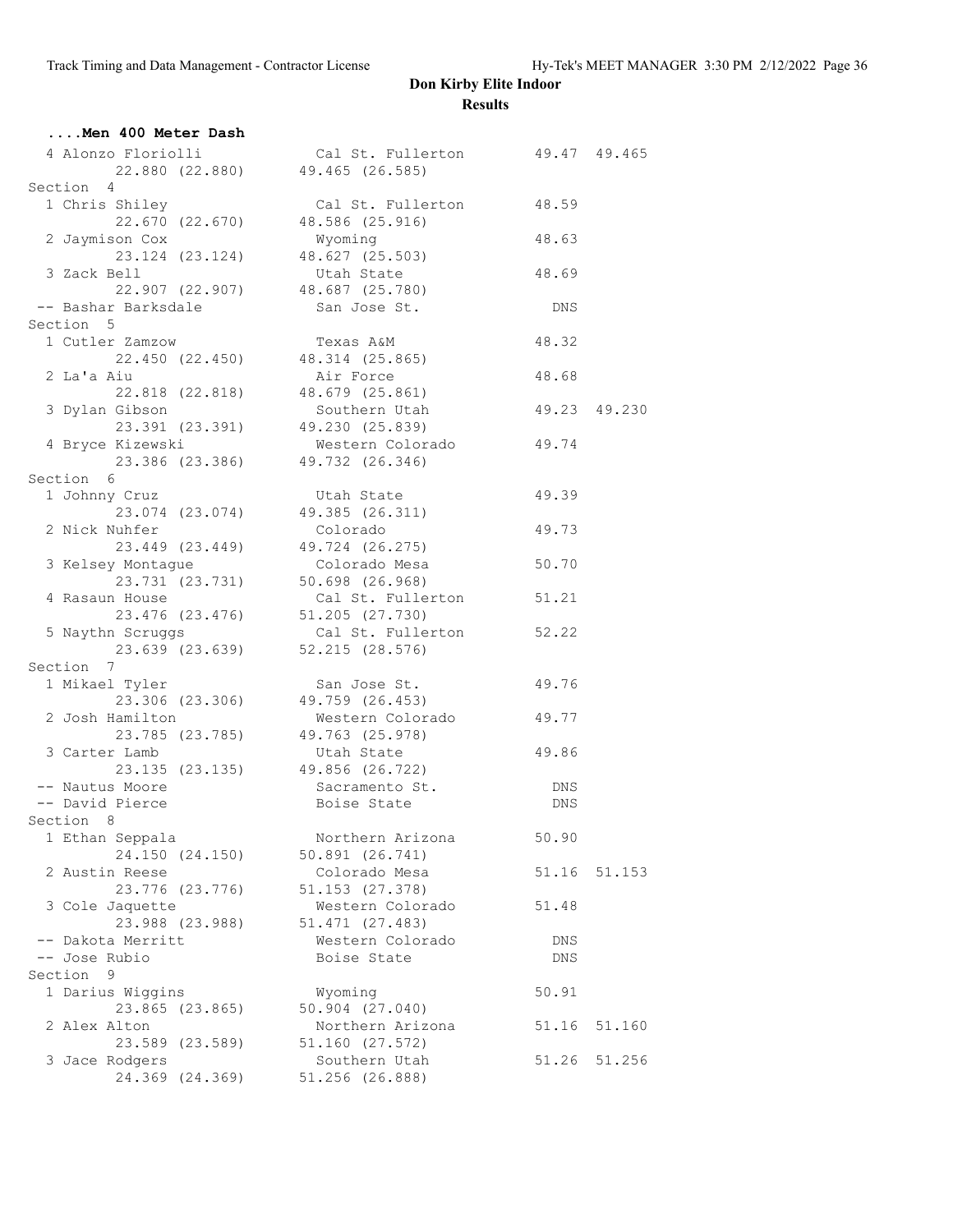| Men 400 Meter Dash                                                                    |                                             |       |              |
|---------------------------------------------------------------------------------------|---------------------------------------------|-------|--------------|
| 4 Alonzo Floriolli (al St. Fullerton 49.47 49.465)<br>22.880 (22.880) 49.465 (26.585) |                                             |       |              |
|                                                                                       |                                             |       |              |
| Section 4                                                                             |                                             |       |              |
| 1 Chris Shiley<br>$22.670$ (22.670) 48.586 (25.916)                                   | Cal St. Fullerton                           | 48.59 |              |
| 2 Jaymison Cox                                                                        | Wyoming                                     | 48.63 |              |
|                                                                                       | 23.124 (23.124) 48.627 (25.503)             |       |              |
| 3 Zack Bell                                                                           | Utah State                                  | 48.69 |              |
| 22.907 (22.907) 48.687 (25.780)                                                       |                                             |       |              |
| -- Bashar Barksdale                                                                   | San Jose St.                                | DNS   |              |
| Section 5                                                                             |                                             |       |              |
| 1 Cutler Zamzow                                                                       | Texas A&M                                   | 48.32 |              |
| 22.450 (22.450) 48.314 (25.865)                                                       |                                             |       |              |
| 2 La'a Aiu                                                                            | Air Force                                   | 48.68 |              |
|                                                                                       | 22.818 (22.818) 48.679 (25.861)             |       |              |
| 3 Dylan Gibson                                                                        | Southern Utah                               |       | 49.23 49.230 |
| 23.391 (23.391) 49.230 (25.839)                                                       |                                             |       |              |
| 4 Bryce Kizewski<br>23.386 (23.386) 49.732 (26.346)                                   | Western Colorado                            | 49.74 |              |
| Section 6                                                                             |                                             |       |              |
|                                                                                       | Utah State                                  | 49.39 |              |
| 1 Johnny Cruz                                                                         | $\frac{1}{23.074}$ (23.074) 49.385 (26.311) |       |              |
| 2 Nick Nuhfer                                                                         | Colorado                                    | 49.73 |              |
|                                                                                       | 23.449 (23.449) 49.724 (26.275)             |       |              |
| 3 Kelsey Montague                                                                     | Colorado Mesa                               | 50.70 |              |
| $23.731$ (23.731) $50.698$ (26.968)                                                   |                                             |       |              |
| 4 Rasaun House                                                                        | Cal St. Fullerton                           | 51.21 |              |
| 23.476 (23.476) 51.205 (27.730)                                                       |                                             |       |              |
| 5 Naythn Scruggs                                                                      | Cal St. Fullerton                           | 52.22 |              |
| 23.639 (23.639)                                                                       | 52.215 (28.576)                             |       |              |
| Section 7                                                                             |                                             |       |              |
| 1 Mikael Tyler                                                                        |                                             | 49.76 |              |
| 1 Tyler 5an Jose St.<br>23.306 (23.306) 49.759 (26.453)                               |                                             |       |              |
| 2 Josh Hamilton                                                                       | Western Colorado 49.77                      |       |              |
|                                                                                       | 23.785 (23.785) 49.763 (25.978)             |       |              |
| 3 Carter Lamb                                                                         | Utah State                                  | 49.86 |              |
|                                                                                       | 23.135 (23.135) 49.856 (26.722)             |       |              |
| -- Nautus Moore                                                                       | Sacramento St.<br>Boise State               | DNS   |              |
| -- David Pierce                                                                       | Boise State                                 | DNS   |              |
| Section 8                                                                             |                                             |       |              |
| 1 Ethan Seppala                                                                       | Northern Arizona                            | 50.90 |              |
| 24.150 (24.150)                                                                       | 50.891 (26.741)                             |       |              |
| 2 Austin Reese                                                                        | Colorado Mesa                               | 51.16 | 51.153       |
| 23.776 (23.776)                                                                       | 51.153 (27.378)                             |       |              |
| 3 Cole Jaquette                                                                       | Western Colorado                            | 51.48 |              |
| 23.988 (23.988)                                                                       | 51.471 (27.483)                             |       |              |
| -- Dakota Merritt                                                                     | Western Colorado                            | DNS   |              |
| -- Jose Rubio                                                                         | Boise State                                 | DNS   |              |
| Section 9                                                                             |                                             |       |              |
| 1 Darius Wiggins                                                                      | Wyoming                                     | 50.91 |              |
| 23.865 (23.865)                                                                       | $50.904$ $(27.040)$                         |       |              |
| 2 Alex Alton                                                                          | Northern Arizona                            | 51.16 | 51.160       |
| 23.589 (23.589)                                                                       | 51.160 (27.572)                             |       |              |
| 3 Jace Rodgers                                                                        | Southern Utah                               | 51.26 | 51.256       |
| 24.369 (24.369)                                                                       | 51.256 (26.888)                             |       |              |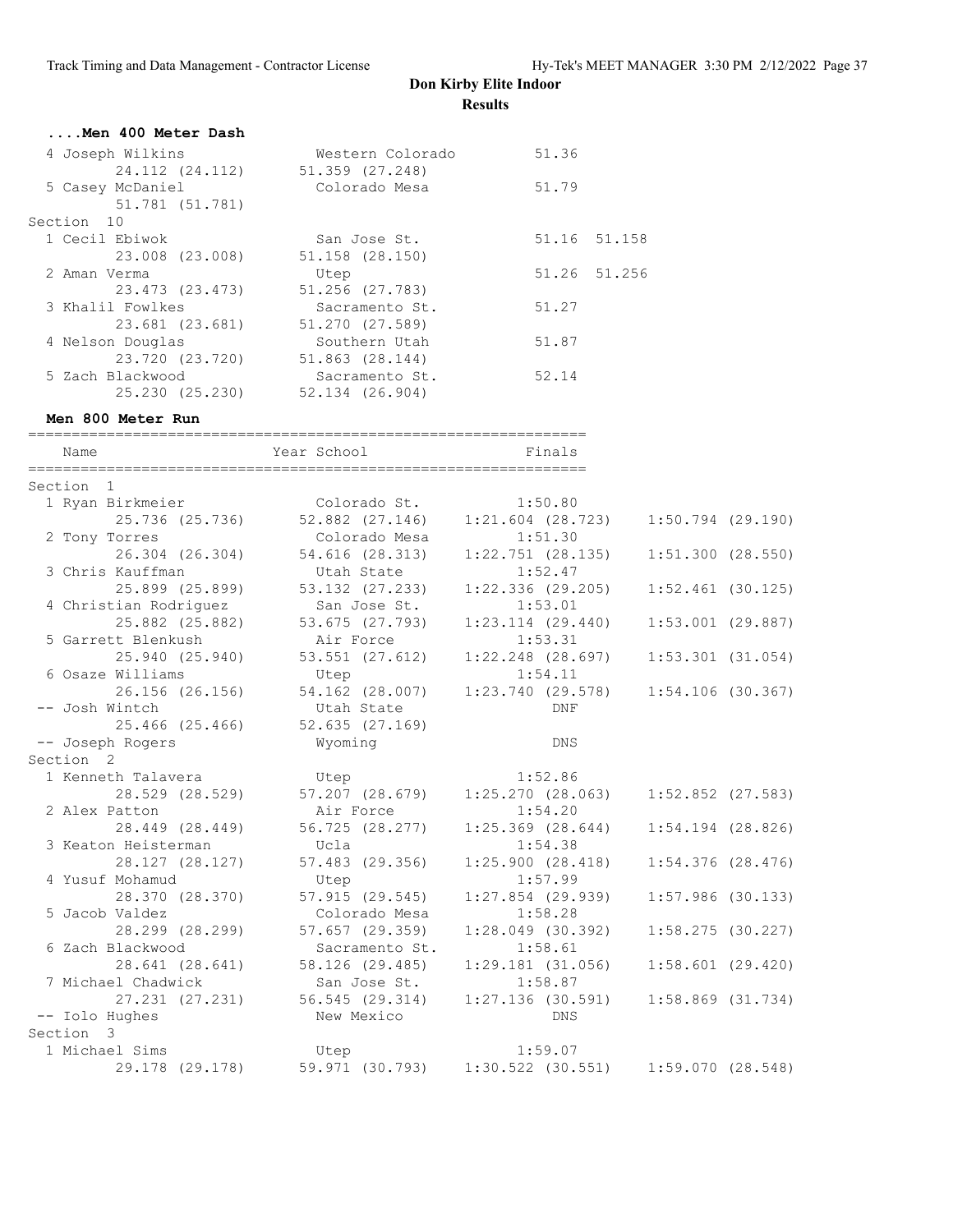| Men 400 Meter Dash |                  |       |              |
|--------------------|------------------|-------|--------------|
| 4 Joseph Wilkins   | Western Colorado | 51.36 |              |
| 24.112 (24.112)    | 51.359 (27.248)  |       |              |
| 5 Casey McDaniel   | Colorado Mesa    | 51.79 |              |
| 51.781 (51.781)    |                  |       |              |
| Section 10         |                  |       |              |
| 1 Cecil Ebiwok     | San Jose St.     |       | 51.16 51.158 |
| 23.008 (23.008)    | 51.158 (28.150)  |       |              |
| 2 Aman Verma       | Utep             |       | 51.26 51.256 |
| 23.473 (23.473)    | 51.256 (27.783)  |       |              |
| 3 Khalil Fowlkes   | Sacramento St.   | 51.27 |              |
| 23.681 (23.681)    | 51.270 (27.589)  |       |              |
| 4 Nelson Douglas   | Southern Utah    | 51.87 |              |
| 23.720 (23.720)    | 51.863 (28.144)  |       |              |
| 5 Zach Blackwood   | Sacramento St.   | 52.14 |              |
| 25.230 (25.230)    | 52.134 (26.904)  |       |              |

#### **Men 800 Meter Run**

================================================================ Name Year School Finals ================================================================ Section 1 1 Ryan Birkmeier Colorado St. 1:50.80 25.736 (25.736) 52.882 (27.146) 1:21.604 (28.723) 1:50.794 (29.190) 2 Tony Torres Colorado Mesa 1:51.30 26.304 (26.304) 54.616 (28.313) 1:22.751 (28.135) 1:51.300 (28.550) 3 Chris Kauffman Utah State 1:52.47 25.899 (25.899) 53.132 (27.233) 1:22.336 (29.205) 1:52.461 (30.125) 4 Christian Rodriguez San Jose St. 1:53.01 25.882 (25.882) 53.675 (27.793) 1:23.114 (29.440) 1:53.001 (29.887) 5 Garrett Blenkush Air Force 1:53.31 25.940 (25.940) 53.551 (27.612) 1:22.248 (28.697) 1:53.301 (31.054) 6 Osaze Williams Utep 1:54.11 26.156 (26.156) 54.162 (28.007) 1:23.740 (29.578) 1:54.106 (30.367) -- Josh Wintch Utah State DNF 25.466 (25.466) 52.635 (27.169) -- Joseph Rogers Wyoming DNS Section 2 1 Kenneth Talavera Utep 1:52.86 28.529 (28.529) 57.207 (28.679) 1:25.270 (28.063) 1:52.852 (27.583) 2 Alex Patton **Air Force** 1:54.20 28.449 (28.449) 56.725 (28.277) 1:25.369 (28.644) 1:54.194 (28.826) 3 Keaton Heisterman Ucla 1:54.38 28.127 (28.127) 57.483 (29.356) 1:25.900 (28.418) 1:54.376 (28.476) 4 Yusuf Mohamud Utep 1:57.99 28.370 (28.370) 57.915 (29.545) 1:27.854 (29.939) 1:57.986 (30.133) 5 Jacob Valdez Colorado Mesa 1:58.28 28.299 (28.299) 57.657 (29.359) 1:28.049 (30.392) 1:58.275 (30.227) 6 Zach Blackwood Sacramento St. 1:58.61 28.641 (28.641) 58.126 (29.485) 1:29.181 (31.056) 1:58.601 (29.420) 7 Michael Chadwick San Jose St. 1:58.87 27.231 (27.231) 56.545 (29.314) 1:27.136 (30.591) 1:58.869 (31.734) -- Iolo Hughes New Mexico DNS Section 3<br>1 Michael Sims 1 Michael Sims Utep 1:59.07 29.178 (29.178) 59.971 (30.793) 1:30.522 (30.551) 1:59.070 (28.548)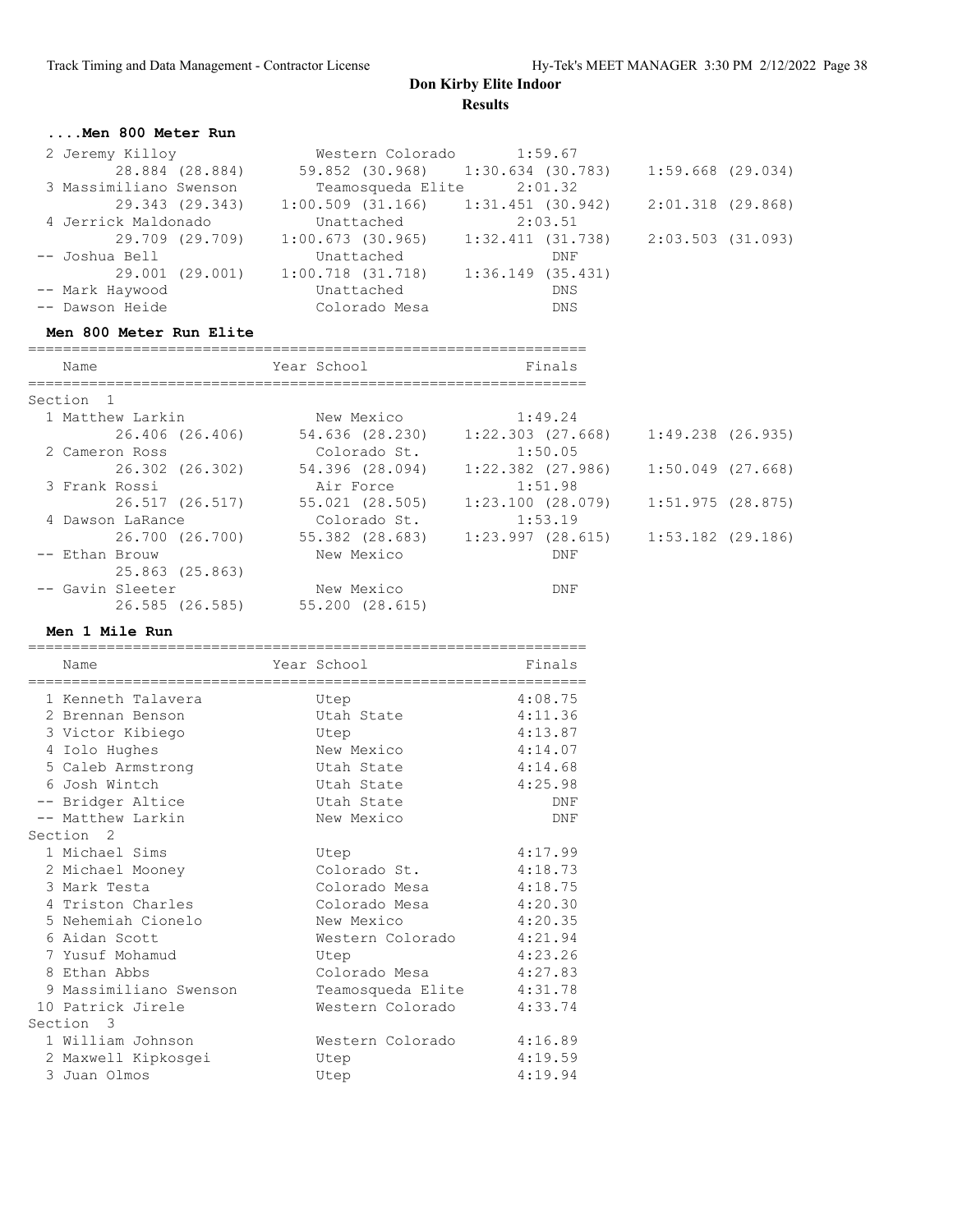#### **....Men 800 Meter Run**

| 2 Jeremy Killoy        |                 |                       |               | Western Colorado 1:59.67          |         |                     |  |
|------------------------|-----------------|-----------------------|---------------|-----------------------------------|---------|---------------------|--|
|                        | 28.884 (28.884) |                       |               | 59.852 (30.968) 1:30.634 (30.783) |         | $1:59.668$ (29.034) |  |
| 3 Massimiliano Swenson |                 |                       |               | Teamosqueda Elite 2:01.32         |         |                     |  |
|                        | 29.343 (29.343) | $1:00.509$ (31.166)   |               | $1:31.451$ (30.942)               |         | 2:01.318 (29.868)   |  |
| 4 Jerrick Maldonado    |                 |                       | Unattached    |                                   | 2:03.51 |                     |  |
|                        | 29.709 (29.709) | 1:00.673(30.965)      |               | 1:32.411(31.738)                  |         | 2:03.503 (31.093)   |  |
| -- Joshua Bell         |                 |                       | Unattached    |                                   | DNF     |                     |  |
|                        | 29.001 (29.001) | $1:00.718$ $(31.718)$ |               | 1:36.149(35.431)                  |         |                     |  |
| -- Mark Haywood        |                 | Unattached            |               |                                   | DNS     |                     |  |
| -- Dawson Heide        |                 |                       | Colorado Mesa |                                   | DNS     |                     |  |

#### **Men 800 Meter Run Elite**

| Name                 |                  | Year School     | Finals                |                     |  |
|----------------------|------------------|-----------------|-----------------------|---------------------|--|
| Section <sub>1</sub> |                  |                 |                       |                     |  |
|                      | 1 Matthew Larkin | New Mexico      | 1:49.24               |                     |  |
|                      | 26.406 (26.406)  | 54.636 (28.230) | 1:22.303 (27.668)     | $1:49.238$ (26.935) |  |
| 2 Cameron Ross       |                  | Colorado St.    | 1:50.05               |                     |  |
|                      | 26.302 (26.302)  | 54.396 (28.094) | $1:22.382$ $(27.986)$ | $1:50.049$ (27.668) |  |
| 3 Frank Rossi        |                  | Air Force       | 1:51.98               |                     |  |
|                      | 26.517 (26.517)  | 55.021 (28.505) | 1:23.100(28.079)      | 1:51.975(28.875)    |  |
|                      | 4 Dawson LaRance | Colorado St.    | 1:53.19               |                     |  |
|                      | 26.700 (26.700)  | 55.382 (28.683) | $1:23.997$ (28.615)   | $1:53.182$ (29.186) |  |
| -- Ethan Brouw       |                  | New Mexico      | DNF                   |                     |  |
|                      | 25.863 (25.863)  |                 |                       |                     |  |
| -- Gavin Sleeter     |                  | New Mexico      | DNF                   |                     |  |
|                      | 26.585 (26.585)  | 55.200 (28.615) |                       |                     |  |

#### **Men 1 Mile Run**

| Name                                                                                             | Year School                                            | Finals                                              |
|--------------------------------------------------------------------------------------------------|--------------------------------------------------------|-----------------------------------------------------|
| 1 Kenneth Talavera<br>2 Brennan Benson<br>3 Victor Kibiego<br>4 Iolo Hughes<br>5 Caleb Armstrong | Utep<br>Utah State<br>Utep<br>New Mexico<br>Utah State | 4:08.75<br>4:11.36<br>4:13.87<br>4:14.07<br>4:14.68 |
| 6 Josh Wintch<br>-- Bridger Altice                                                               | Utah State<br>Utah State                               | 4:25.98<br>DNF                                      |
| -- Matthew Larkin<br>Section <sub>2</sub><br>1 Michael Sims                                      | New Mexico<br>Utep                                     | DNF<br>4:17.99                                      |
| 2 Michael Mooney<br>3 Mark Testa                                                                 | Colorado St.<br>Colorado Mesa                          | 4:18.73<br>4:18.75                                  |
| 4 Triston Charles<br>5 Nehemiah Cionelo                                                          | Colorado Mesa<br>New Mexico                            | 4:20.30<br>4:20.35                                  |
| 6 Aidan Scott<br>7 Yusuf Mohamud<br>8 Ethan Abbs                                                 | Western Colorado<br>Utep<br>Colorado Mesa              | 4:21.94<br>4:23.26<br>4:27.83                       |
| 9 Massimiliano Swenson<br>10 Patrick Jirele                                                      | Teamosqueda Elite<br>Western Colorado                  | 4:31.78<br>4:33.74                                  |
| Section 3<br>1 William Johnson                                                                   | Western Colorado                                       | 4:16.89                                             |
| 2 Maxwell Kipkosgei<br>3 Juan Olmos                                                              | Utep<br>Utep                                           | 4:19.59<br>4:19.94                                  |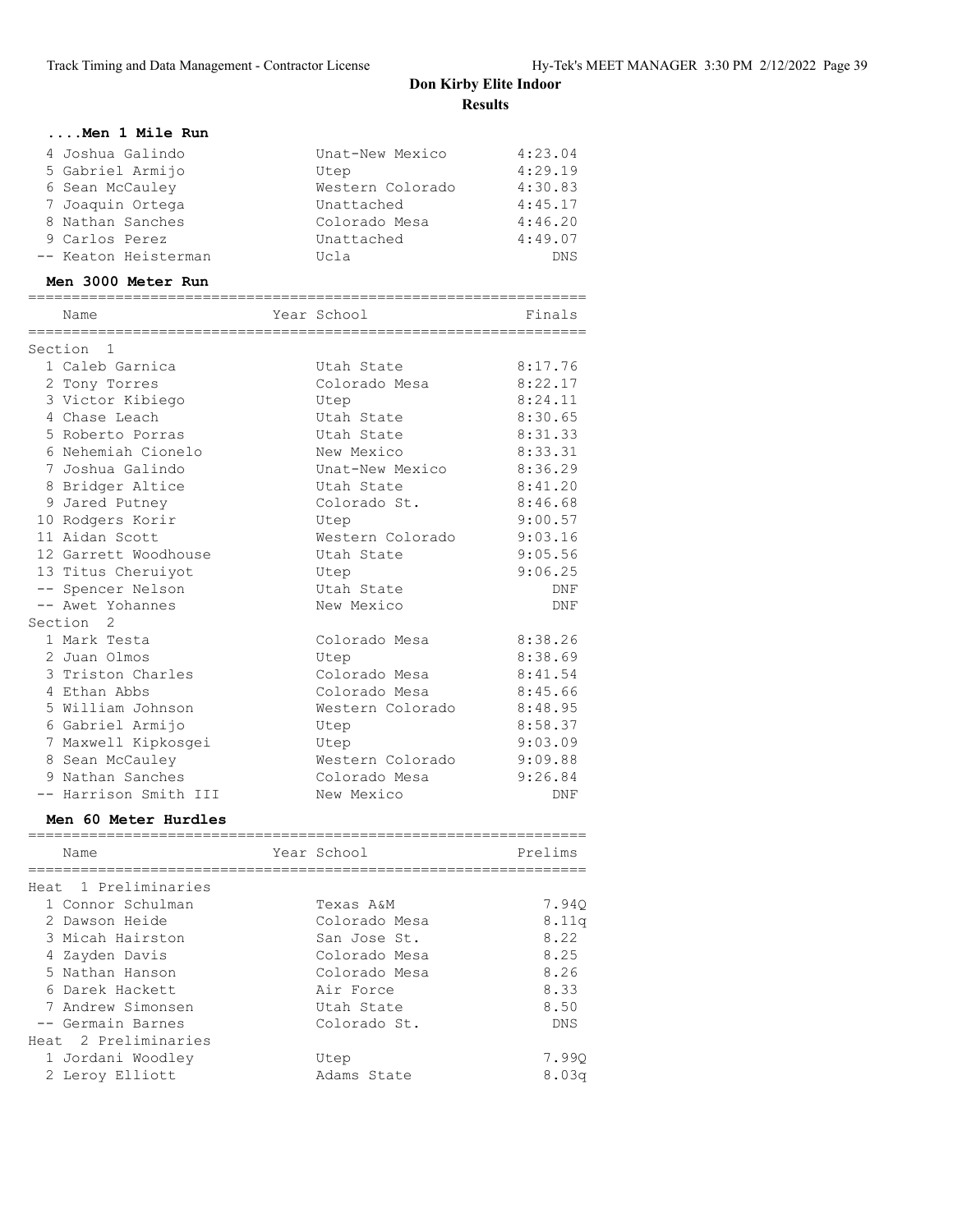| Men 1 Mile Run        |                  |            |
|-----------------------|------------------|------------|
| 4 Joshua Galindo      | Unat-New Mexico  | 4:23.04    |
| 5 Gabriel Armijo      | Utep             | 4:29.19    |
| 6 Sean McCauley       | Western Colorado | 4:30.83    |
| 7 Joaquin Ortega      | Unattached       | 4:45.17    |
| 8 Nathan Sanches      | Colorado Mesa    | 4:46.20    |
| 9 Carlos Perez        | Unattached       | 4:49.07    |
| -- Keaton Heisterman  | Ucla             | <b>DNS</b> |
| Men 3000 Meter Run    |                  |            |
|                       |                  |            |
| Name<br>============= | Year School      | Finals     |
| Section<br>1          |                  |            |
| 1 Caleb Garnica       | Utah State       | 8:17.76    |
| 2 Tony Torres         | Colorado Mesa    | 8:22.17    |
| 3 Victor Kibiego      | Utep             | 8:24.11    |
| 4 Chase Leach         | Utah State       | 8:30.65    |
| 5 Roberto Porras      | Utah State       | 8:31.33    |
| 6 Nehemiah Cionelo    | New Mexico       | 8:33.31    |
| 7 Joshua Galindo      | Unat-New Mexico  | 8:36.29    |
| 8 Bridger Altice      | Utah State       | 8:41.20    |
| 9 Jared Putney        | Colorado St.     | 8:46.68    |
| 10 Rodgers Korir      | Utep             | 9:00.57    |
| 11 Aidan Scott        | Western Colorado | 9:03.16    |
| 12 Garrett Woodhouse  | Utah State       | 9:05.56    |
| 13 Titus Cheruiyot    | Utep             | 9:06.25    |
| -- Spencer Nelson     | Utah State       | DNF        |
| -- Awet Yohannes      | New Mexico       | DNF        |
| Section <sub>2</sub>  |                  |            |
| 1 Mark Testa          | Colorado Mesa    | 8:38.26    |
| 2 Juan Olmos          | Utep             | 8:38.69    |
| 3 Triston Charles     | Colorado Mesa    | 8:41.54    |
| 4 Ethan Abbs          | Colorado Mesa    | 8:45.66    |
| 5 William Johnson     | Western Colorado | 8:48.95    |
| 6 Gabriel Armijo      | Utep             | 8:58.37    |
| 7 Maxwell Kipkosgei   | Utep             | 9:03.09    |
| 8 Sean McCauley       | Western Colorado | 9:09.88    |
| 9 Nathan Sanches      | Colorado Mesa    | 9:26.84    |
| -- Harrison Smith III | New Mexico       | DNF        |
| Men 60 Meter Hurdles  |                  |            |
| Name                  | Year School      | Prelims    |
| ================      |                  |            |
| Heat 1 Preliminaries  |                  |            |
| 1 Connor Schulman     | Texas A&M        | 7.940      |
| 2 Dawson Heide        | Colorado Mesa    | 8.11q      |
| 3 Micah Hairston      | San Jose St.     | 8.22       |

 4 Zayden Davis Colorado Mesa 8.25 5 Nathan Hanson Colorado Mesa 8.26 6 Darek Hackett Air Force 8.33 7 Andrew Simonsen Utah State 8.50 -- Germain Barnes Colorado St. DNS

 1 Jordani Woodley Utep 7.99Q 2 Leroy Elliott Adams State 8.03q

Heat 2 Preliminaries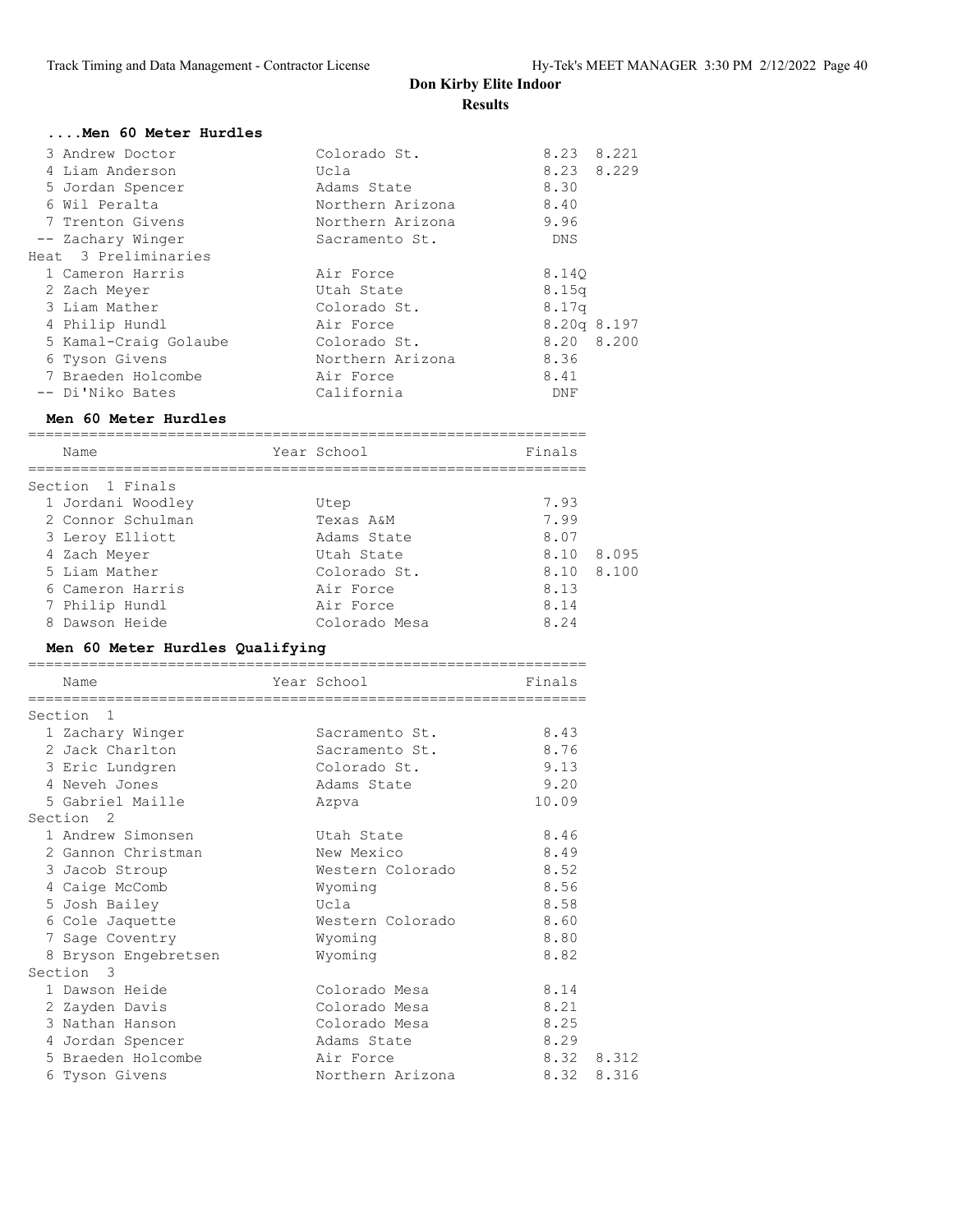| Men 60 Meter Hurdles  |                  |                   |
|-----------------------|------------------|-------------------|
| 3 Andrew Doctor       | Colorado St.     | 8.23 8.221        |
| 4 Liam Anderson       | Ucla             | 8.23 8.229        |
| 5 Jordan Spencer      | Adams State      | 8.30              |
| 6 Wil Peralta         | Northern Arizona | 8.40              |
| 7 Trenton Givens      | Northern Arizona | 9.96              |
| -- Zachary Winger     | Sacramento St.   | DNS               |
| Heat 3 Preliminaries  |                  |                   |
| 1 Cameron Harris      | Air Force        | 8.140             |
| 2 Zach Meyer          | Utah State       | 8.15q             |
| 3 Liam Mather         | Colorado St.     | 8.17 <sub>q</sub> |
| 4 Philip Hundl        | Air Force        | $8.20q$ $8.197$   |
| 5 Kamal-Craig Golaube | Colorado St.     | 8.20 8.200        |
| 6 Tyson Givens        | Northern Arizona | 8.36              |
| 7 Braeden Holcombe    | Air Force        | 8.41              |
| -- Di'Niko Bates      | California       | DNF               |

#### **Men 60 Meter Hurdles**

| Finals<br>Year School<br>Name               |  |
|---------------------------------------------|--|
|                                             |  |
| Section 1 Finals                            |  |
| 7.93<br>1 Jordani Woodley<br>Utep           |  |
| 7.99<br>2 Connor Schulman<br>Texas A&M      |  |
| 8.07<br>3 Leroy Elliott<br>Adams State      |  |
| 8.095<br>8.10<br>4 Zach Meyer<br>Utah State |  |
| 8.10 8.100<br>5 Liam Mather<br>Colorado St. |  |
| 8.13<br>6 Cameron Harris<br>Air Force       |  |
| 7 Philip Hundl<br>Air Force<br>8.14         |  |
| 8.24<br>8 Dawson Heide<br>Colorado Mesa     |  |

#### **Men 60 Meter Hurdles Qualifying**

| Name                      |                      | Year School      | Finals     |       |
|---------------------------|----------------------|------------------|------------|-------|
| Section<br>$\blacksquare$ |                      |                  |            |       |
| 1 Zachary Winger          |                      | Sacramento St.   | 8.43       |       |
| 2 Jack Charlton           |                      | Sacramento St.   | 8.76       |       |
| 3 Eric Lundgren           |                      | Colorado St.     | 9.13       |       |
| 4 Neveh Jones             |                      | Adams State      | 9.20       |       |
| 5 Gabriel Maille          |                      | Azpva            | 10.09      |       |
| Section <sub>2</sub>      |                      |                  |            |       |
| 1 Andrew Simonsen         |                      | Utah State       | 8.46       |       |
| 2 Gannon Christman        |                      | New Mexico       | 8.49       |       |
| 3 Jacob Stroup            |                      | Western Colorado | 8.52       |       |
| 4 Caige McComb            |                      | Wyoming          | 8.56       |       |
| 5 Josh Bailey             |                      | Ucla             | 8.58       |       |
| 6 Cole Jaquette           |                      | Western Colorado | 8.60       |       |
| 7 Sage Coventry           |                      | Wyoming          | 8.80       |       |
|                           | 8 Bryson Engebretsen | Wyoming          | 8.82       |       |
| Section 3                 |                      |                  |            |       |
| 1 Dawson Heide            |                      | Colorado Mesa    | 8.14       |       |
| 2 Zayden Davis            |                      | Colorado Mesa    | 8.21       |       |
| 3 Nathan Hanson           |                      | Colorado Mesa    | 8.25       |       |
| 4 Jordan Spencer          |                      | Adams State      | 8.29       |       |
| 5 Braeden Holcombe        |                      | Air Force        | 8.32 8.312 |       |
| 6 Tyson Givens            |                      | Northern Arizona | 8.32       | 8.316 |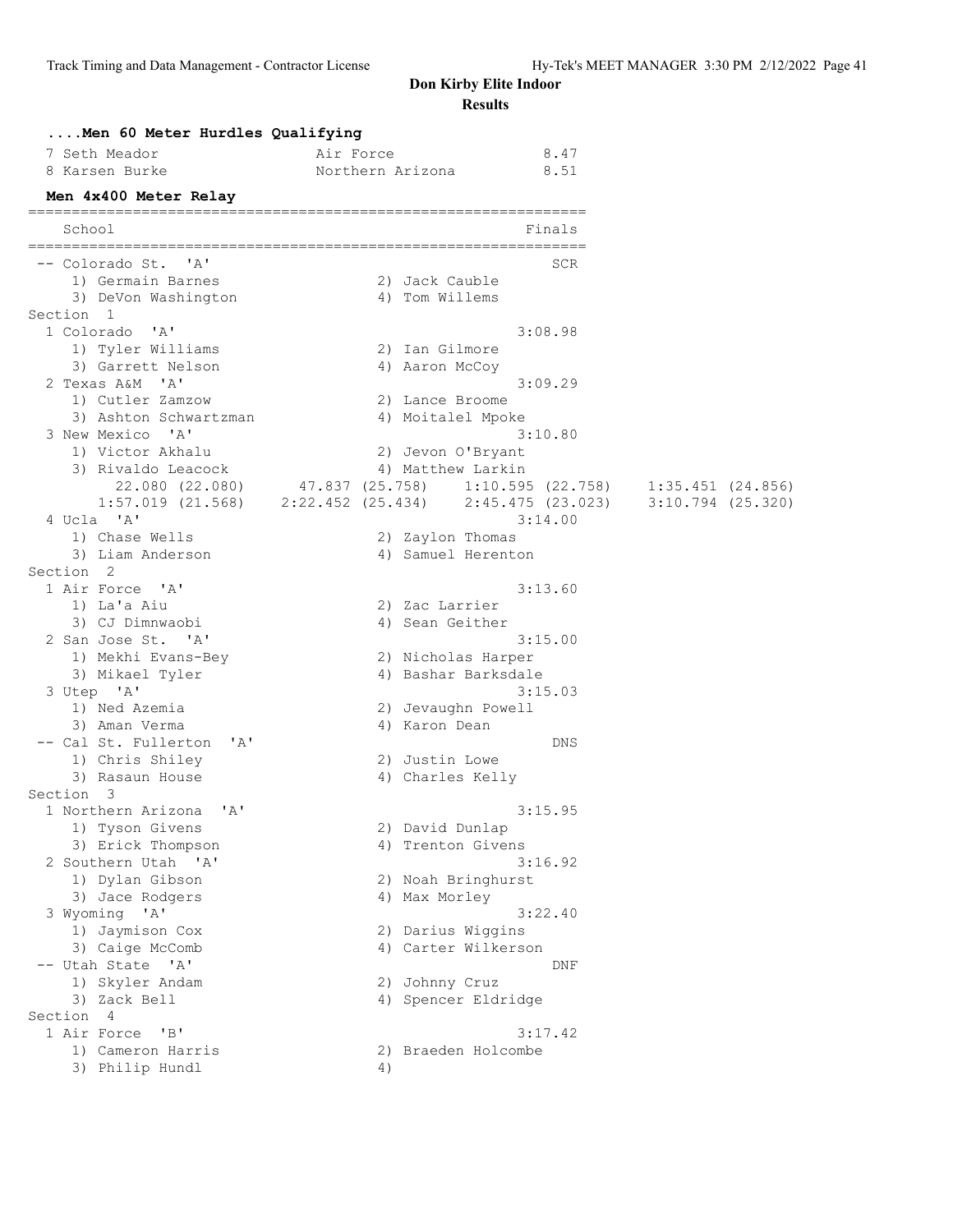|                      | Men 60 Meter Hurdles Qualifying                             |                  |                                      |                                   |                     |  |
|----------------------|-------------------------------------------------------------|------------------|--------------------------------------|-----------------------------------|---------------------|--|
|                      | 7 Seth Meador                                               | Air Force        |                                      | 8.47                              |                     |  |
|                      | 8 Karsen Burke                                              | Northern Arizona |                                      | 8.51                              |                     |  |
|                      | Men 4x400 Meter Relay                                       |                  |                                      |                                   |                     |  |
|                      | School                                                      |                  |                                      | Finals                            |                     |  |
|                      | -- Colorado St. 'A'                                         |                  |                                      | SCR                               |                     |  |
|                      | 1) Germain Barnes                                           |                  | 2) Jack Cauble                       |                                   |                     |  |
| Section 1            | 3) DeVon Washington                                         |                  | 4) Tom Willems                       |                                   |                     |  |
|                      | 1 Colorado<br>'' A '                                        |                  |                                      | 3:08.98                           |                     |  |
|                      | 1) Tyler Williams                                           |                  | 2) Ian Gilmore                       |                                   |                     |  |
|                      | 3) Garrett Nelson                                           |                  | 4) Aaron McCoy                       |                                   |                     |  |
|                      | 2 Texas A&M 'A'                                             |                  |                                      | 3:09.29                           |                     |  |
|                      | 1) Cutler Zamzow<br>3) Ashton Schwartzman                   |                  | 2) Lance Broome<br>4) Moitalel Mpoke |                                   |                     |  |
|                      | 3 New Mexico 'A'                                            |                  |                                      | 3:10.80                           |                     |  |
|                      | 1) Victor Akhalu                                            |                  | 2) Jevon O'Bryant                    |                                   |                     |  |
|                      | 3) Rivaldo Leacock                                          |                  | 4) Matthew Larkin                    |                                   |                     |  |
|                      | 22.080 (22.080)                                             |                  |                                      | 47.837 (25.758) 1:10.595 (22.758) | 1:35.451(24.856)    |  |
|                      | $1:57.019$ (21.568) $2:22.452$ (25.434) $2:45.475$ (23.023) |                  |                                      |                                   | $3:10.794$ (25.320) |  |
|                      | 4 Ucla 'A'                                                  |                  |                                      | 3:14.00                           |                     |  |
|                      | 1) Chase Wells                                              |                  | 2) Zaylon Thomas                     |                                   |                     |  |
|                      | 3) Liam Anderson                                            |                  | 4) Samuel Herenton                   |                                   |                     |  |
| Section <sub>2</sub> |                                                             |                  |                                      |                                   |                     |  |
|                      | 1 Air Force 'A'<br>1) La'a Aiu                              |                  | 2) Zac Larrier                       | 3:13.60                           |                     |  |
|                      | 3) CJ Dimnwaobi                                             |                  | 4) Sean Geither                      |                                   |                     |  |
|                      | 2 San Jose St. 'A'                                          |                  |                                      | 3:15.00                           |                     |  |
|                      | 1) Mekhi Evans-Bey                                          |                  | 2) Nicholas Harper                   |                                   |                     |  |
|                      | 3) Mikael Tyler                                             |                  |                                      | 4) Bashar Barksdale               |                     |  |
|                      | 3 Utep 'A'                                                  |                  |                                      | 3:15.03                           |                     |  |
|                      | 1) Ned Azemia                                               |                  | 2) Jevaughn Powell                   |                                   |                     |  |
|                      | 3) Aman Verma                                               |                  | 4) Karon Dean                        |                                   |                     |  |
|                      | -- Cal St. Fullerton<br>' A'                                |                  |                                      | DNS                               |                     |  |
|                      | 1) Chris Shiley                                             |                  | 2) Justin Lowe                       |                                   |                     |  |
| Section 3            | 3) Rasaun House                                             |                  | 4) Charles Kelly                     |                                   |                     |  |
|                      | 1 Northern Arizona<br>' A'                                  |                  |                                      | 3:15.95                           |                     |  |
|                      | 1) Tyson Givens                                             |                  | 2) David Dunlap                      |                                   |                     |  |
|                      | 3) Erick Thompson                                           |                  | 4) Trenton Givens                    |                                   |                     |  |
|                      | 2 Southern Utah 'A'                                         |                  |                                      | 3:16.92                           |                     |  |
|                      | 1) Dylan Gibson                                             |                  | 2) Noah Bringhurst                   |                                   |                     |  |
|                      | 3) Jace Rodgers                                             |                  | 4) Max Morley                        |                                   |                     |  |
|                      | 3 Wyoming 'A'                                               |                  |                                      | 3:22.40                           |                     |  |
|                      | 1) Jaymison Cox                                             |                  | 2) Darius Wiggins                    |                                   |                     |  |
|                      | 3) Caige McComb<br>-- Utah State 'A'                        |                  |                                      | 4) Carter Wilkerson               |                     |  |
|                      | 1) Skyler Andam                                             |                  | 2) Johnny Cruz                       | DNF                               |                     |  |
|                      | 3) Zack Bell                                                |                  |                                      | 4) Spencer Eldridge               |                     |  |
| Section              | $\overline{4}$                                              |                  |                                      |                                   |                     |  |
|                      | 1 Air Force<br>"B"                                          |                  |                                      | 3:17.42                           |                     |  |
|                      | 1) Cameron Harris                                           |                  |                                      | 2) Braeden Holcombe               |                     |  |
|                      | 3) Philip Hundl                                             | 4)               |                                      |                                   |                     |  |
|                      |                                                             |                  |                                      |                                   |                     |  |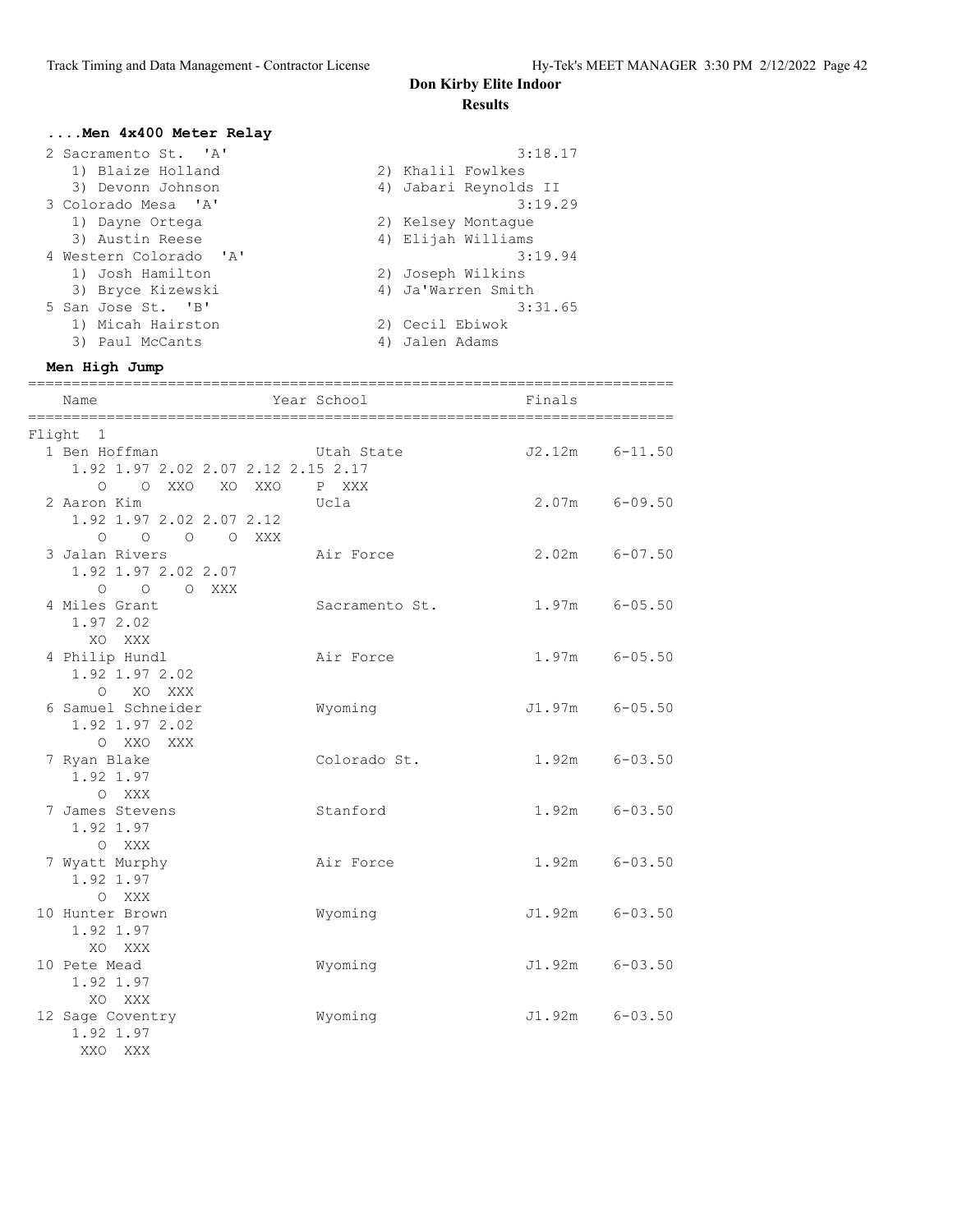#### **....Men 4x400 Meter Relay**

| 2 Sacramento St. 'A'   | 3:18.17               |
|------------------------|-----------------------|
| 1) Blaize Holland      | 2) Khalil Fowlkes     |
| 3) Devonn Johnson      | 4) Jabari Reynolds II |
| 3 Colorado Mesa 'A'    | 3:19.29               |
| 1) Dayne Ortega        | 2) Kelsey Montaque    |
| 3) Austin Reese        | 4) Elijah Williams    |
| 4 Western Colorado 'A' | 3:19.94               |
| 1) Josh Hamilton       | 2) Joseph Wilkins     |
| 3) Bryce Kizewski      | 4) Ja'Warren Smith    |
| 5 San Jose St. 'B'     | 3:31.65               |
| 1) Micah Hairston      | 2) Cecil Ebiwok       |
| Paul McCants<br>3)     | Jalen Adams<br>4)     |

#### **Men High Jump**

| Name                                                                        |        | Year School         | Finals             |  |
|-----------------------------------------------------------------------------|--------|---------------------|--------------------|--|
| Flight 1                                                                    |        |                     |                    |  |
| 1 Ben Hoffman<br>1.92 1.97 2.02 2.07 2.12 2.15 2.17<br>O O XXO XO XXO       |        | Utah State<br>P XXX | $J2.12m$ $6-11.50$ |  |
| 2 Aaron Kim<br>1.92 1.97 2.02 2.07 2.12                                     |        | Ucla                | $2.07m$ 6-09.50    |  |
| $\circ$ $\circ$<br>3 Jalan Rivers<br>1.92 1.97 2.02 2.07<br>$O$ $O$ $O$ XXX | O OXXX | Air Force           | $2.02m$ 6-07.50    |  |
| 4 Miles Grant<br>1.97 2.02                                                  |        | Sacramento St.      | $1.97m$ 6-05.50    |  |
| XO XXX<br>4 Philip Hundl<br>1.92 1.97 2.02                                  |        | Air Force           | $1.97m$ 6-05.50    |  |
| O XO XXX<br>6 Samuel Schneider<br>1.92 1.97 2.02                            |        | Wyoming             | J1.97m 6-05.50     |  |
| O XXO XXX<br>7 Ryan Blake<br>1.92 1.97                                      |        | Colorado St.        | $1.92m$ $6-03.50$  |  |
| O XXX<br>7 James Stevens<br>1.92 1.97                                       |        | Stanford            | $1.92m$ $6-03.50$  |  |
| O XXX<br>7 Wyatt Murphy<br>1.92 1.97                                        |        | Air Force           | $1.92m$ $6-03.50$  |  |
| O XXX<br>10 Hunter Brown<br>1.92 1.97                                       |        | Wyoming             | $J1.92m$ 6-03.50   |  |
| XO XXX<br>10 Pete Mead<br>1.92 1.97                                         |        | Wyoming             | J1.92m 6-03.50     |  |
| XO XXX<br>12 Sage Coventry<br>1.92 1.97<br>XXO<br>XXX                       |        | Wyoming             | $J1.92m$ 6-03.50   |  |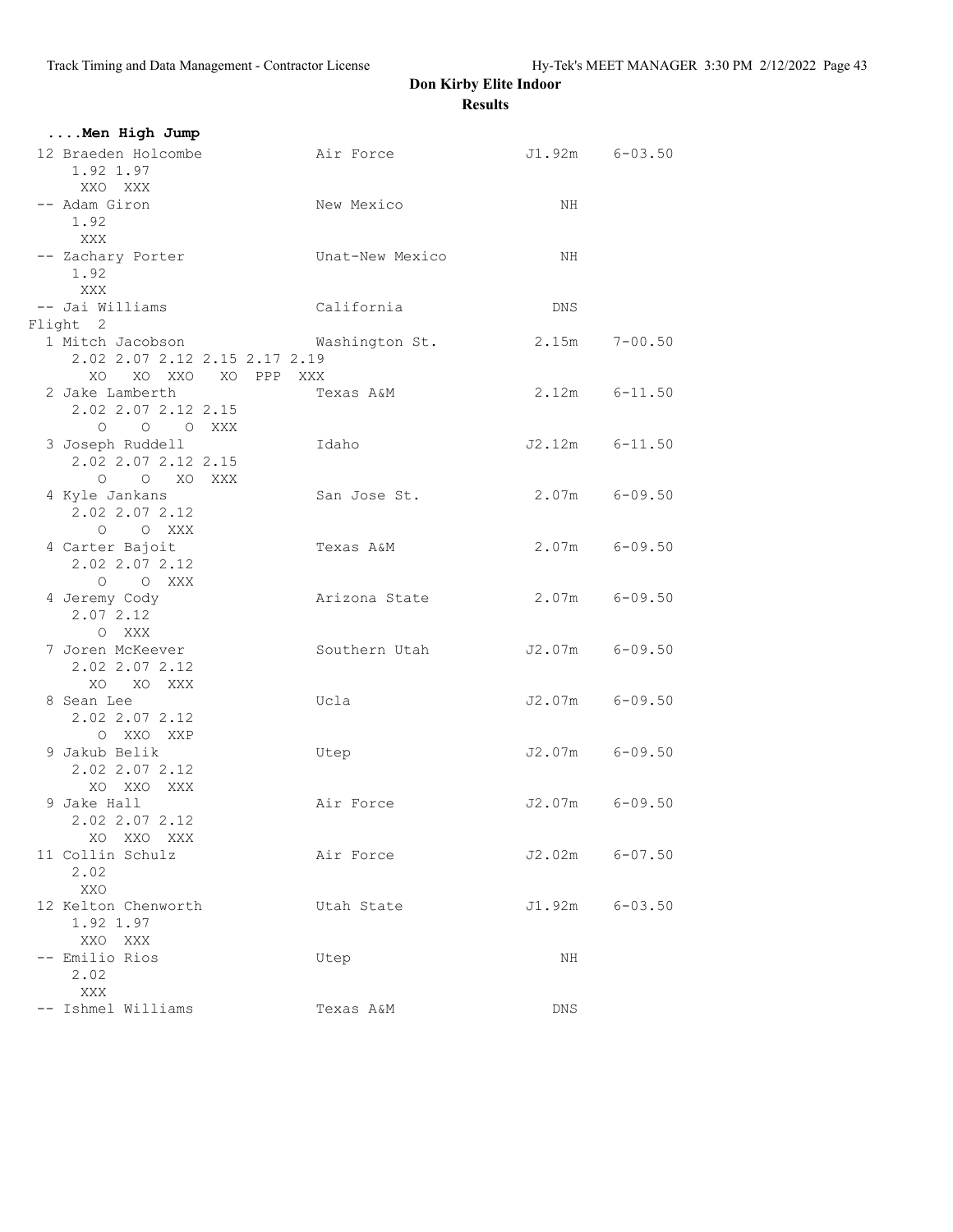| Men High Jump                                                             |                 |                    |  |
|---------------------------------------------------------------------------|-----------------|--------------------|--|
| 12 Braeden Holcombe<br>1.92 1.97<br>XXO XXX                               | Air Force       | $J1.92m$ $6-03.50$ |  |
| -- Adam Giron<br>1.92<br>XXX                                              | New Mexico      | NH                 |  |
| -- Zachary Porter<br>1.92<br>XXX                                          | Unat-New Mexico | NH                 |  |
| -- Jai Williams                                                           | California      | DNS                |  |
| Flight 2                                                                  |                 |                    |  |
| 1 Mitch Jacobson<br>2.02 2.07 2.12 2.15 2.17 2.19<br>XO XO XXO XO PPP XXX | Washington St.  | $2.15m$ $7-00.50$  |  |
| 2 Jake Lamberth<br>2.02 2.07 2.12 2.15<br>O O O XXX                       | Texas A&M       | $2.12m$ $6-11.50$  |  |
| 3 Joseph Ruddell<br>2.02 2.07 2.12 2.15<br>O XO XXX<br>$\circ$            | Idaho           | $J2.12m$ $6-11.50$ |  |
| 4 Kyle Jankans<br>2.02 2.07 2.12<br>$O$ $O$ XXX                           | San Jose St.    | $2.07m$ 6-09.50    |  |
| 4 Carter Bajoit<br>2.02 2.07 2.12<br>O O XXX                              | Texas A&M       | $2.07m$ 6-09.50    |  |
| 4 Jeremy Cody<br>2.07 2.12<br>O XXX                                       | Arizona State   | $2.07m$ 6-09.50    |  |
| 7 Joren McKeever<br>2.02 2.07 2.12<br>XO XO XXX                           | Southern Utah   | J2.07m 6-09.50     |  |
| 8 Sean Lee<br>2.02 2.07 2.12<br>O XXO XXP                                 | Ucla            | $J2.07m$ 6-09.50   |  |
| 9 Jakub Belik<br>2.02 2.07 2.12<br>XO XXO XXX                             | Utep            | J2.07m 6-09.50     |  |
| 9 Jake Hall<br>2.02 2.07 2.12<br>XO XXO XXX                               | Air Force       | J2.07m 6-09.50     |  |
| 11 Collin Schulz<br>2.02<br>XXO                                           | Air Force       | $J2.02m$ 6-07.50   |  |
| 12 Kelton Chenworth<br>1.92 1.97<br>XXO XXX                               | Utah State      | $J1.92m$ 6-03.50   |  |
| -- Emilio Rios<br>2.02<br>XXX                                             | Utep            | ΝH                 |  |
| -- Ishmel Williams                                                        | Texas A&M       | DNS                |  |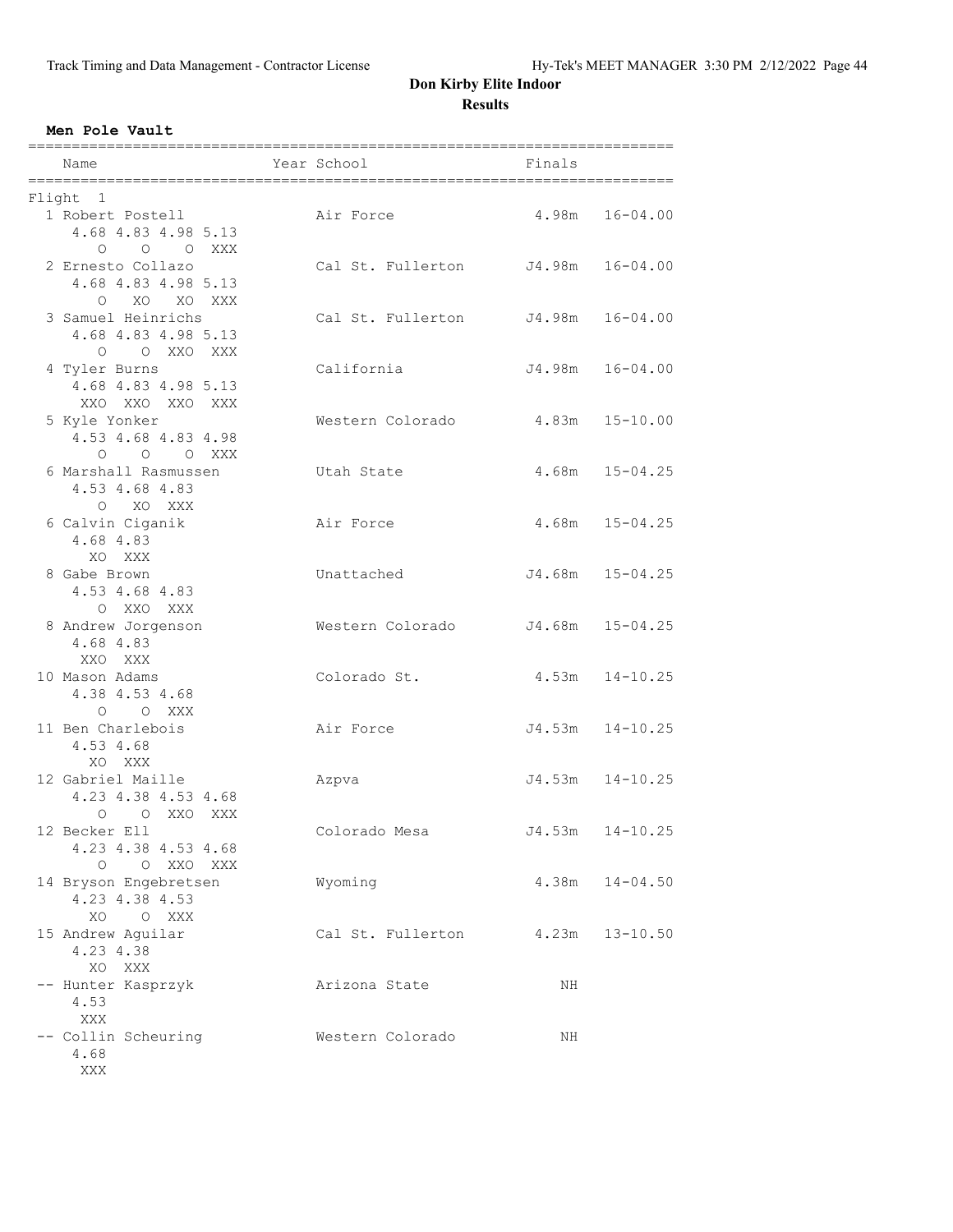#### **Men Pole Vault**

| Name                                                                 | Year School              | Finals |                     |
|----------------------------------------------------------------------|--------------------------|--------|---------------------|
| Flight 1                                                             |                          |        |                     |
| 1 Robert Postell<br>4.68 4.83 4.98 5.13                              | Air Force                | 4.98m  | $16 - 04.00$        |
| O O O XXX<br>2 Ernesto Collazo<br>4.68 4.83 4.98 5.13<br>O XO XO XXX | Cal St. Fullerton J4.98m |        | $16 - 04.00$        |
| 3 Samuel Heinrichs<br>4.68 4.83 4.98 5.13<br>O OXXOXXX               | Cal St. Fullerton J4.98m |        | $16 - 04.00$        |
| 4 Tyler Burns<br>4.68 4.83 4.98 5.13<br>XXO XXO XXO XXX              | California               | J4.98m | $16 - 04.00$        |
| 5 Kyle Yonker<br>4.53 4.68 4.83 4.98<br>O O O XXX                    | Western Colorado         | 4.83m  | $15 - 10.00$        |
| 6 Marshall Rasmussen<br>4.53 4.68 4.83<br>O XO XXX                   | Utah State               | 4.68m  | $15 - 04.25$        |
| 6 Calvin Ciganik<br>4.68 4.83<br>XO XXX                              | Air Force                |        | $4.68m$ $15-04.25$  |
| 8 Gabe Brown<br>4.53 4.68 4.83<br>O XXO XXX                          | Unattached               |        | $J4.68m$ $15-04.25$ |
| 8 Andrew Jorgenson<br>4.68 4.83<br>XXO XXX                           | Western Colorado         | J4.68m | $15 - 04.25$        |
| 10 Mason Adams<br>4.38 4.53 4.68<br>O O XXX                          | Colorado St.             | 4.53m  | $14 - 10.25$        |
| 11 Ben Charlebois<br>4.53 4.68<br>XO XXX                             | Air Force                | J4.53m | $14 - 10.25$        |
| 12 Gabriel Maille<br>4.23 4.38 4.53 4.68<br>0 0 XXO XXX              | Azpva                    | J4.53m | $14 - 10.25$        |
| 12 Becker Ell<br>4.23 4.38 4.53 4.68<br>$\Omega$<br>O XXO XXX        | Colorado Mesa            | J4.53m | $14 - 10.25$        |
| 14 Bryson Engebretsen<br>4.23 4.38 4.53<br>XO<br>O XXX               | Wyoming                  | 4.38m  | $14 - 04.50$        |
| 15 Andrew Aquilar<br>4.23 4.38<br>XO XXX                             | Cal St. Fullerton        | 4.23m  | $13 - 10.50$        |
| -- Hunter Kasprzyk<br>4.53<br>XXX                                    | Arizona State            | NH     |                     |
| -- Collin Scheuring<br>4.68<br>XXX                                   | Western Colorado         | NH     |                     |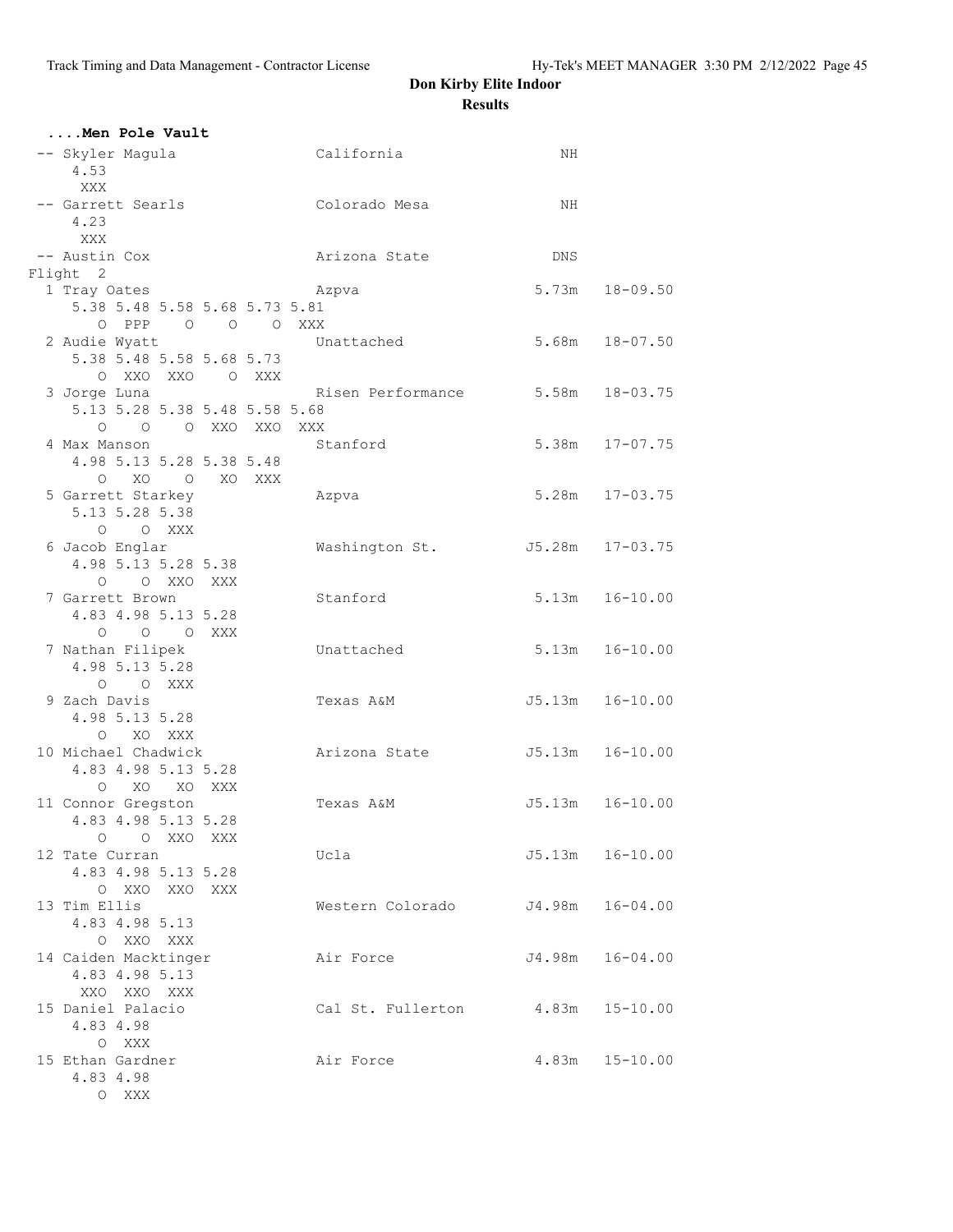| Men Pole Vault                             |       |                               |  |                                  |     |                     |
|--------------------------------------------|-------|-------------------------------|--|----------------------------------|-----|---------------------|
| -- Skyler Magula<br>4.53                   |       |                               |  | California                       | ΝH  |                     |
| XXX<br>4.23                                |       |                               |  | -- Garrett Searls Colorado Mesa  | NH  |                     |
| XXX<br>-- Austin Cox                       |       |                               |  | Arizona State                    | DNS |                     |
| Flight 2                                   |       |                               |  |                                  |     |                     |
| 1 Tray Oates                               |       |                               |  | Azpva                            |     | $5.73m$ $18-09.50$  |
|                                            |       | 5.38 5.48 5.58 5.68 5.73 5.81 |  |                                  |     |                     |
|                                            |       | O PPP 0 0 0 XXX               |  |                                  |     |                     |
| 2 Audie Wyatt                              |       |                               |  | Unattached                       |     | $5.68m$ $18-07.50$  |
|                                            |       | 5.38 5.48 5.58 5.68 5.73      |  |                                  |     |                     |
|                                            |       | O XXO XXO O XXX               |  |                                  |     |                     |
| 3 Jorge Luna                               |       |                               |  | Risen Performance 5.58m 18-03.75 |     |                     |
|                                            |       | 5.13 5.28 5.38 5.48 5.58 5.68 |  |                                  |     |                     |
|                                            |       | O O O XXO XXO XXX             |  |                                  |     |                     |
| 4 Max Manson                               |       |                               |  | Stanford                         |     | 5.38m 17-07.75      |
|                                            |       | 4.98 5.13 5.28 5.38 5.48      |  |                                  |     |                     |
|                                            |       | O XO O XO XXX                 |  |                                  |     |                     |
| 5 Garrett Starkey                          |       |                               |  | Azpva                            |     | 5.28m 17-03.75      |
| 5.13 5.28 5.38                             |       |                               |  |                                  |     |                     |
|                                            |       | O O XXX                       |  |                                  |     |                     |
| 6 Jacob Englar                             |       |                               |  | Washington St.                   |     | J5.28m 17-03.75     |
|                                            |       | 4.98 5.13 5.28 5.38           |  |                                  |     |                     |
|                                            |       | O O XXO XXX                   |  |                                  |     |                     |
| 7 Garrett Brown                            |       |                               |  | Stanford                         |     | $5.13m$ $16-10.00$  |
|                                            |       | 4.83 4.98 5.13 5.28           |  |                                  |     |                     |
|                                            |       | O O O XXX                     |  |                                  |     |                     |
| 7 Nathan Filipek                           |       |                               |  | Unattached                       |     | $5.13m$ $16-10.00$  |
| 4.98 5.13 5.28                             |       |                               |  |                                  |     |                     |
|                                            |       | O O XXX                       |  |                                  |     |                     |
| 9 Zach Davis                               |       |                               |  | Texas A&M                        |     | J5.13m  16-10.00    |
| 4.98 5.13 5.28                             |       |                               |  |                                  |     |                     |
|                                            |       | O XO XXX                      |  |                                  |     | J5.13m  16-10.00    |
| 10 Michael Chadwick<br>4.83 4.98 5.13 5.28 |       |                               |  | Arizona State                    |     |                     |
|                                            |       | O XO XO XXX                   |  |                                  |     |                     |
| 11 Connor Gregston                         |       |                               |  | Texas A&M                        |     | $J5.13m$ $16-10.00$ |
|                                            |       | 4.83 4.98 5.13 5.28           |  |                                  |     |                     |
|                                            |       | O OXXOXXX                     |  |                                  |     |                     |
| 12 Tate Curran                             |       |                               |  | Ucla                             |     | $J5.13m$ $16-10.00$ |
|                                            |       | 4.83 4.98 5.13 5.28           |  |                                  |     |                     |
|                                            |       | O XXO XXO XXX                 |  |                                  |     |                     |
| 13 Tim Ellis                               |       |                               |  | Western Colorado                 |     | J4.98m 16-04.00     |
| 4.83 4.98 5.13                             |       |                               |  |                                  |     |                     |
|                                            |       | O XXO XXX                     |  |                                  |     |                     |
| 14 Caiden Macktinger                       |       |                               |  | Air Force                        |     | J4.98m  16-04.00    |
| 4.83 4.98 5.13                             |       |                               |  |                                  |     |                     |
| XXO XXO XXX                                |       |                               |  |                                  |     |                     |
| 15 Daniel Palacio                          |       |                               |  | Cal St. Fullerton 4.83m 15-10.00 |     |                     |
| 4.83 4.98                                  |       |                               |  |                                  |     |                     |
|                                            | O XXX |                               |  |                                  |     |                     |
| 15 Ethan Gardner                           |       |                               |  | Air Force                        |     | $4.83m$ $15-10.00$  |
| 4.83 4.98                                  |       |                               |  |                                  |     |                     |
|                                            | O XXX |                               |  |                                  |     |                     |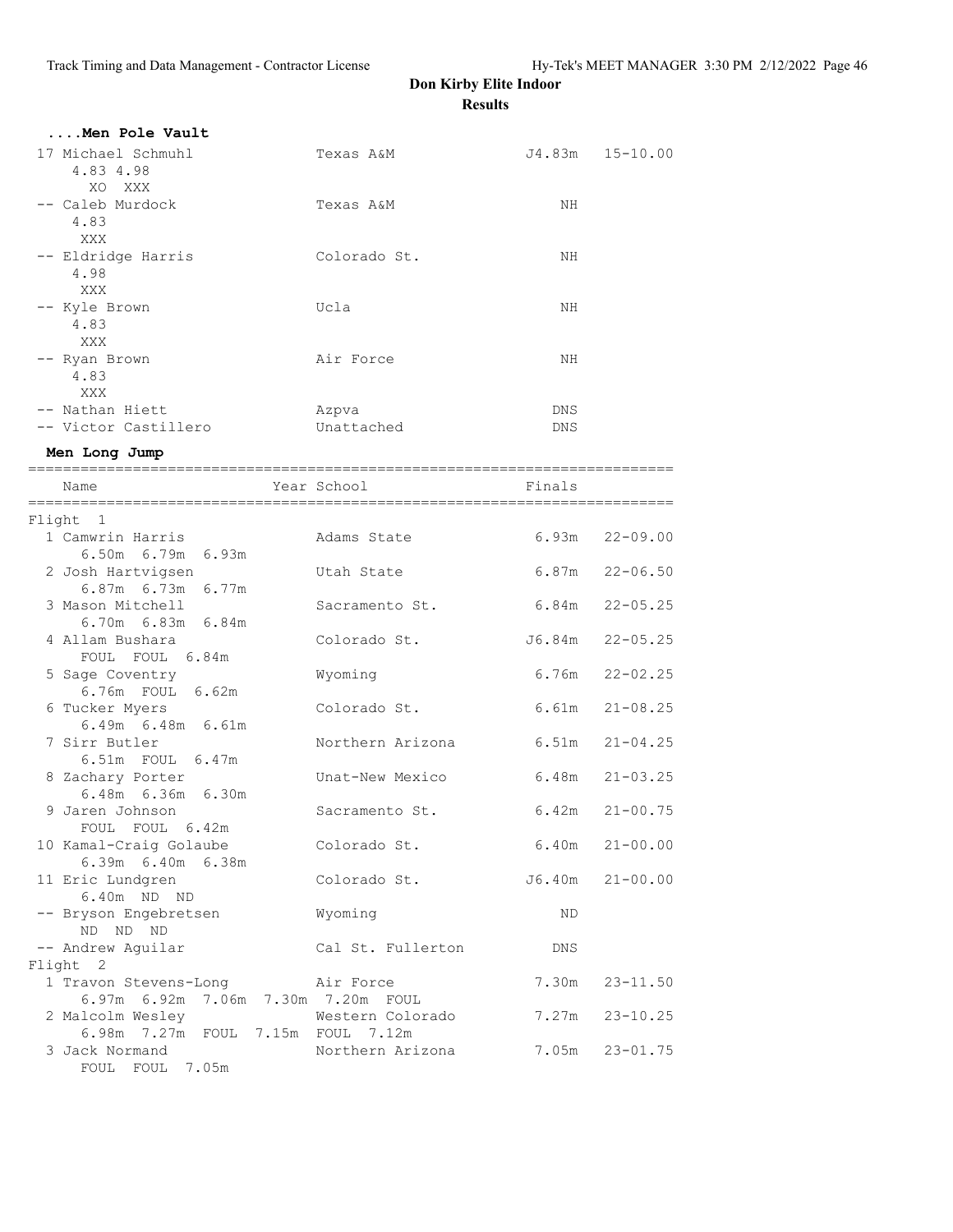|                                                                                             | results           |                    |                    |
|---------------------------------------------------------------------------------------------|-------------------|--------------------|--------------------|
| Men Pole Vault                                                                              |                   |                    |                    |
| 17 Michael Schmuhl<br>4.83 4.98<br>XO XXX                                                   | Texas A&M         |                    | J4.83m 15-10.00    |
| -- Caleb Murdock<br>4.83<br>XXX                                                             | Texas A&M         | NH                 |                    |
| -- Eldridge Harris<br>4.98<br>XXX                                                           | Colorado St.      | NH                 |                    |
| -- Kyle Brown<br>4.83<br>XXX                                                                | Ucla              | NH                 |                    |
| -- Ryan Brown<br>4.83<br><b>XXX</b>                                                         | Air Force         | NH                 |                    |
| -- Nathan Hiett                                                                             | Azpva             | DNS                |                    |
| -- Victor Castillero                                                                        | Unattached        | DNS                |                    |
| Men Long Jump                                                                               |                   |                    |                    |
| Name                                                                                        | Year School       | Finals             |                    |
| Flight 1                                                                                    |                   |                    |                    |
| 1 Camwrin Harris<br>6.50m 6.79m 6.93m                                                       | Adams State       |                    | $6.93m$ $22-09.00$ |
| 2 Josh Hartvigsen<br>6.87m 6.73m 6.77m                                                      | Utah State        |                    | $6.87m$ $22-06.50$ |
| 3 Mason Mitchell<br>$6.70m$ $6.83m$ $6.84m$                                                 | Sacramento St.    |                    | 6.84m 22-05.25     |
| 4 Allam Bushara<br>FOUL FOUL 6.84m                                                          | Colorado St.      |                    | J6.84m 22-05.25    |
| 5 Sage Coventry<br>6.76m FOUL 6.62m                                                         | Wyoming           |                    | $6.76m$ $22-02.25$ |
| 6 Tucker Myers<br>6.49m 6.48m 6.61m                                                         | Colorado St.      |                    | $6.61m$ $21-08.25$ |
| 7 Sirr Butler<br>6.51m FOUL 6.47m                                                           | Northern Arizona  | $6.51m$ $21-04.25$ |                    |
| 8 Zachary Porter<br>6.48m 6.36m 6.30m                                                       | Unat-New Mexico   | 6.48m 21-03.25     |                    |
| 9 Jaren Johnson<br>FOUL FOUL 6.42m                                                          | Sacramento St.    |                    | $6.42m$ $21-00.75$ |
| 10 Kamal-Craig Golaube<br>6.39m 6.40m 6.38m                                                 | Colorado St.      | 6.40m              | $21 - 00.00$       |
| 11 Eric Lundgren<br>6.40m ND ND                                                             | Colorado St.      | J6.40m             | $21 - 00.00$       |
| -- Bryson Engebretsen<br>ND ND ND                                                           | Wyoming           | ND.                |                    |
| -- Andrew Aguilar                                                                           | Cal St. Fullerton | DNS                |                    |
| Flight 2<br>1 Travon Stevens-Long                                                           | Air Force         | 7.30m              | $23 - 11.50$       |
| 6.97m 6.92m 7.06m 7.30m 7.20m FOUL<br>2 Malcolm Wesley<br>6.98m 7.27m FOUL 7.15m FOUL 7.12m | Western Colorado  | 7.27m              | $23 - 10.25$       |
| 3 Jack Normand<br>FOUL FOUL 7.05m                                                           | Northern Arizona  | 7.05m              | $23 - 01.75$       |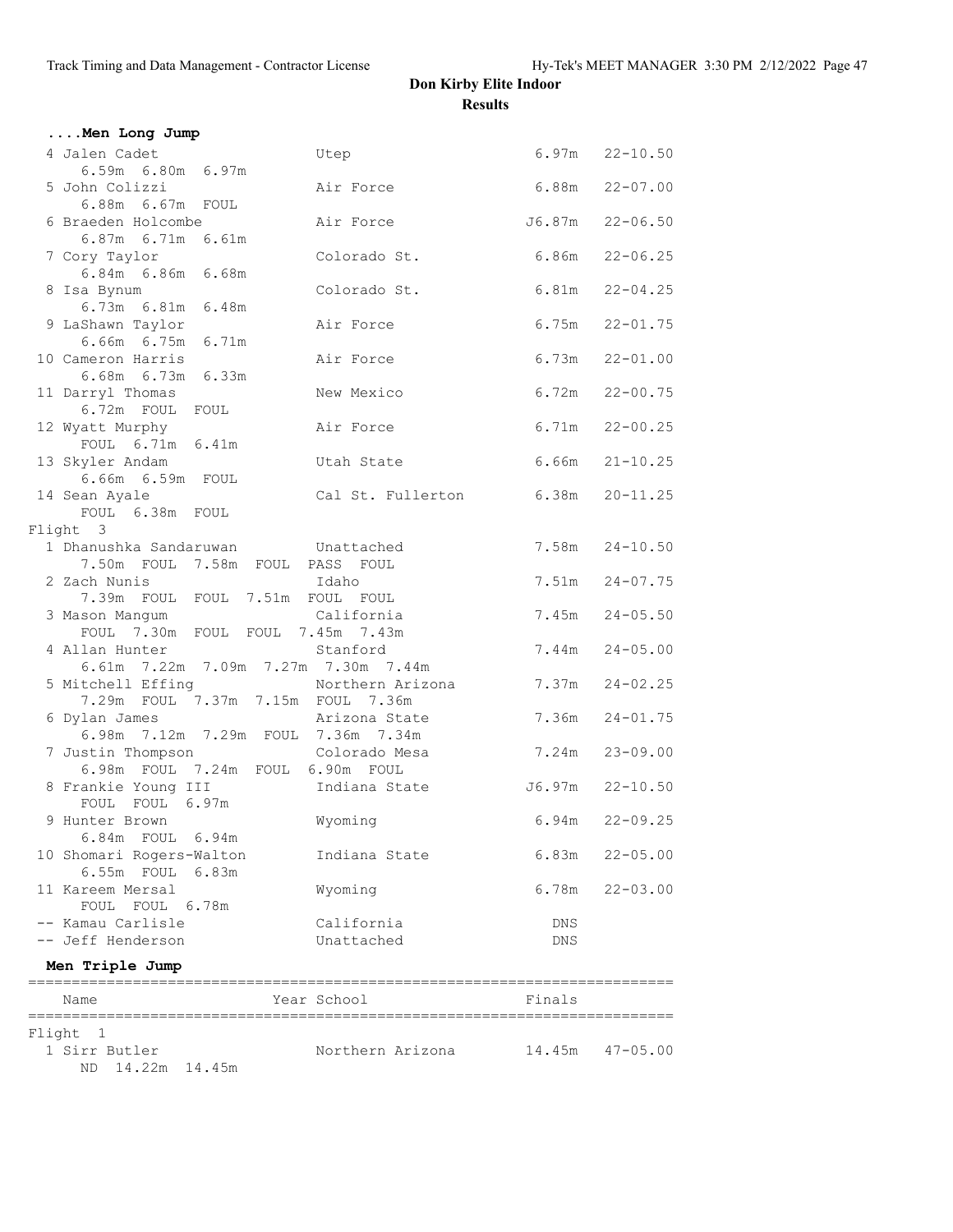| Men Long Jump                                      |                   |                    |                     |
|----------------------------------------------------|-------------------|--------------------|---------------------|
| 4 Jalen Cadet                                      | Utep              |                    | $6.97m$ $22-10.50$  |
| 6.59m 6.80m 6.97m                                  |                   |                    |                     |
| 5 John Colizzi                                     | Air Force         |                    | $6.88m$ $22-07.00$  |
| 6.88m  6.67m  FOUL<br>6 Braeden Holcombe           | Air Force         |                    | $J6.87m$ $22-06.50$ |
| 6.87m 6.71m 6.61m                                  |                   |                    |                     |
| 7 Cory Taylor                                      | Colorado St.      | $6.86m$ 22-06.25   |                     |
| 6.84m 6.86m 6.68m                                  |                   |                    |                     |
| 8 Isa Bynum                                        | Colorado St.      |                    | $6.81m$ $22-04.25$  |
| 6.73m 6.81m 6.48m<br>9 LaShawn Taylor              | Air Force         |                    | $6.75m$ $22-01.75$  |
| 6.66m 6.75m 6.71m                                  |                   |                    |                     |
| 10 Cameron Harris                                  | Air Force         |                    | $6.73m$ $22-01.00$  |
| 6.68m 6.73m 6.33m                                  |                   |                    |                     |
| 11 Darryl Thomas                                   | New Mexico        |                    | $6.72m$ $22-00.75$  |
| 6.72m FOUL FOUL                                    |                   |                    |                     |
| 12 Wyatt Murphy<br>FOUL 6.71m 6.41m                | Air Force         |                    | $6.71m$ $22-00.25$  |
| 13 Skyler Andam                                    | Utah State        |                    | $6.66m$ $21-10.25$  |
| 6.66m 6.59m FOUL                                   |                   |                    |                     |
| 14 Sean Ayale                                      | Cal St. Fullerton | 6.38m              | $20 - 11.25$        |
| FOUL 6.38m FOUL                                    |                   |                    |                     |
| Flight 3                                           |                   |                    |                     |
| 1 Dhanushka Sandaruwan Munattached                 |                   |                    | $7.58m$ $24-10.50$  |
| 7.50m FOUL 7.58m FOUL PASS FOUL<br>2 Zach Nunis    | Idaho             |                    | $7.51m$ $24-07.75$  |
| 7.39m FOUL FOUL 7.51m FOUL FOUL                    |                   |                    |                     |
| 3 Mason Mangum                                     | California        |                    | $7.45m$ $24-05.50$  |
| FOUL 7.30m FOUL FOUL 7.45m 7.43m                   |                   |                    |                     |
| 4 Allan Hunter                                     | Stanford          |                    | $7.44m$ $24-05.00$  |
| 6.61m 7.22m 7.09m 7.27m 7.30m 7.44m                |                   |                    |                     |
| 5 Mitchell Effing Morthern Arizona                 |                   | 7.37m              | $24 - 02.25$        |
| 7.29m FOUL 7.37m 7.15m FOUL 7.36m<br>6 Dylan James | Arizona State     | 7.36m              | $24 - 01.75$        |
| 6.98m 7.12m 7.29m FOUL 7.36m 7.34m                 |                   |                    |                     |
| 7 Justin Thompson                                  | Colorado Mesa     |                    | 7.24m 23-09.00      |
| 6.98m FOUL 7.24m FOUL 6.90m FOUL                   |                   |                    |                     |
| 8 Frankie Young III                                | Indiana State     |                    | $J6.97m$ $22-10.50$ |
| FOUL FOUL 6.97m                                    |                   |                    |                     |
| 9 Hunter Brown<br>6.84m FOUL 6.94m                 | Wyoming           | $6.94m$ $22-09.25$ |                     |
| 10 Shomari Rogers-Walton                           | Indiana State     |                    | $6.83m$ $22-05.00$  |
| 6.55m FOUL 6.83m                                   |                   |                    |                     |
| 11 Kareem Mersal                                   | Wyoming           |                    | $6.78m$ $22-03.00$  |
| FOUL FOUL 6.78m                                    |                   |                    |                     |
| -- Kamau Carlisle                                  | California        | DNS                |                     |
| -- Jeff Henderson                                  | Unattached        | DNS                |                     |
| Men Triple Jump                                    |                   |                    |                     |
| Name                                               | Year School       | Finals             |                     |
|                                                    |                   |                    |                     |
| Flight 1                                           |                   |                    |                     |
| 1 Sirr Butler                                      | Northern Arizona  | 14.45m             | $47 - 05.00$        |

ND 14.22m 14.45m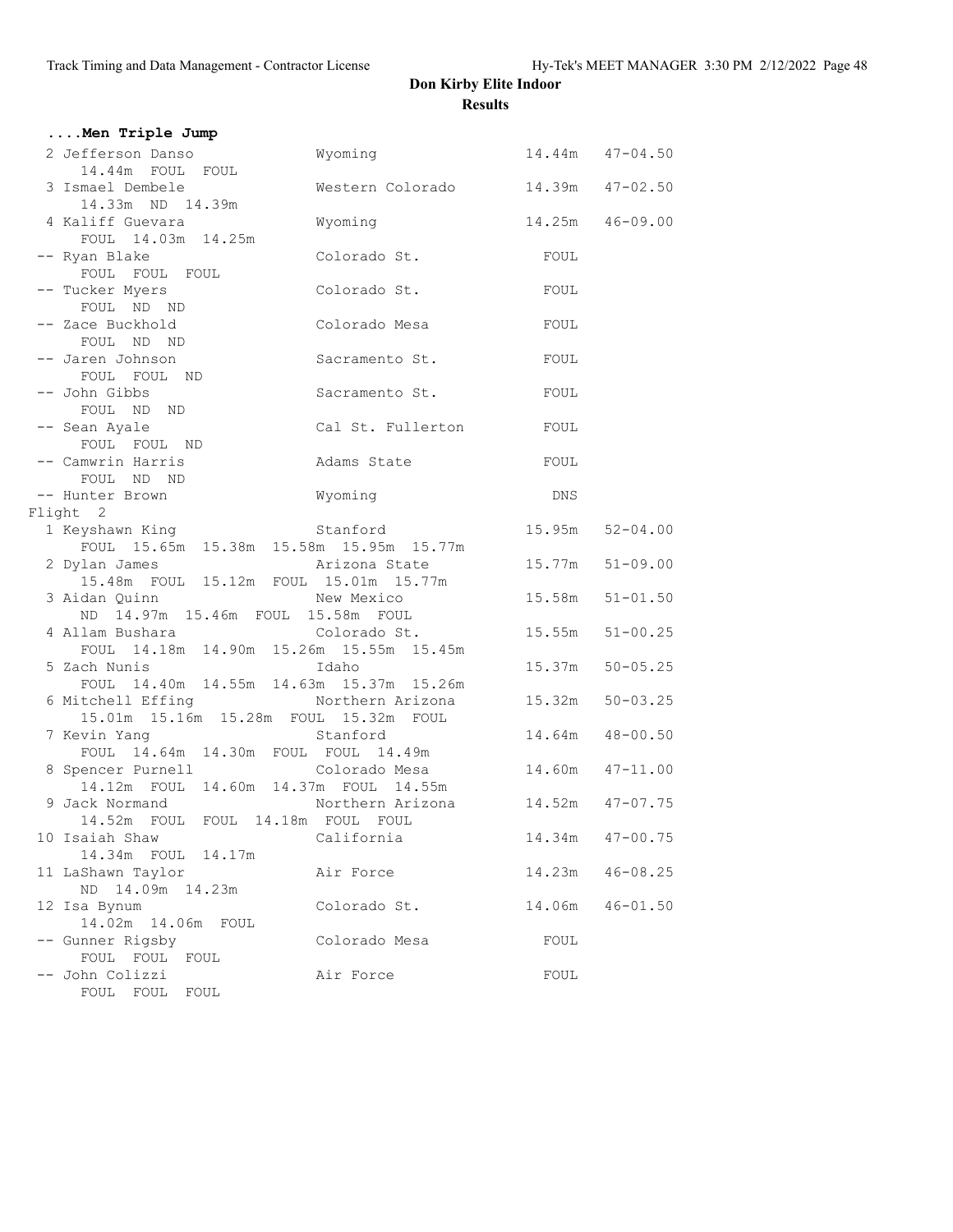| Men Triple Jump                                        |                                  |                  |                     |
|--------------------------------------------------------|----------------------------------|------------------|---------------------|
| 2 Jefferson Danso                                      | Wyoming                          |                  | $14.44m$ $47-04.50$ |
| 14.44m FOUL FOUL                                       |                                  |                  |                     |
| 3 Ismael Dembele                                       | Western Colorado 14.39m 47-02.50 |                  |                     |
| 14.33m ND 14.39m                                       |                                  |                  |                     |
| 4 Kaliff Guevara                                       | Wyoming                          | 14.25m  46-09.00 |                     |
| FOUL 14.03m 14.25m                                     |                                  |                  |                     |
| -- Ryan Blake                                          | Colorado St.                     | FOUL             |                     |
| FOUL FOUL FOUL                                         |                                  |                  |                     |
| -- Tucker Myers<br>FOUL ND ND                          | Colorado St.                     | FOUL             |                     |
| -- Zace Buckhold                                       | Colorado Mesa                    | FOUL             |                     |
| FOUL ND ND                                             |                                  |                  |                     |
| -- Jaren Johnson                                       | Sacramento St.                   | FOUL             |                     |
| FOUL FOUL ND                                           |                                  |                  |                     |
| -- John Gibbs                                          | Sacramento St.                   | FOUL             |                     |
| FOUL ND ND                                             |                                  |                  |                     |
| -- Sean Ayale                                          | Cal St. Fullerton                | FOUL             |                     |
| FOUL FOUL ND                                           |                                  |                  |                     |
| -- Camwrin Harris                                      | Adams State                      | FOUL             |                     |
| FOUL ND ND                                             |                                  |                  |                     |
| -- Hunter Brown                                        | Wyoming                          | <b>DNS</b>       |                     |
| Flight 2                                               |                                  |                  |                     |
|                                                        |                                  | 15.95m           | $52 - 04.00$        |
| FOUL 15.65m 15.38m 15.58m 15.95m 15.77m                | Arizona State                    |                  | $51 - 09.00$        |
| 2 Dylan James<br>15.48m FOUL 15.12m FOUL 15.01m 15.77m |                                  | 15.77m           |                     |
| 3 Aidan Quinn                                          | New Mexico                       | 15.58m           | $51 - 01.50$        |
| ND 14.97m 15.46m FOUL 15.58m FOUL                      |                                  |                  |                     |
| 4 Allam Bushara (Colorado St.                          |                                  | 15.55m           | $51 - 00.25$        |
| FOUL 14.18m 14.90m 15.26m 15.55m 15.45m                |                                  |                  |                     |
| 5 Zach Nunis                                           | Idaho                            | 15.37m           | $50 - 05.25$        |
| FOUL 14.40m 14.55m 14.63m 15.37m 15.26m                |                                  |                  |                     |
| 6 Mitchell Effing                                      | Northern Arizona                 | 15.32m           | $50 - 03.25$        |
| 15.01m  15.16m  15.28m  FOUL  15.32m  FOUL             |                                  |                  |                     |
| 7 Kevin Yang                                           | Stanford                         | 14.64m           | $48 - 00.50$        |
| FOUL 14.64m 14.30m FOUL FOUL 14.49m                    |                                  |                  |                     |
| 8 Spencer Purnell                                      | Colorado Mesa                    |                  | 14.60m  47-11.00    |
| 14.12m FOUL 14.60m 14.37m FOUL 14.55m                  |                                  |                  |                     |
| 9 Jack Normand                                         | Northern Arizona 14.52m 47-07.75 |                  |                     |
| 14.52m FOUL FOUL 14.18m FOUL FOUL<br>10 Isaiah Shaw    | California                       | 14.34m           | $47 - 00.75$        |
| 14.34m FOUL 14.17m                                     |                                  |                  |                     |
| 11 LaShawn Taylor                                      | Air Force                        | 14.23m           | $46 - 08.25$        |
| ND 14.09m 14.23m                                       |                                  |                  |                     |
| 12 Isa Bynum                                           | Colorado St.                     | 14.06m           | $46 - 01.50$        |
| 14.02m  14.06m  FOUL                                   |                                  |                  |                     |
| -- Gunner Rigsby                                       | Colorado Mesa                    | FOUL             |                     |
| FOUL FOUL FOUL                                         |                                  |                  |                     |
| -- John Colizzi                                        | Air Force                        | FOUL             |                     |
| FOUL FOUL FOUL                                         |                                  |                  |                     |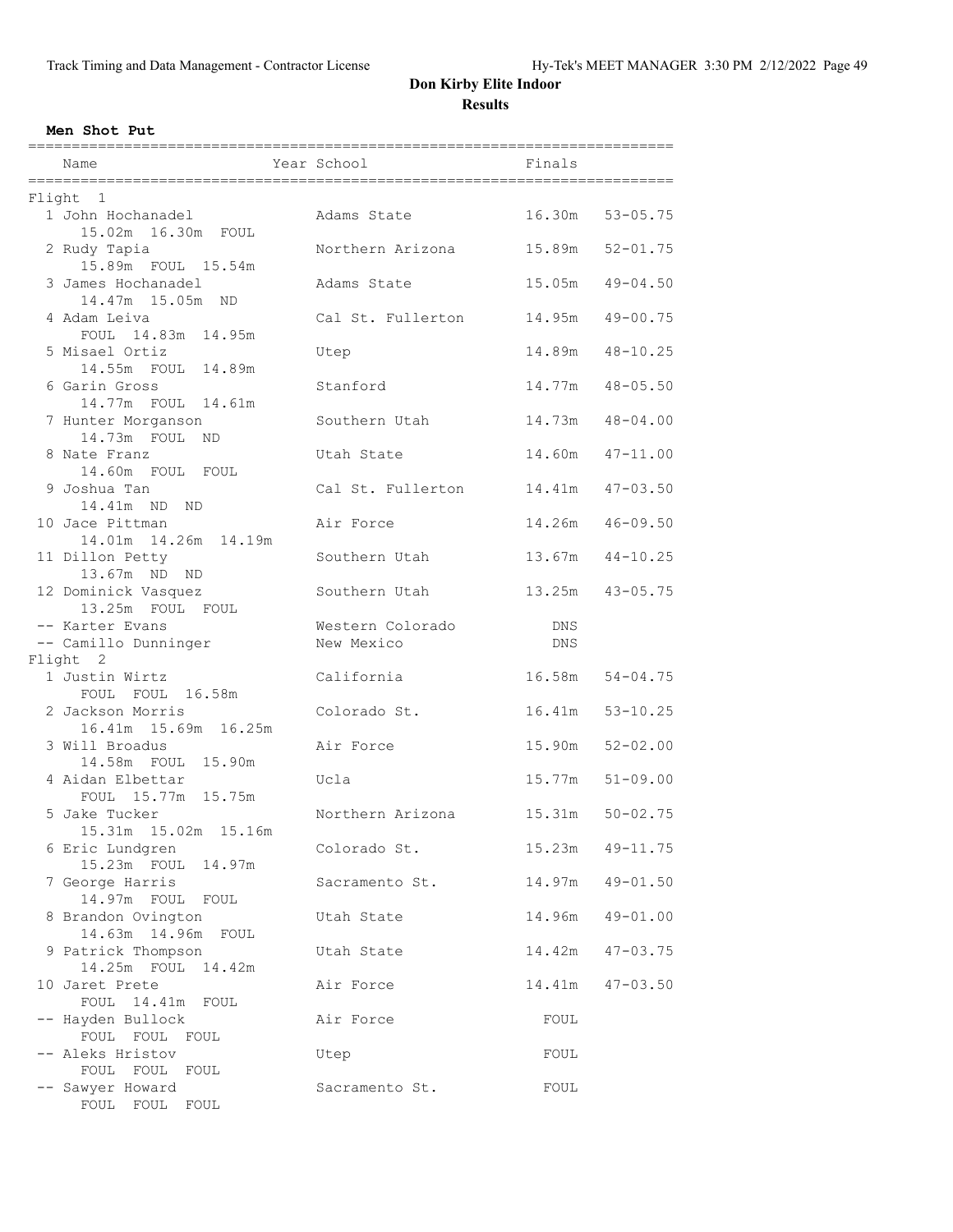#### **Men Shot Put**

| Name                                        | Year School                    | Finals            |                     |
|---------------------------------------------|--------------------------------|-------------------|---------------------|
| Flight 1                                    |                                |                   |                     |
| 1 John Hochanadel<br>15.02m  16.30m  FOUL   | Adams State                    |                   | 16.30m 53-05.75     |
| 2 Rudy Tapia<br>15.89m FOUL 15.54m          | Northern Arizona               | 15.89m            | $52 - 01.75$        |
| 3 James Hochanadel<br>14.47m 15.05m ND      | Adams State                    | 15.05m            | $49 - 04.50$        |
| 4 Adam Leiva<br>FOUL 14.83m 14.95m          | Cal St. Fullerton              | 14.95m            | $49 - 00.75$        |
| 5 Misael Ortiz<br>14.55m FOUL<br>14.89m     | Utep                           | 14.89m            | $48 - 10.25$        |
| 6 Garin Gross<br>14.77m FOUL 14.61m         | Stanford                       | 14.77m            | $48 - 05.50$        |
| 7 Hunter Morganson<br>14.73m FOUL ND        | Southern Utah                  | 14.73m            | $48 - 04.00$        |
| 8 Nate Franz<br>14.60m FOUL FOUL            | Utah State                     | 14.60m            | $47 - 11.00$        |
| 9 Joshua Tan<br>14.41m ND<br>ND.            | Cal St. Fullerton              | 14 <b>.</b> 41m   | $47 - 03.50$        |
| 10 Jace Pittman<br>14.01m  14.26m  14.19m   | Air Force                      | 14.26m            | $46 - 09.50$        |
| 11 Dillon Petty<br>13.67m ND ND             | Southern Utah                  | 13.67m            | $44 - 10.25$        |
| 12 Dominick Vasquez<br>13.25m FOUL FOUL     | Southern Utah                  | 13.25m            | $43 - 05.75$        |
| -- Karter Evans<br>-- Camillo Dunninger     | Western Colorado<br>New Mexico | DNS<br><b>DNS</b> |                     |
| Flight 2                                    |                                |                   |                     |
| 1 Justin Wirtz<br>FOUL FOUL 16.58m          | California                     |                   | $16.58m$ $54-04.75$ |
| 2 Jackson Morris<br>16.41m 15.69m 16.25m    | Colorado St.                   | 16.41m            | $53 - 10.25$        |
| 3 Will Broadus<br>14.58m FOUL 15.90m        | Air Force                      | 15.90m            | $52 - 02.00$        |
| 4 Aidan Elbettar<br>FOUL 15.77m 15.75m      | Ucla                           | 15.77m            | $51 - 09.00$        |
| 5 Jake Tucker<br>15.31m 15.02m 15.16m       | Northern Arizona               | 15.31m            | $50 - 02.75$        |
| 6 Eric Lundgren<br>15.23m FOUL<br>14.97m    | Colorado St.                   | 15.23m            | $49 - 11.75$        |
| 7 George Harris<br>14.97m FOUL FOUL         | Sacramento St.                 | 14.97m            | $49 - 01.50$        |
| 8 Brandon Ovington<br>14.63m  14.96m  FOUL  | Utah State                     | 14.96m            | $49 - 01.00$        |
| 9 Patrick Thompson<br>14.25m FOUL<br>14.42m | Utah State                     | 14.42m            | $47 - 03.75$        |
| 10 Jaret Prete<br>FOUL 14.41m<br>FOUL       | Air Force                      | 14.41m            | $47 - 03.50$        |
| -- Hayden Bullock<br>FOUL FOUL FOUL         | Air Force                      | FOUL              |                     |
| -- Aleks Hristov<br>FOUL FOUL<br>FOUL       | Utep                           | FOUL              |                     |
| -- Sawyer Howard<br>FOUL FOUL<br>FOUL       | Sacramento St.                 | FOUL              |                     |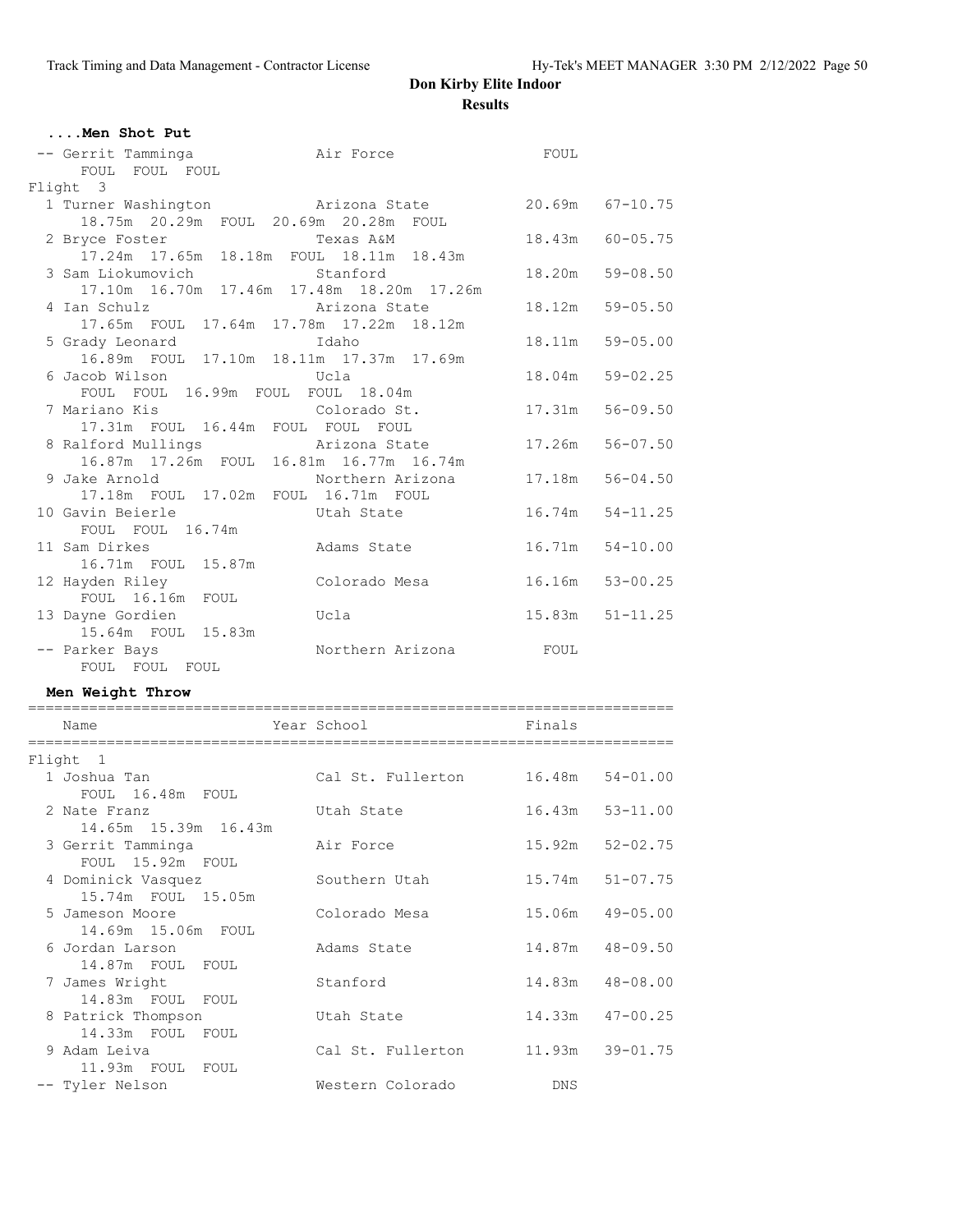| Men Shot Put                                    |                                                |             |                  |
|-------------------------------------------------|------------------------------------------------|-------------|------------------|
| -- Gerrit Tamminga Mair Force<br>FOUL FOUL FOUL |                                                | FOUL        |                  |
| Flight 3                                        |                                                |             |                  |
| 1 Turner Washington Marizona State              |                                                |             | 20.69m 67-10.75  |
| 18.75m  20.29m  FOUL  20.69m  20.28m  FOUL      |                                                |             |                  |
| 2 Bryce Foster                                  | Texas A&M                                      |             | 18.43m 60-05.75  |
|                                                 | 17.24m  17.65m  18.18m  FOUL  18.11m  18.43m   |             |                  |
| 3 Sam Liokumovich Stanford                      |                                                | 18.20m      | $59 - 08.50$     |
|                                                 | 17.10m  16.70m  17.46m  17.48m  18.20m  17.26m |             |                  |
| 4 Ian Schulz                                    | Arizona State                                  |             | 18.12m  59-05.50 |
|                                                 | 17.65m FOUL 17.64m 17.78m 17.22m 18.12m        |             |                  |
| 5 Grady Leonard                                 | Idaho                                          | 18.11m      | $59 - 05.00$     |
|                                                 | 16.89m FOUL 17.10m 18.11m 17.37m 17.69m        |             |                  |
|                                                 |                                                | 18.04m      | $59 - 02.25$     |
| FOUL FOUL 16.99m FOUL FOUL 18.04m               |                                                |             |                  |
| 7 Mariano Kis <b>Bandary Colorado St.</b>       |                                                |             | 17.31m  56-09.50 |
| 17.31m FOUL 16.44m FOUL FOUL FOUL               |                                                |             |                  |
|                                                 | 8 Ralford Mullings The Arizona State           | 17.26m      | $56 - 07.50$     |
|                                                 | 16.87m  17.26m  FOUL  16.81m  16.77m  16.74m   |             |                  |
|                                                 | 9 Jake Arnold Morthern Arizona                 |             | 17.18m 56-04.50  |
| 17.18m FOUL 17.02m FOUL 16.71m FOUL             |                                                |             |                  |
| 10 Gavin Beierle                                | Utah State                                     |             | 16.74m 54-11.25  |
| FOUL FOUL 16.74m                                |                                                |             |                  |
| 11 Sam Dirkes                                   | Adams State                                    | 16.71m      | $54 - 10.00$     |
| 16.71m FOUL 15.87m                              |                                                |             |                  |
| 12 Hayden Riley                                 | Colorado Mesa                                  |             | 16.16m 53-00.25  |
| FOUL 16.16m FOUL                                |                                                |             |                  |
| 13 Dayne Gordien                                | Ucla                                           |             | 15.83m 51-11.25  |
| 15.64m FOUL 15.83m                              |                                                |             |                  |
| -- Parker Bays                                  | Northern Arizona                               | <b>EOUL</b> |                  |
| FOUL FOUL FOUL                                  |                                                |             |                  |

#### **Men Weight Throw**

| Name                                                     | Year School       | Finals           |              |
|----------------------------------------------------------|-------------------|------------------|--------------|
| Flight 1                                                 |                   |                  |              |
| 1 Joshua Tan                                             | Cal St. Fullerton | 16.48m 54-01.00  |              |
| FOUL 16.48m FOUL<br>2 Nate Franz<br>14.65m 15.39m 16.43m | Utah State        | 16.43m 53-11.00  |              |
| 3 Gerrit Tamminga<br>FOUL 15.92m FOUL                    | Air Force         | 15.92m           | $52 - 02.75$ |
| 4 Dominick Vasquez<br>15.74m FOUL 15.05m                 | Southern Utah     | 15.74m           | $51 - 07.75$ |
| 5 Jameson Moore<br>14.69m 15.06m FOUL                    | Colorado Mesa     | 15.06m 49-05.00  |              |
| 6 Jordan Larson<br>14.87m FOUL FOUL                      | Adams State       | 14.87m 48-09.50  |              |
| 7 James Wright<br>14.83m FOUL FOUL                       | Stanford          | 14.83m  48-08.00 |              |
| 8 Patrick Thompson<br>14.33m FOUL FOUL                   | Utah State        | 14.33m 47-00.25  |              |
| 9 Adam Leiva<br>11.93m FOUL FOUL                         | Cal St. Fullerton | 11.93m 39-01.75  |              |
| -- Tyler Nelson                                          | Western Colorado  | <b>DNS</b>       |              |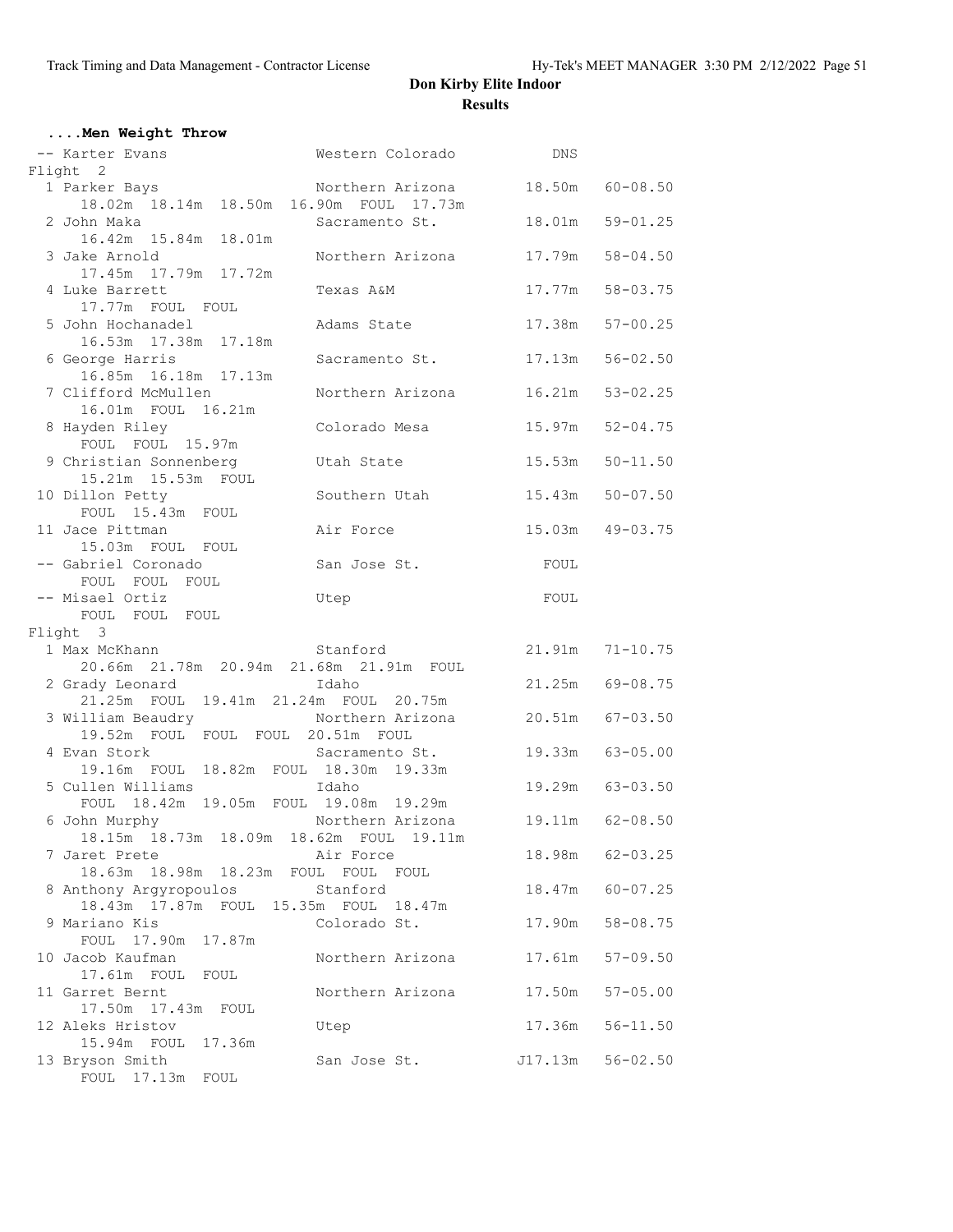| Men Weight Throw                                                   |                           |         |                     |
|--------------------------------------------------------------------|---------------------------|---------|---------------------|
| -- Karter Evans                                                    | Western Colorado          | DNS     |                     |
| Flight 2                                                           |                           |         |                     |
| 1 Parker Bays                                                      | Northern Arizona          |         | 18.50m 60-08.50     |
| 18.02m  18.14m  18.50m  16.90m  FOUL  17.73m                       | Sacramento St.            |         | 18.01m 59-01.25     |
| 2 John Maka<br>16.42m  15.84m  18.01m                              |                           |         |                     |
| 3 Jake Arnold                                                      | Northern Arizona          | 17.79m  | $58 - 04.50$        |
| 17.45m  17.79m  17.72m                                             |                           |         |                     |
| 4 Luke Barrett                                                     | Texas A&M                 | 17.77m  | $58 - 03.75$        |
| 17.77m FOUL FOUL                                                   |                           |         |                     |
| 5 John Hochanadel                                                  | Adams State               | 17.38m  | $57 - 00.25$        |
| 16.53m  17.38m  17.18m                                             |                           |         |                     |
| 6 George Harris                                                    | Sacramento St.            | 17.13m  | $56 - 02.50$        |
| 16.85m  16.18m  17.13m                                             |                           |         |                     |
| 7 Clifford McMullen<br>16.01m FOUL 16.21m                          | Northern Arizona          | 16.21m  | $53 - 02.25$        |
| 8 Hayden Riley                                                     | Colorado Mesa             | 15.97m  | $52 - 04.75$        |
| FOUL FOUL 15.97m                                                   |                           |         |                     |
| 9 Christian Sonnenberg                                             | Utah State                |         | $15.53m$ $50-11.50$ |
| 15.21m  15.53m  FOUL                                               |                           |         |                     |
| 10 Dillon Petty                                                    | Southern Utah             |         | $15.43m$ $50-07.50$ |
| FOUL 15.43m FOUL                                                   |                           |         |                     |
| 11 Jace Pittman                                                    | Air Force                 |         | $15.03m$ $49-03.75$ |
| 15.03m FOUL FOUL<br>-- Gabriel Coronado                            | San Jose St.              |         |                     |
| FOUL FOUL FOUL                                                     |                           | FOUL    |                     |
| -- Misael Ortiz                                                    | Utep                      | FOUL    |                     |
| FOUL FOUL FOUL                                                     |                           |         |                     |
| Flight 3                                                           |                           |         |                     |
| 1 Max McKhann                                                      | Stanford                  |         | $21.91m$ $71-10.75$ |
| 20.66m 21.78m 20.94m 21.68m 21.91m FOUL                            |                           |         |                     |
| 2 Grady Leonard                                                    | Idaho                     |         | 21.25m 69-08.75     |
| 21.25m FOUL 19.41m 21.24m FOUL 20.75m                              |                           |         |                     |
| 3 William Beaudry<br>19.52m FOUL FOUL FOUL 20.51m FOUL             | Northern Arizona          |         | 20.51m 67-03.50     |
| 4 Evan Stork                                                       | Sacramento St.            |         | 19.33m 63-05.00     |
| 19.16m FOUL 18.82m FOUL 18.30m 19.33m                              |                           |         |                     |
| 5 Cullen Williams                                                  | Idaho                     |         | 19.29m 63-03.50     |
| FOUL 18.42m                                                        | 19.05m FOUL 19.08m 19.29m |         |                     |
| 6 John Murphy                                                      | Northern Arizona          |         | 19.11m 62-08.50     |
| 18.15m  18.73m  18.09m  18.62m  FOUL  19.11m                       |                           |         |                     |
| 7 Jaret Prete                                                      | Air Force                 |         | 18.98m 62-03.25     |
| 18.63m  18.98m  18.23m  FOUL  FOUL  FOUL<br>8 Anthony Argyropoulos | Stanford                  | 18.47m  | $60 - 07.25$        |
| 18.43m 17.87m FOUL 15.35m FOUL 18.47m                              |                           |         |                     |
| 9 Mariano Kis                                                      | Colorado St.              | 17.90m  | $58 - 08.75$        |
| FOUL 17.90m 17.87m                                                 |                           |         |                     |
| 10 Jacob Kaufman                                                   | Northern Arizona          | 17.61m  | $57 - 09.50$        |
| 17.61m FOUL FOUL                                                   |                           |         |                     |
| 11 Garret Bernt                                                    | Northern Arizona          | 17.50m  | $57 - 05.00$        |
| 17.50m  17.43m  FOUL                                               |                           |         |                     |
| 12 Aleks Hristov<br>15.94m FOUL<br>17.36m                          | Utep                      | 17.36m  | $56 - 11.50$        |
| 13 Bryson Smith                                                    | San Jose St.              | J17.13m | $56 - 02.50$        |
| FOUL 17.13m<br>FOUL                                                |                           |         |                     |
|                                                                    |                           |         |                     |